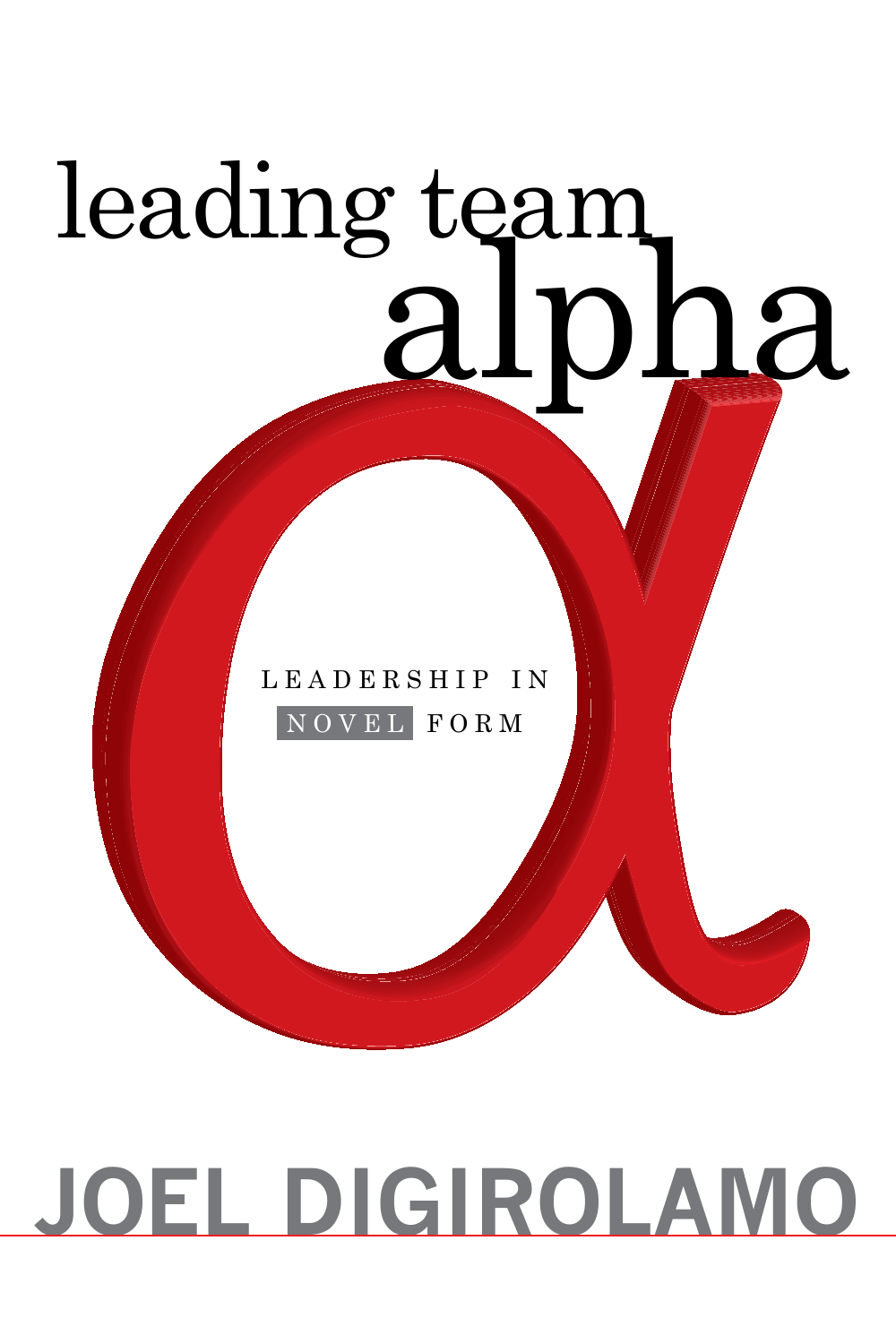# leading team<br>alpha

L E A D E R S H I P I N n o v e l f o r m

### **Joel DiGirolamo**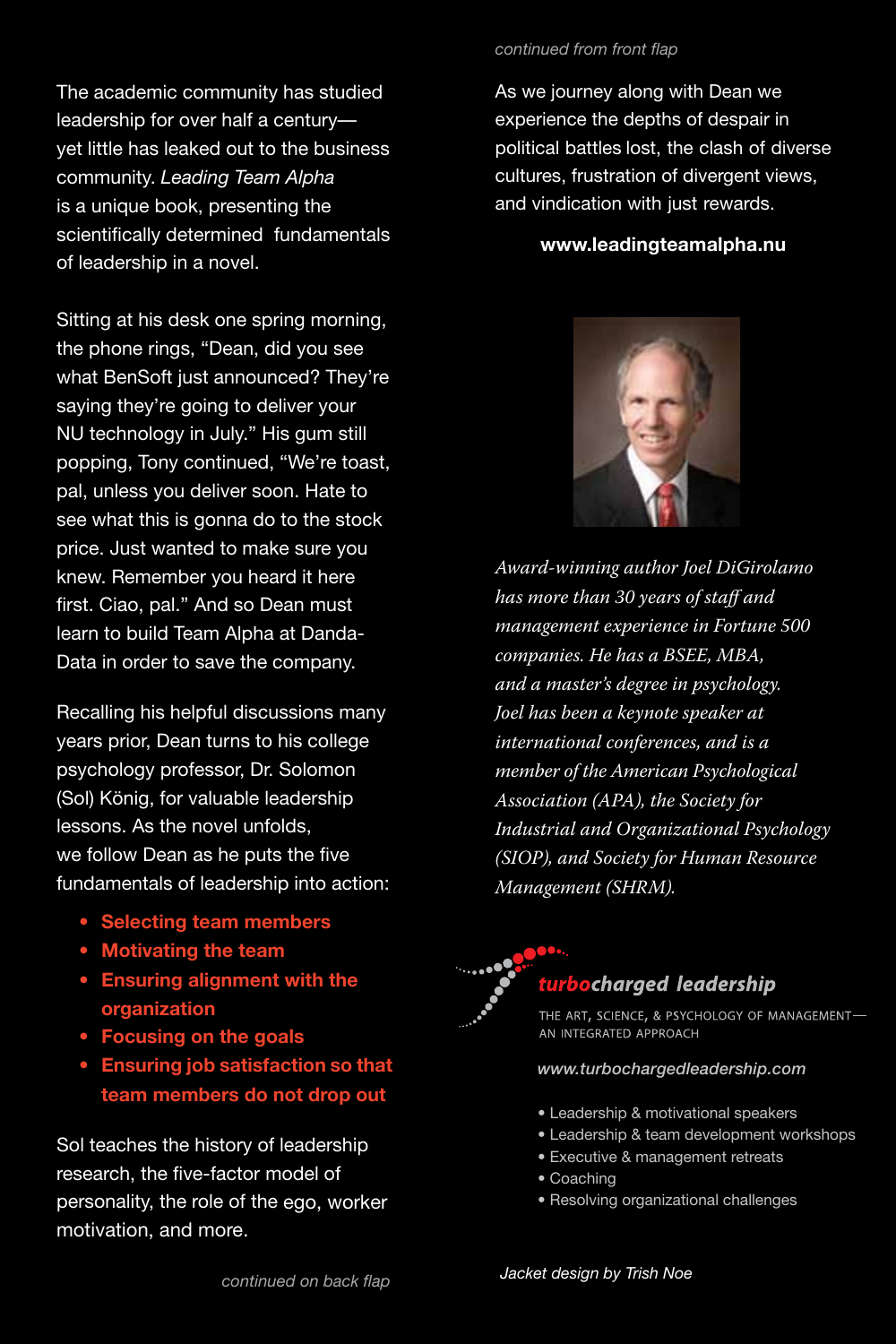The academic community has studied leadership for over half a century yet little has leaked out to the business community. *Leading Team Alpha* is a unique book, presenting the scientifically determined fundamentals of leadership in a novel.

Sitting at his desk one spring morning, the phone rings, "Dean, did you see what BenSoft just announced? They're saying they're going to deliver your NU technology in July." His gum still popping, Tony continued, "We're toast, pal, unless you deliver soon. Hate to see what this is gonna do to the stock price. Just wanted to make sure you knew. Remember you heard it here first. Ciao, pal." And so Dean must learn to build Team Alpha at Danda-Data in order to save the company.

Recalling his helpful discussions many years prior, Dean turns to his college psychology professor, Dr. Solomon (Sol) König, for valuable leadership lessons. As the novel unfolds, we follow Dean as he puts the five fundamentals of leadership into action:

- **• Selecting team members**
- **• Motivating the team**
- **• Ensuring alignment with the organization**
- **• Focusing on the goals**
- **• Ensuring job satisfaction so that team members do not drop out**

Sol teaches the history of leadership research, the five-factor model of personality, the role of the ego, worker motivation, and more.

#### *continued from front flap*

As we journey along with Dean we experience the depths of despair in political battles lost, the clash of diverse cultures, frustration of divergent views, and vindication with just rewards.

#### **www.leadingteamalpha.nu**



*Award-winning author Joel DiGirolamo has more than 30 years of staff and management experience in Fortune 500 companies. He has a BSEE, MBA, and a master's degree in psychology. Joel has been a keynote speaker at international conferences, and is a member of the American Psychological Association (APA), the Society for Industrial and Organizational Psychology (SIOP), and Society for Human Resource Management (SHRM).*



#### turbocharged leadership

THE ART, SCIENCE, & PSYCHOLOGY OF MANAGEMENT-AN INTEGRATED APPROACH

#### *www.turbochargedleadership.com*

- Leadership & motivational speakers
- Leadership & team development workshops
- Executive & management retreats
- Coaching
- Resolving organizational challenges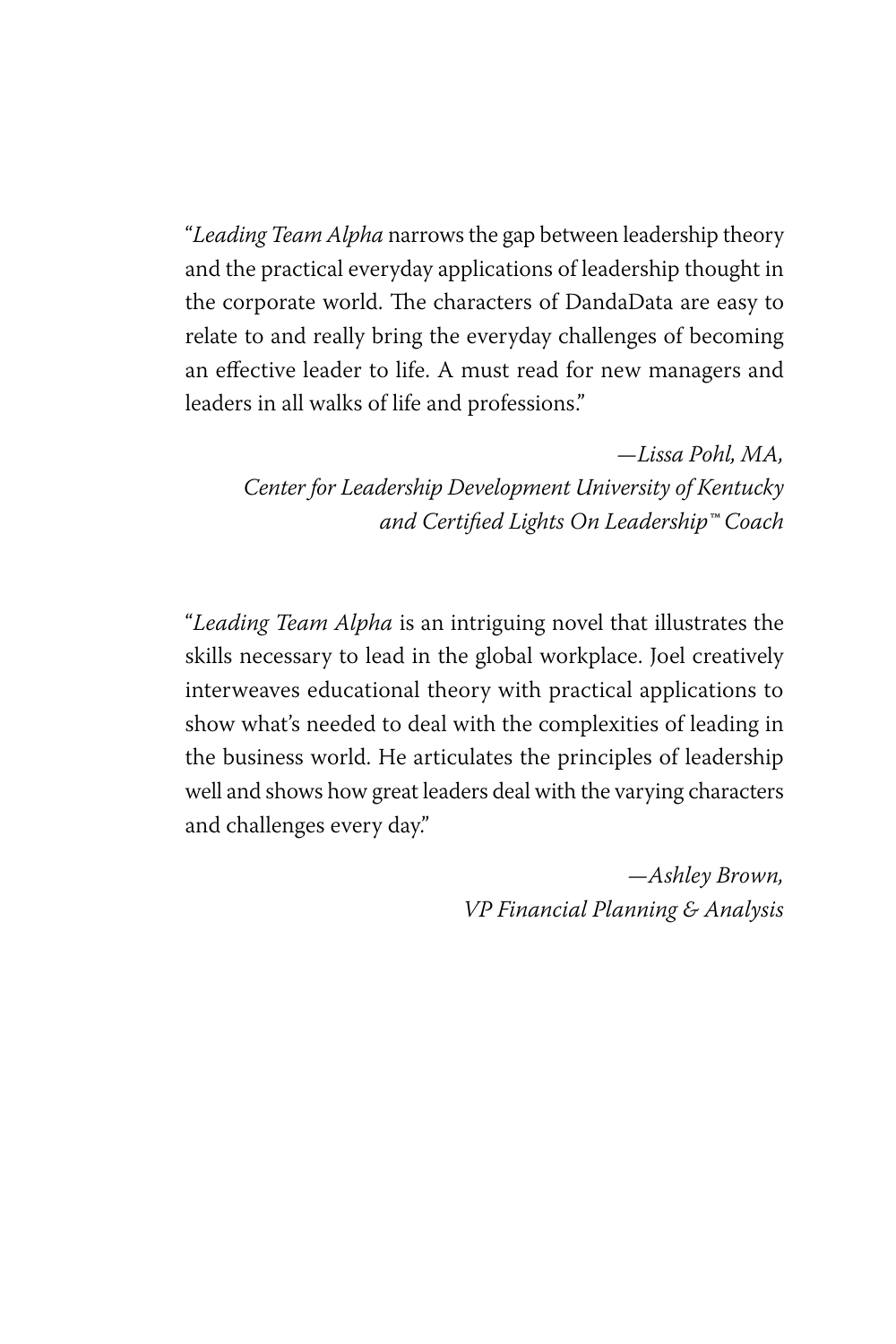"*Leading Team Alpha* narrows the gap between leadership theory and the practical everyday applications of leadership thought in the corporate world. The characters of DandaData are easy to relate to and really bring the everyday challenges of becoming an effective leader to life. A must read for new managers and leaders in all walks of life and professions."

*—Lissa Pohl, MA, Center for Leadership Development University of Kentucky and Certified Lights On Leadership™ Coach*

"*Leading Team Alpha* is an intriguing novel that illustrates the skills necessary to lead in the global workplace. Joel creatively interweaves educational theory with practical applications to show what's needed to deal with the complexities of leading in the business world. He articulates the principles of leadership well and shows how great leaders deal with the varying characters and challenges every day."

> *—Ashley Brown, VP Financial Planning & Analysis*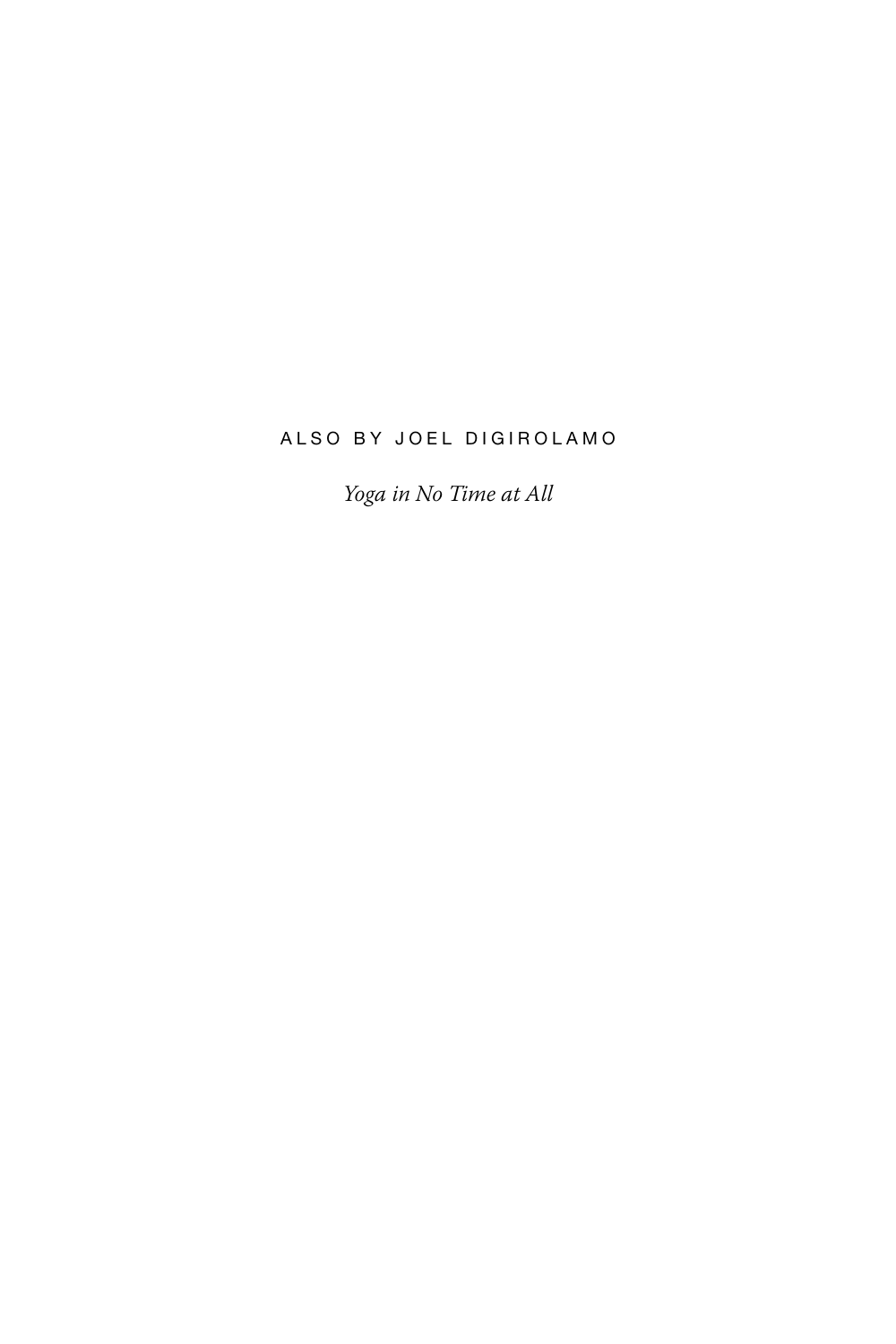#### ALSO BY JOEL DIGIROLAMO

*Yoga in No Time at All*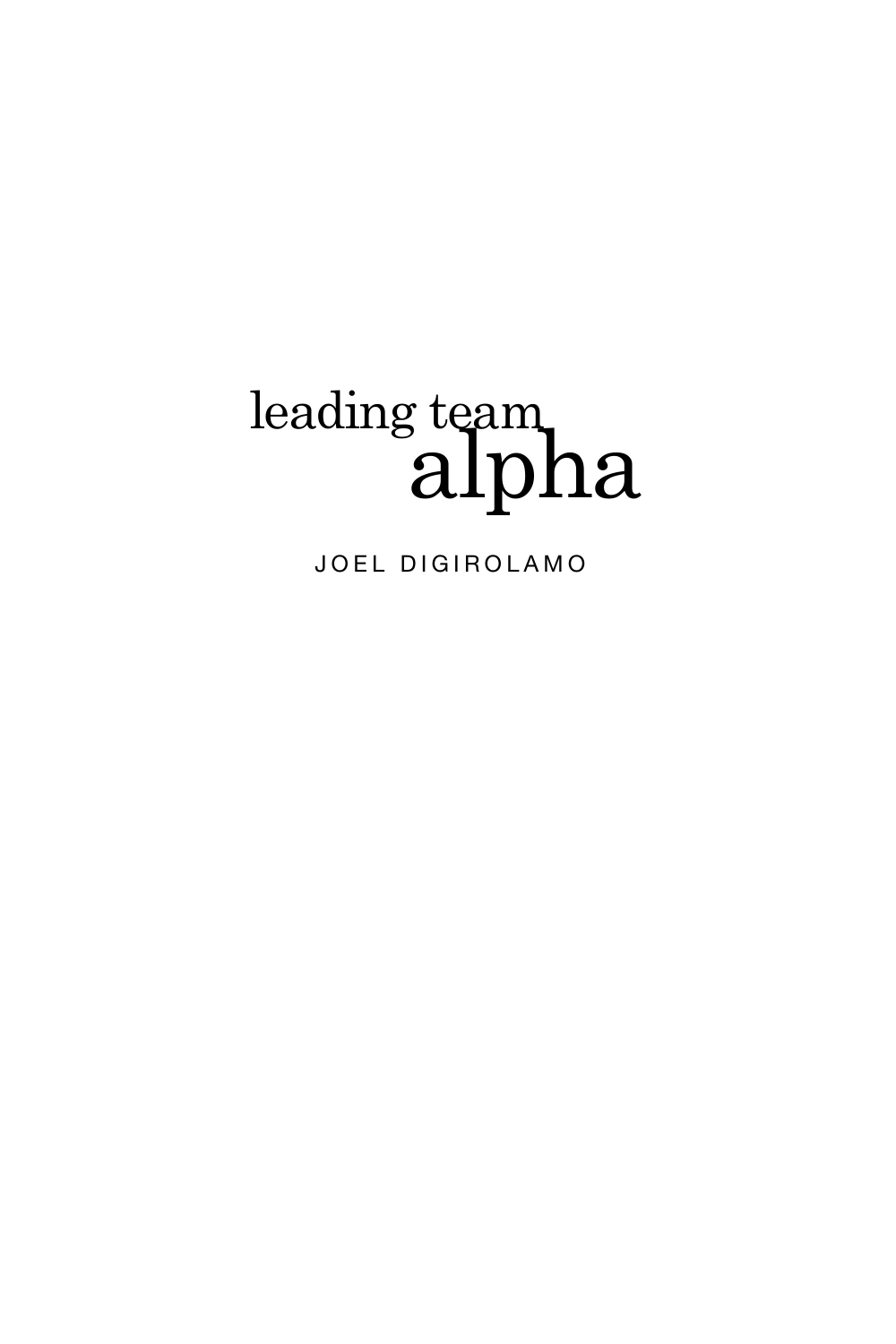## leading team<br>alpha

JOEL DIGIROLAMO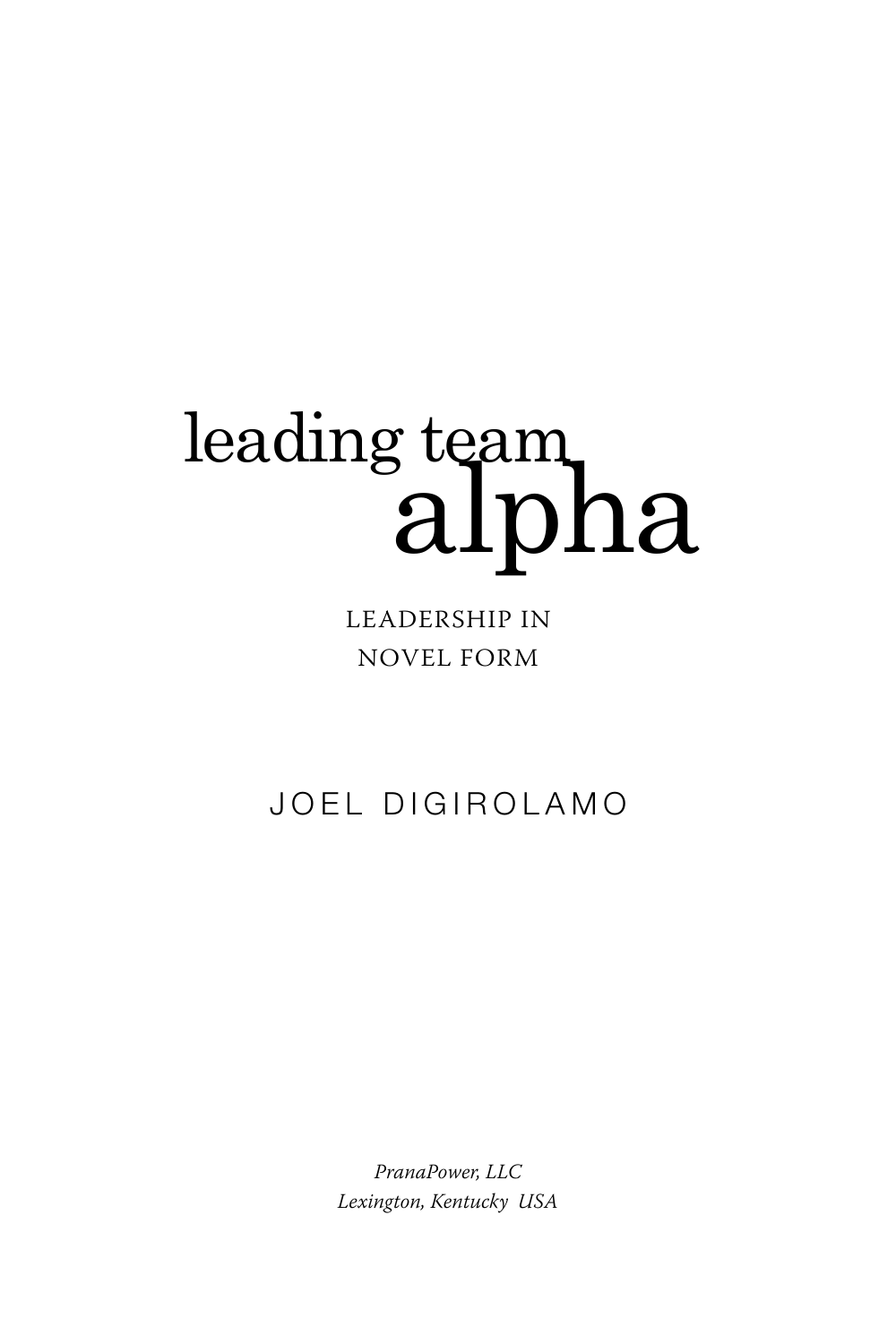## leading team<br>alpha

leadership in novel form

JOEL DIGIROLAMO

*PranaPower, LLC Lexington, Kentucky USA*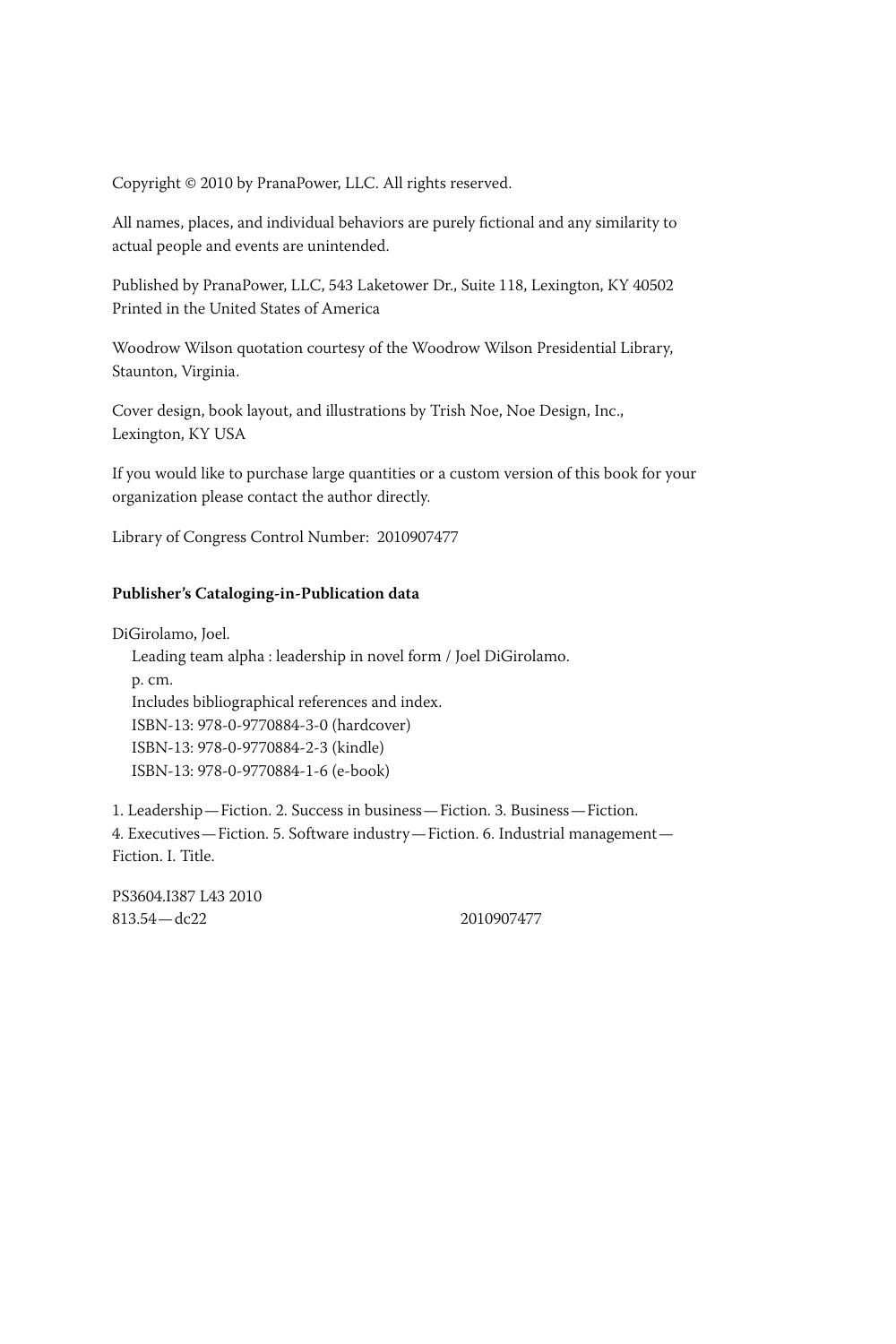Copyright © 2010 by PranaPower, LLC. All rights reserved.

All names, places, and individual behaviors are purely fictional and any similarity to actual people and events are unintended.

Published by PranaPower, LLC, 543 Laketower Dr., Suite 118, Lexington, KY 40502 Printed in the United States of America

Woodrow Wilson quotation courtesy of the Woodrow Wilson Presidential Library, Staunton, Virginia.

Cover design, book layout, and illustrations by Trish Noe, Noe Design, Inc., Lexington, KY USA

If you would like to purchase large quantities or a custom version of this book for your organization please contact the author directly.

Library of Congress Control Number: 2010907477

#### **Publisher's Cataloging-in-Publication data**

DiGirolamo, Joel. Leading team alpha : leadership in novel form / Joel DiGirolamo. p. cm. Includes bibliographical references and index. ISBN-13: 978-0-9770884-3-0 (hardcover) ISBN-13: 978-0-9770884-2-3 (kindle) ISBN-13: 978-0-9770884-1-6 (e-book)

1. Leadership—Fiction. 2. Success in business—Fiction. 3. Business—Fiction. 4. Executives—Fiction. 5. Software industry—Fiction. 6. Industrial management— Fiction. I. Title.

PS3604.I387 L43 2010 813.54—dc22 2010907477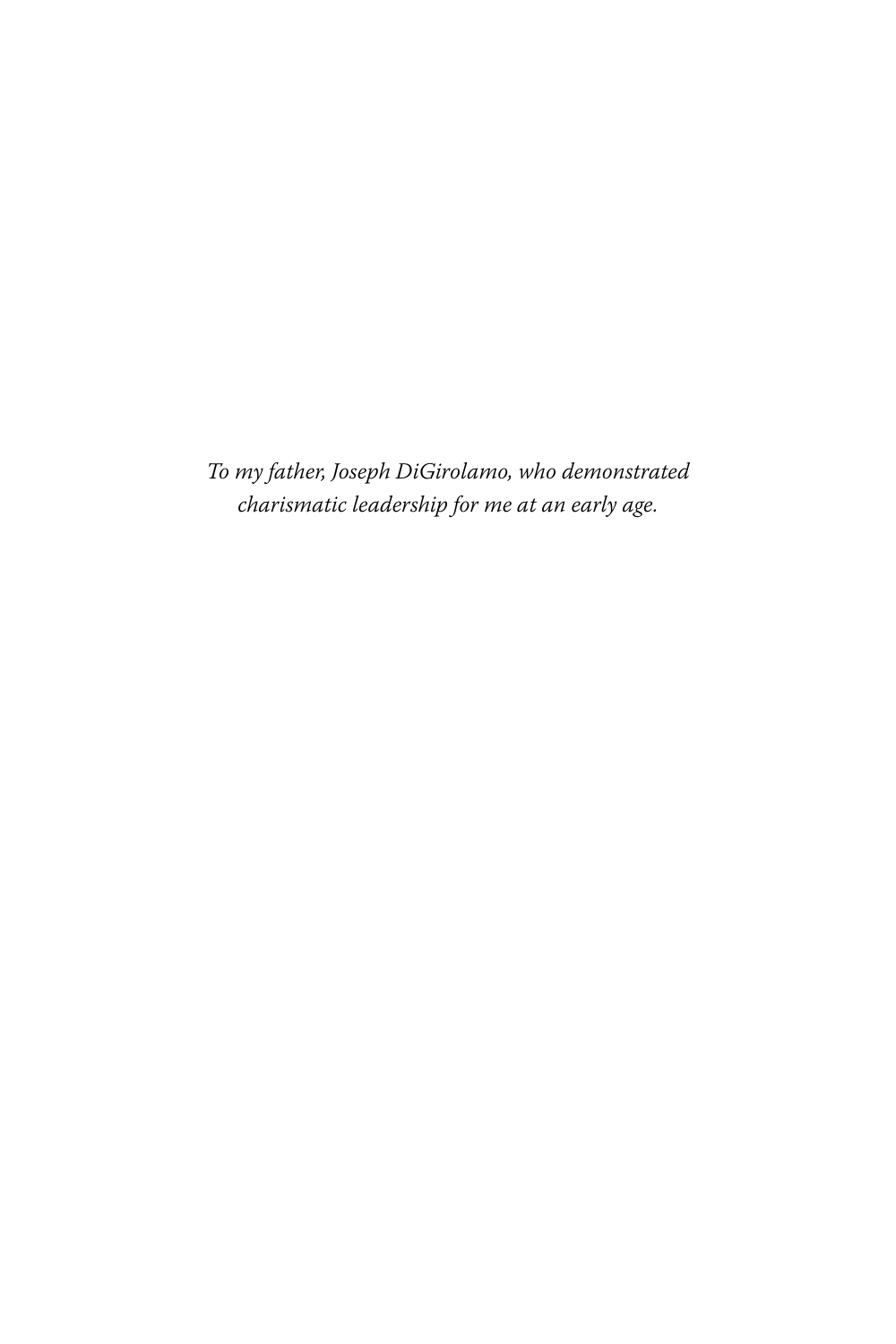*To my father, Joseph DiGirolamo, who demonstrated charismatic leadership for me at an early age.*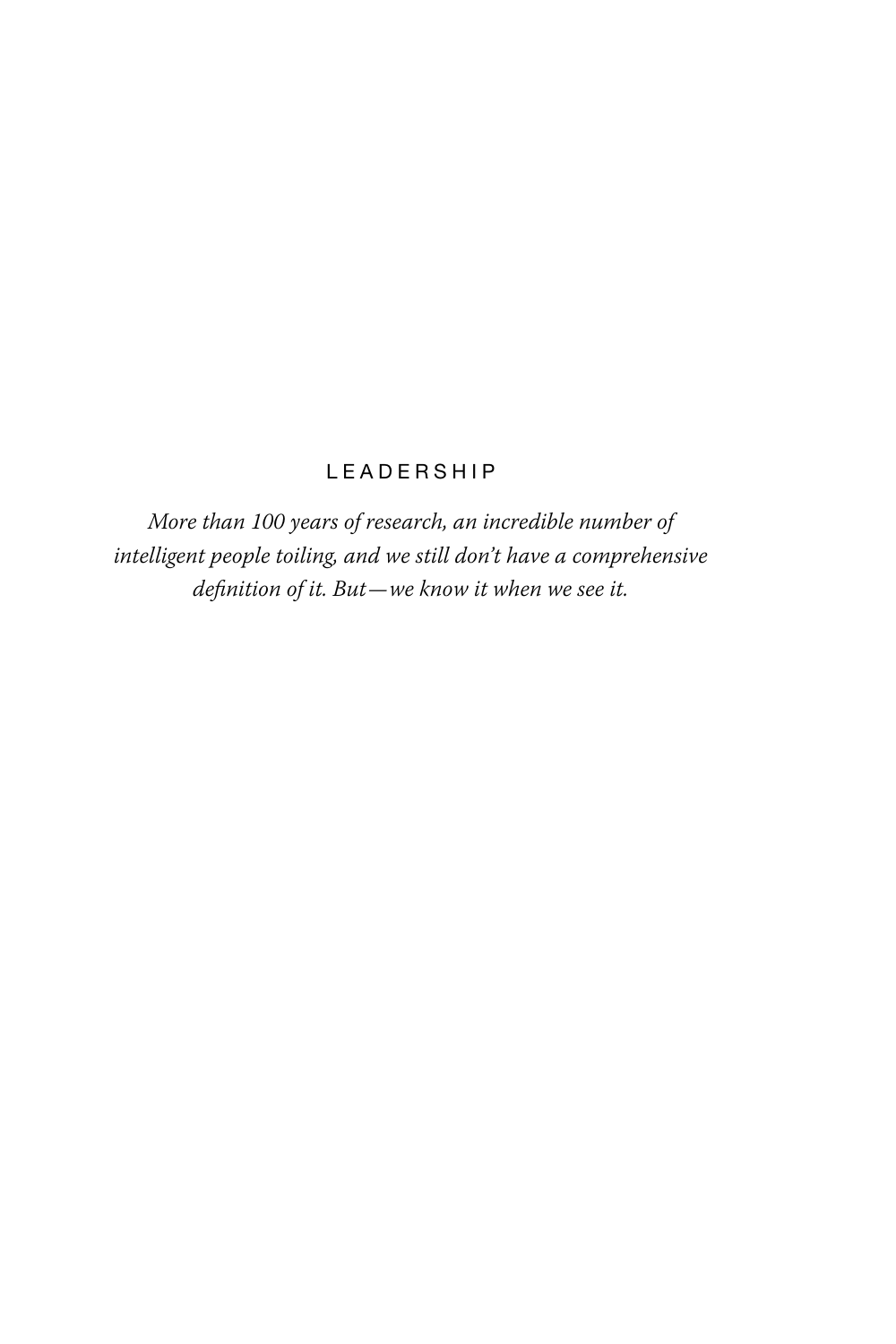#### L E A D E R S H I P

*More than 100 years of research, an incredible number of intelligent people toiling, and we still don't have a comprehensive definition of it. But—we know it when we see it.*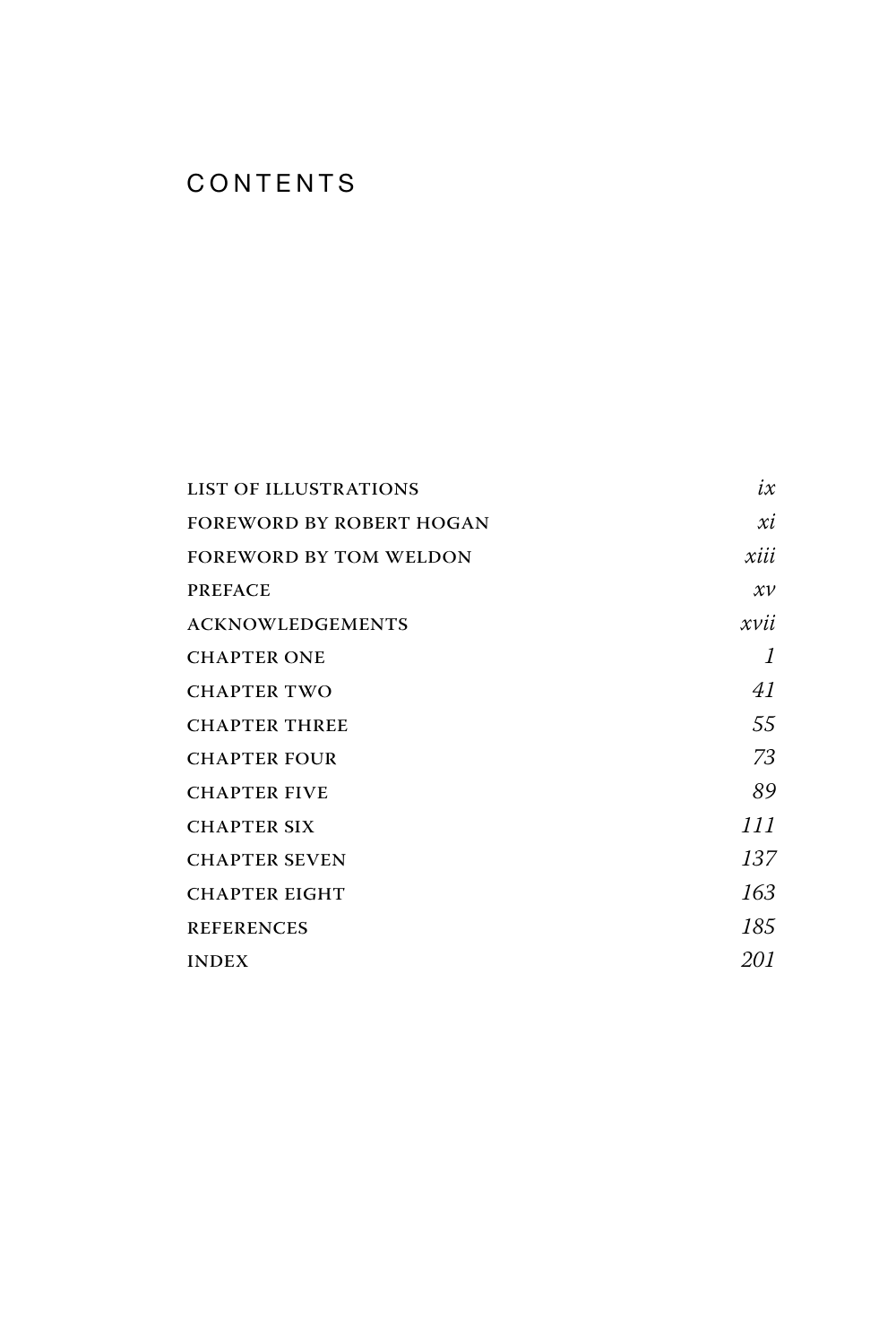#### **CONTENTS**

| <b>LIST OF ILLUSTRATIONS</b>    | $i\mathcal{x}$ |
|---------------------------------|----------------|
| <b>FOREWORD BY ROBERT HOGAN</b> | xi             |
| <b>FOREWORD BY TOM WELDON</b>   | xiii           |
| <b>PREFACE</b>                  | $x\nu$         |
| <b>ACKNOWLEDGEMENTS</b>         | xvii           |
| <b>CHAPTER ONE</b>              | 1              |
| <b>CHAPTER TWO</b>              | 41             |
| <b>CHAPTER THREE</b>            | 55             |
| <b>CHAPTER FOUR</b>             | 73             |
| <b>CHAPTER FIVE</b>             | 89             |
| <b>CHAPTER SIX</b>              | 111            |
| <b>CHAPTER SEVEN</b>            | 137            |
| <b>CHAPTER EIGHT</b>            | 163            |
| <b>REFERENCES</b>               | 185            |
| <b>INDEX</b>                    | 201            |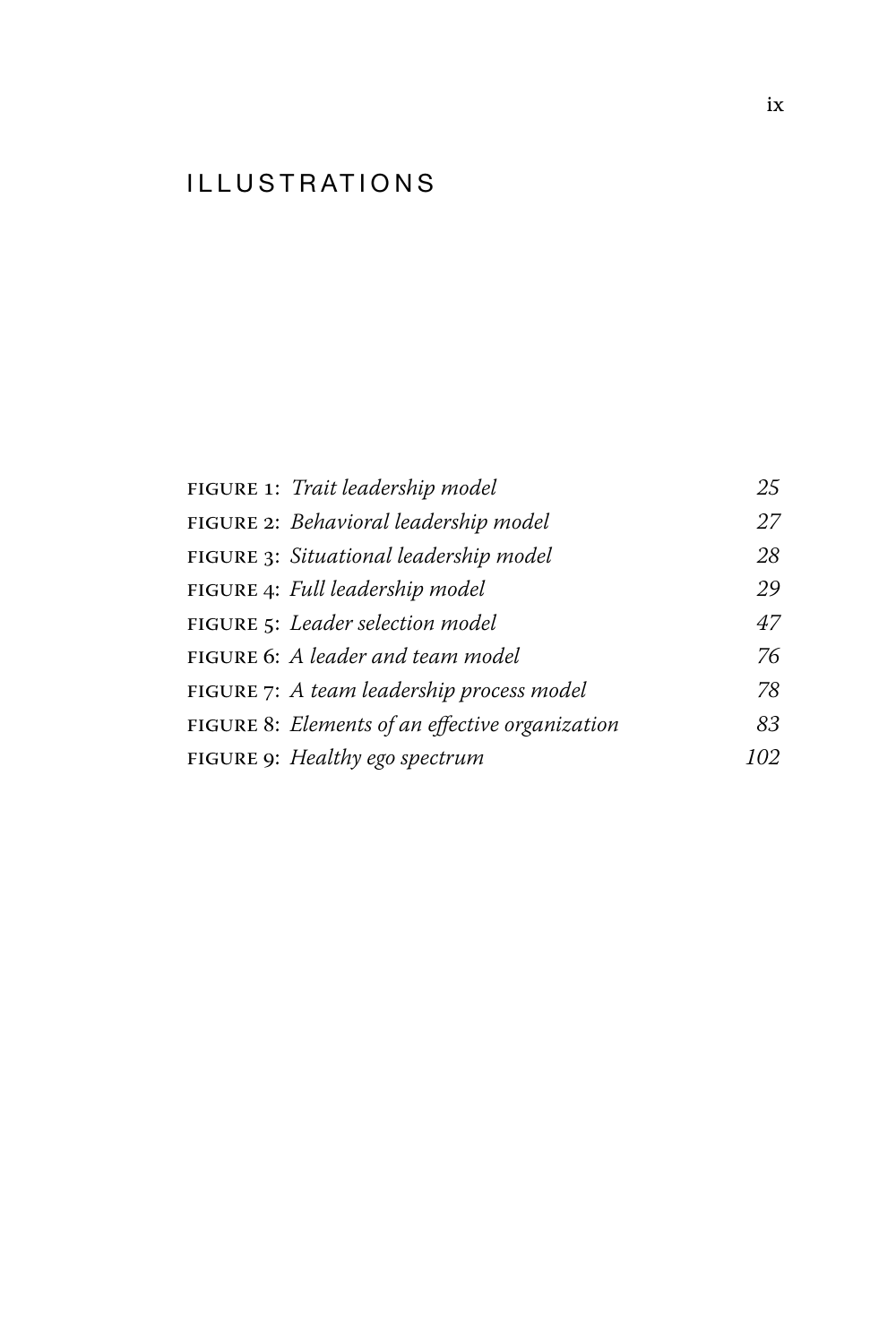#### ILLUSTRATIONS

| FIGURE 1: Trait leadership model                | 25  |
|-------------------------------------------------|-----|
| FIGURE 2: Behavioral leadership model           | 27  |
| FIGURE 3: Situational leadership model          | 28  |
| FIGURE 4: Full leadership model                 | 29  |
| FIGURE 5: Leader selection model                | 47  |
| FIGURE 6: A leader and team model               | 76  |
| FIGURE 7: A team leadership process model       | 78  |
| FIGURE 8: Elements of an effective organization | 83  |
| FIGURE 9: Healthy ego spectrum                  | 102 |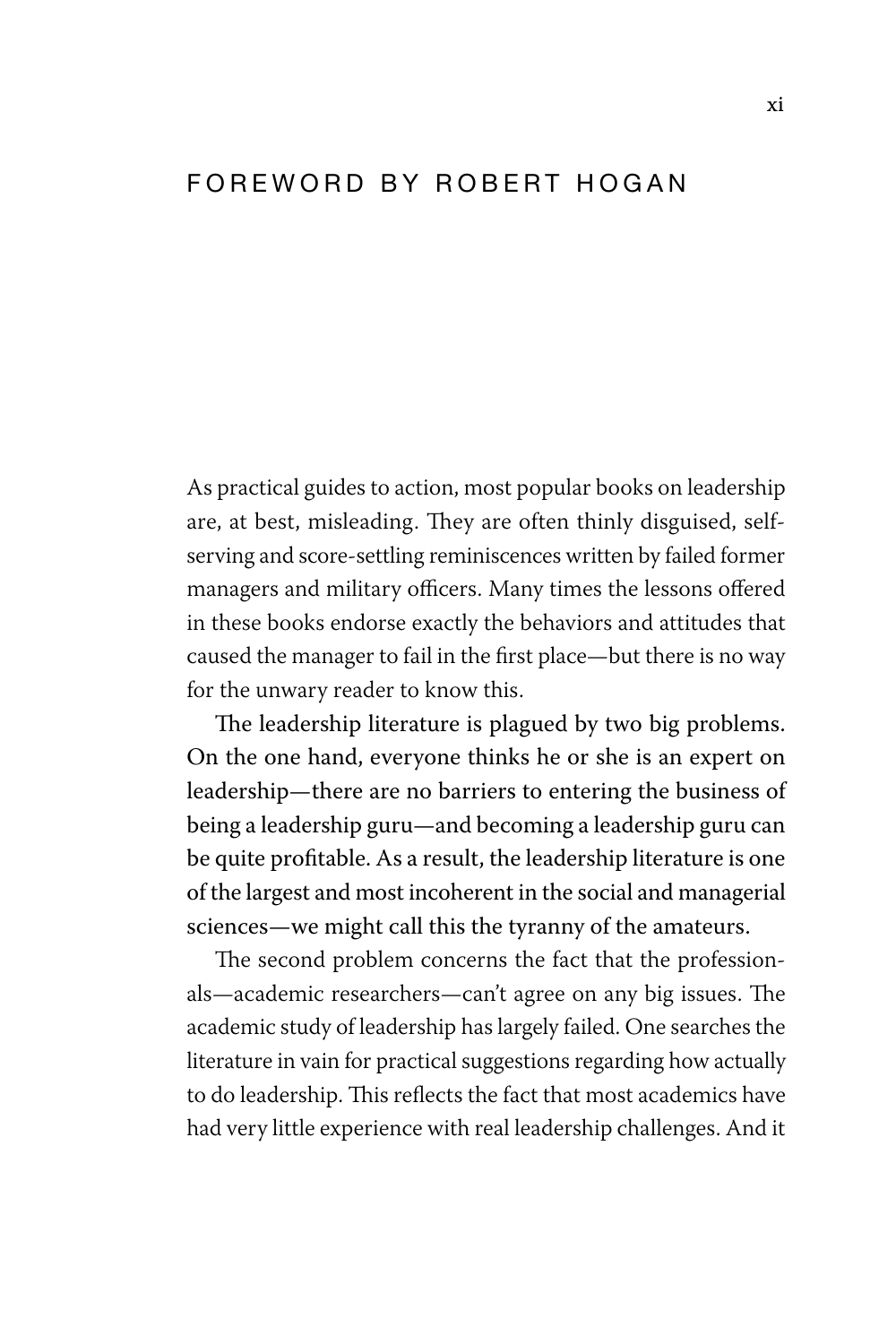#### FOREWORD BY ROBERT HOGAN

As practical guides to action, most popular books on leadership are, at best, misleading. They are often thinly disguised, selfserving and score-settling reminiscences written by failed former managers and military officers. Many times the lessons offered in these books endorse exactly the behaviors and attitudes that caused the manager to fail in the first place—but there is no way for the unwary reader to know this.

The leadership literature is plagued by two big problems. On the one hand, everyone thinks he or she is an expert on leadership—there are no barriers to entering the business of being a leadership guru—and becoming a leadership guru can be quite profitable. As a result, the leadership literature is one of the largest and most incoherent in the social and managerial sciences—we might call this the tyranny of the amateurs.

The second problem concerns the fact that the professionals—academic researchers—can't agree on any big issues. The academic study of leadership has largely failed. One searches the literature in vain for practical suggestions regarding how actually to do leadership. This reflects the fact that most academics have had very little experience with real leadership challenges. And it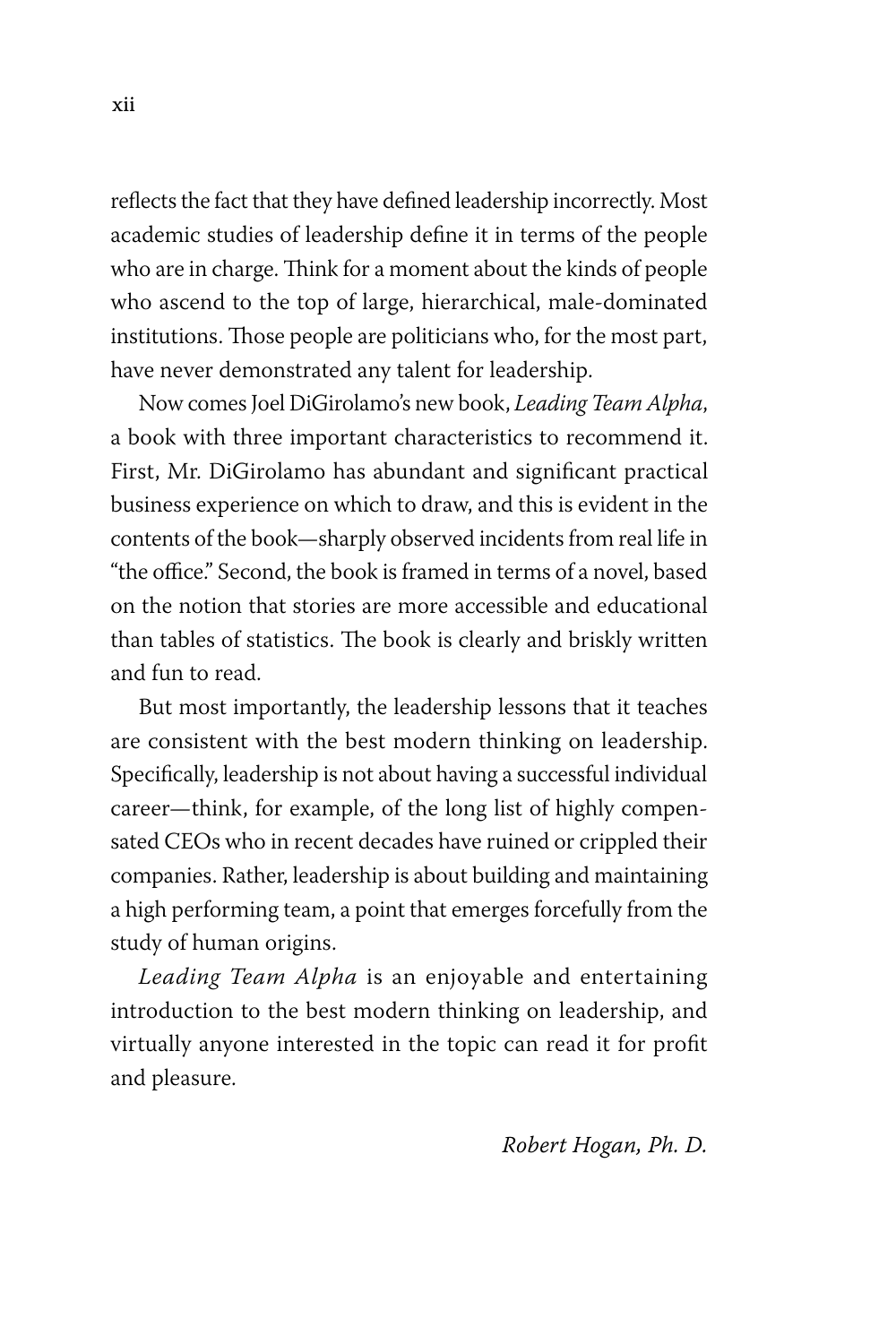reflects the fact that they have defined leadership incorrectly. Most academic studies of leadership define it in terms of the people who are in charge. Think for a moment about the kinds of people who ascend to the top of large, hierarchical, male-dominated institutions. Those people are politicians who, for the most part, have never demonstrated any talent for leadership.

Now comes Joel DiGirolamo's new book, *Leading Team Alpha*, a book with three important characteristics to recommend it. First, Mr. DiGirolamo has abundant and significant practical business experience on which to draw, and this is evident in the contents of the book—sharply observed incidents from real life in "the office." Second, the book is framed in terms of a novel, based on the notion that stories are more accessible and educational than tables of statistics. The book is clearly and briskly written and fun to read.

But most importantly, the leadership lessons that it teaches are consistent with the best modern thinking on leadership. Specifically, leadership is not about having a successful individual career—think, for example, of the long list of highly compensated CEOs who in recent decades have ruined or crippled their companies. Rather, leadership is about building and maintaining a high performing team, a point that emerges forcefully from the study of human origins.

*Leading Team Alpha* is an enjoyable and entertaining introduction to the best modern thinking on leadership, and virtually anyone interested in the topic can read it for profit and pleasure.

#### *Robert Hogan, Ph. D.*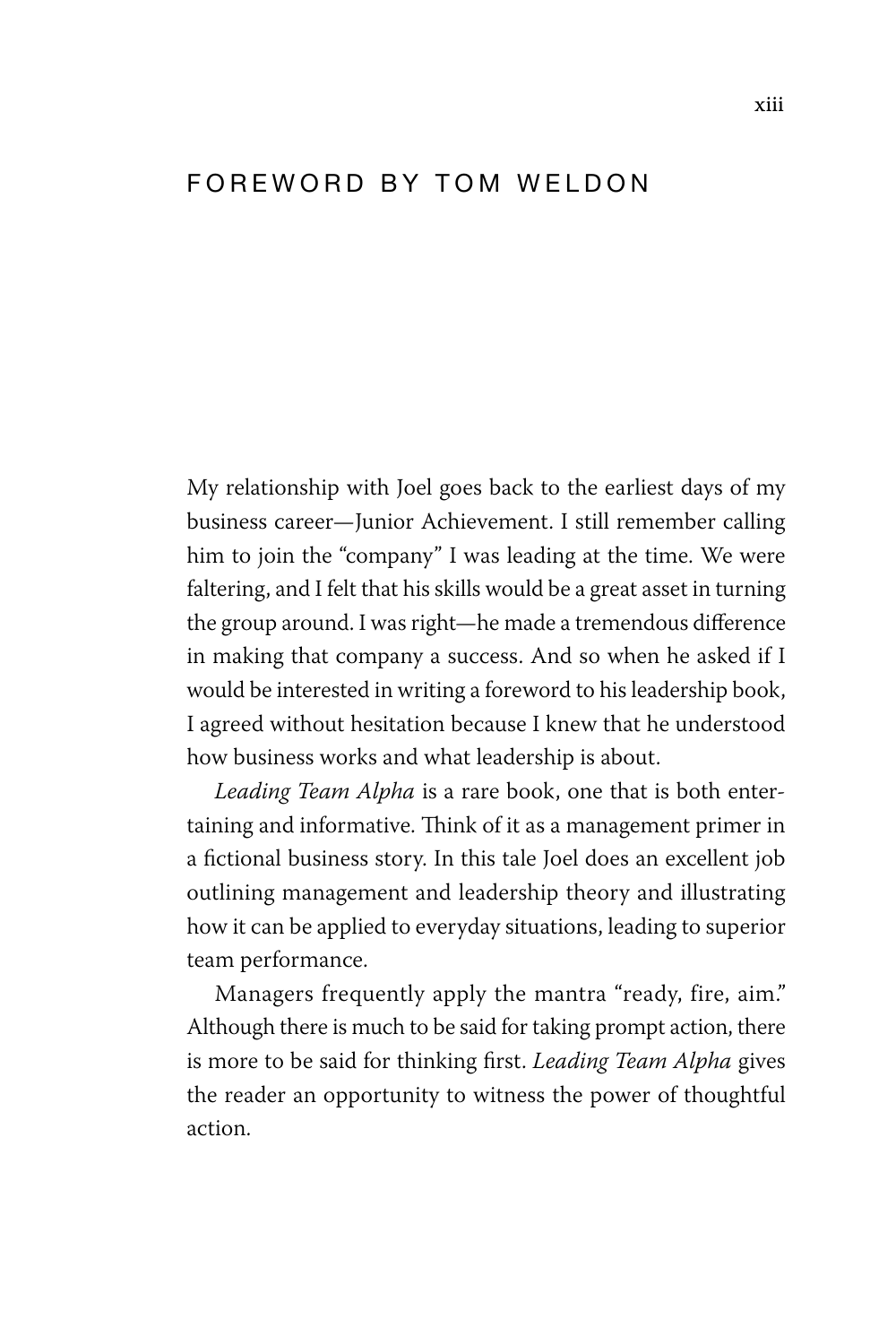#### FOREWORD BY TOM WELDON

My relationship with Joel goes back to the earliest days of my business career—Junior Achievement. I still remember calling him to join the "company" I was leading at the time. We were faltering, and I felt that his skills would be a great asset in turning the group around. I was right—he made a tremendous difference in making that company a success. And so when he asked if I would be interested in writing a foreword to his leadership book, I agreed without hesitation because I knew that he understood how business works and what leadership is about.

*Leading Team Alpha* is a rare book, one that is both entertaining and informative. Think of it as a management primer in a fictional business story. In this tale Joel does an excellent job outlining management and leadership theory and illustrating how it can be applied to everyday situations, leading to superior team performance.

Managers frequently apply the mantra "ready, fire, aim." Although there is much to be said for taking prompt action, there is more to be said for thinking first. *Leading Team Alpha* gives the reader an opportunity to witness the power of thoughtful action.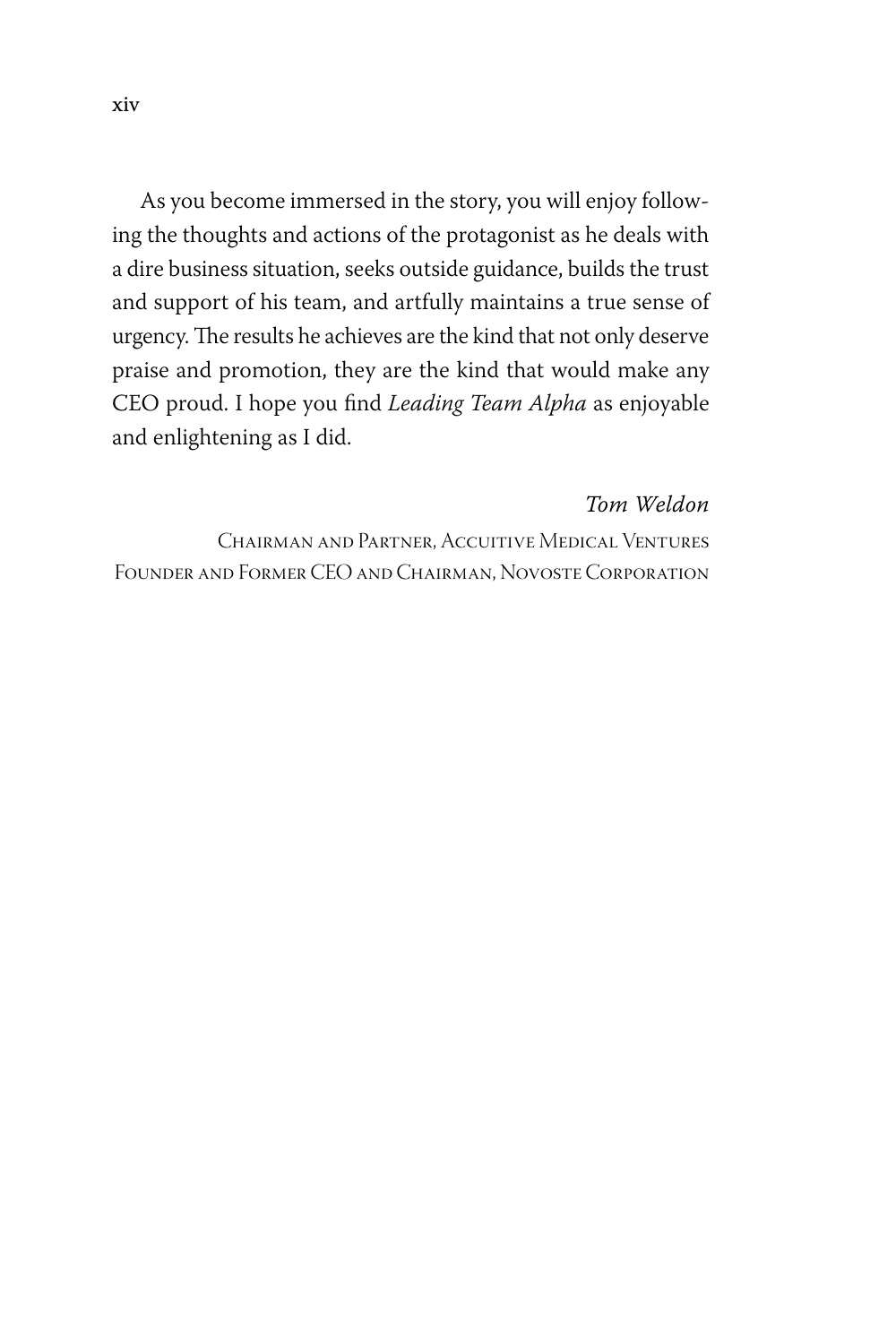As you become immersed in the story, you will enjoy following the thoughts and actions of the protagonist as he deals with a dire business situation, seeks outside guidance, builds the trust and support of his team, and artfully maintains a true sense of urgency. The results he achieves are the kind that not only deserve praise and promotion, they are the kind that would make any CEO proud. I hope you find *Leading Team Alpha* as enjoyable and enlightening as I did.

#### *Tom Weldon*

Chairman and Partner, Accuitive Medical Ventures Founder and Former CEO and Chairman, Novoste Corporation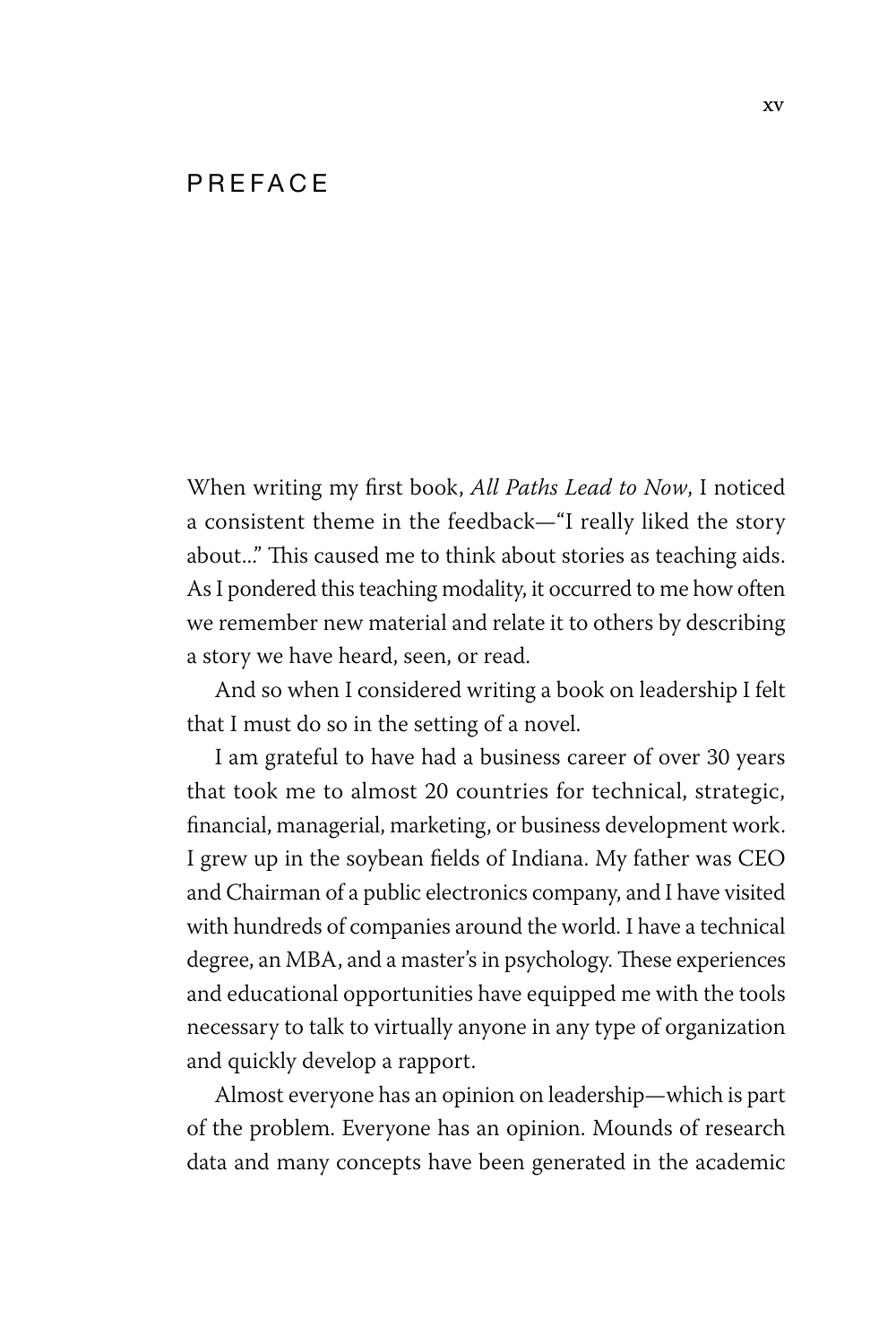#### **PRFFACE**

When writing my first book, *All Paths Lead to Now*, I noticed a consistent theme in the feedback—"I really liked the story about..." This caused me to think about stories as teaching aids. As I pondered this teaching modality, it occurred to me how often we remember new material and relate it to others by describing a story we have heard, seen, or read.

And so when I considered writing a book on leadership I felt that I must do so in the setting of a novel.

I am grateful to have had a business career of over 30 years that took me to almost 20 countries for technical, strategic, financial, managerial, marketing, or business development work. I grew up in the soybean fields of Indiana. My father was CEO and Chairman of a public electronics company, and I have visited with hundreds of companies around the world. I have a technical degree, an MBA, and a master's in psychology. These experiences and educational opportunities have equipped me with the tools necessary to talk to virtually anyone in any type of organization and quickly develop a rapport.

Almost everyone has an opinion on leadership—which is part of the problem. Everyone has an opinion. Mounds of research data and many concepts have been generated in the academic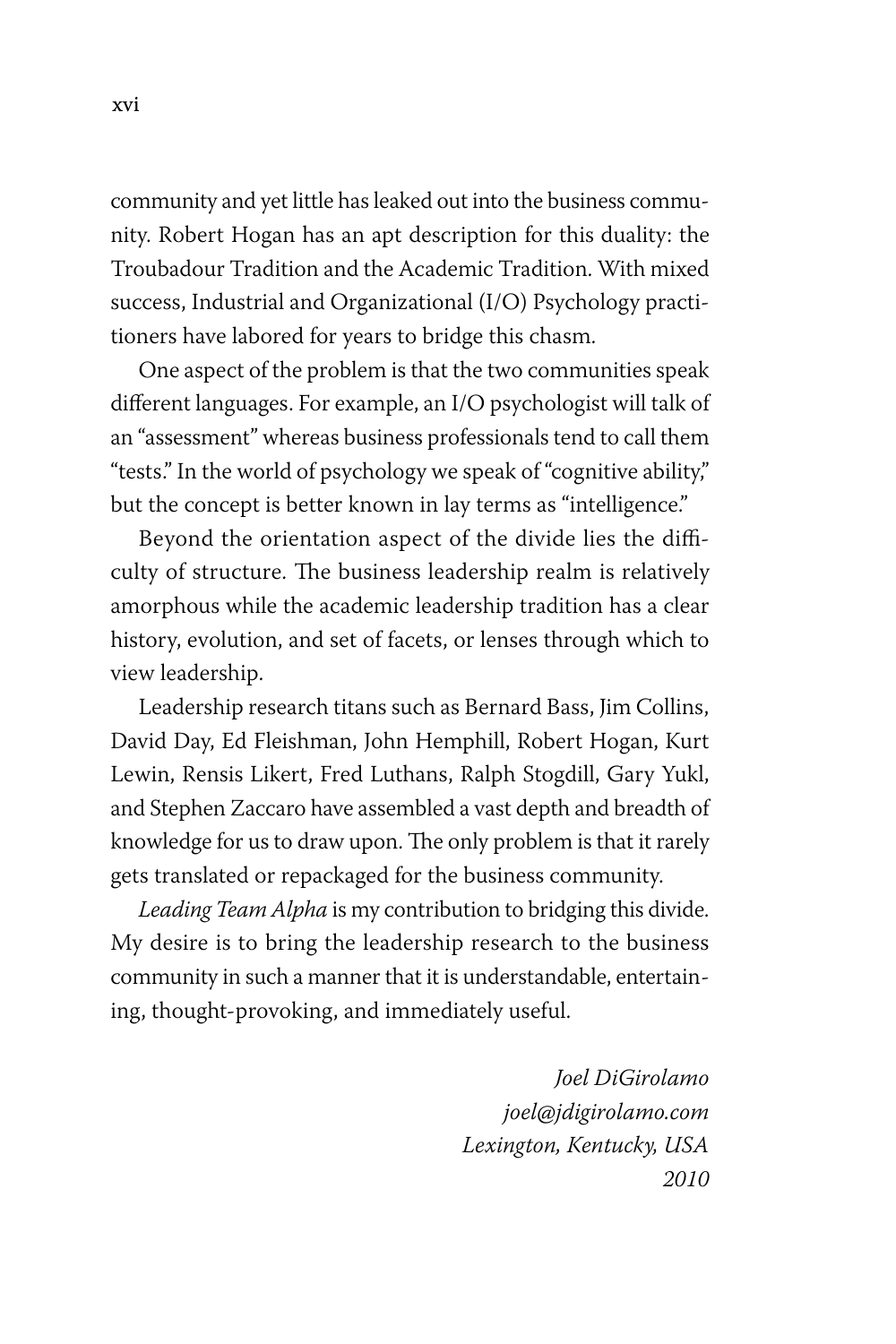community and yet little has leaked out into the business community. Robert Hogan has an apt description for this duality: the Troubadour Tradition and the Academic Tradition. With mixed success, Industrial and Organizational (I/O) Psychology practitioners have labored for years to bridge this chasm.

One aspect of the problem is that the two communities speak different languages. For example, an I/O psychologist will talk of an "assessment" whereas business professionals tend to call them "tests." In the world of psychology we speak of "cognitive ability," but the concept is better known in lay terms as "intelligence."

Beyond the orientation aspect of the divide lies the difficulty of structure. The business leadership realm is relatively amorphous while the academic leadership tradition has a clear history, evolution, and set of facets, or lenses through which to view leadership.

Leadership research titans such as Bernard Bass, Jim Collins, David Day, Ed Fleishman, John Hemphill, Robert Hogan, Kurt Lewin, Rensis Likert, Fred Luthans, Ralph Stogdill, Gary Yukl, and Stephen Zaccaro have assembled a vast depth and breadth of knowledge for us to draw upon. The only problem is that it rarely gets translated or repackaged for the business community.

*Leading Team Alpha* is my contribution to bridging this divide. My desire is to bring the leadership research to the business community in such a manner that it is understandable, entertaining, thought-provoking, and immediately useful.

> *Joel DiGirolamo joel@jdigirolamo.com Lexington, Kentucky, USA 2010*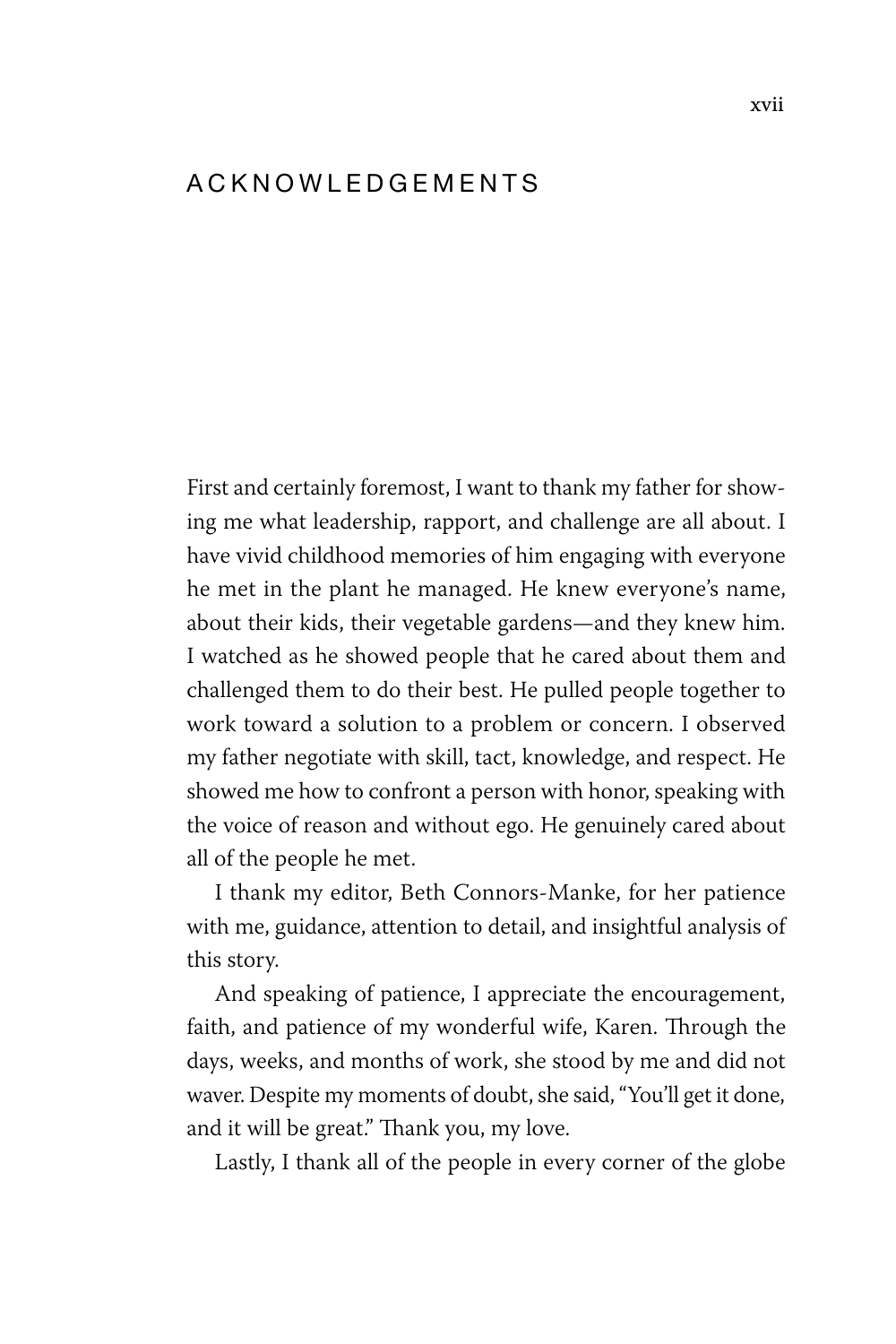#### a c k n o w l e d g e m e n t s

First and certainly foremost, I want to thank my father for showing me what leadership, rapport, and challenge are all about. I have vivid childhood memories of him engaging with everyone he met in the plant he managed. He knew everyone's name, about their kids, their vegetable gardens—and they knew him. I watched as he showed people that he cared about them and challenged them to do their best. He pulled people together to work toward a solution to a problem or concern. I observed my father negotiate with skill, tact, knowledge, and respect. He showed me how to confront a person with honor, speaking with the voice of reason and without ego. He genuinely cared about all of the people he met.

I thank my editor, Beth Connors-Manke, for her patience with me, guidance, attention to detail, and insightful analysis of this story.

And speaking of patience, I appreciate the encouragement, faith, and patience of my wonderful wife, Karen. Through the days, weeks, and months of work, she stood by me and did not waver. Despite my moments of doubt, she said, "You'll get it done, and it will be great." Thank you, my love.

Lastly, I thank all of the people in every corner of the globe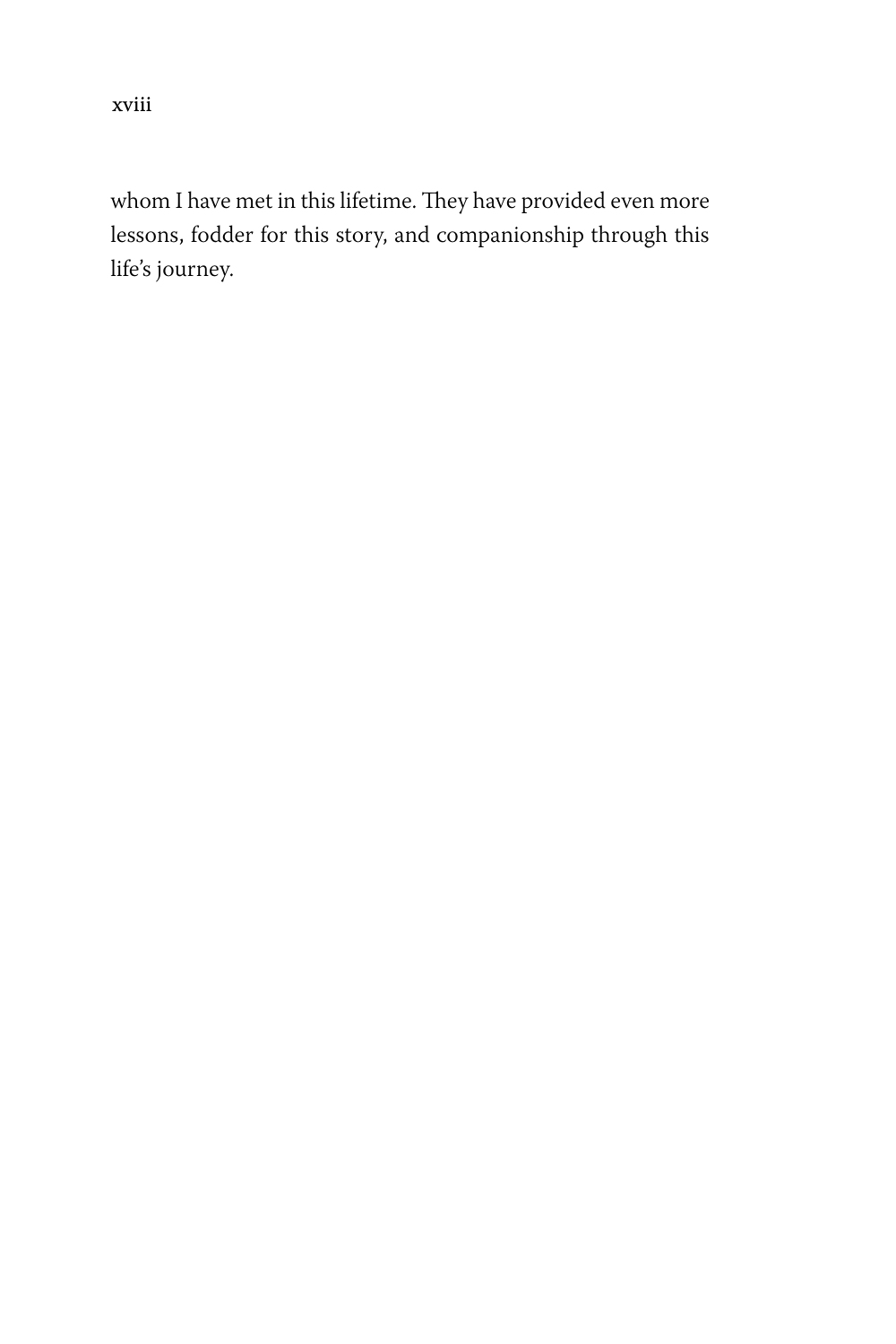xviii

whom I have met in this lifetime. They have provided even more lessons, fodder for this story, and companionship through this life's journey.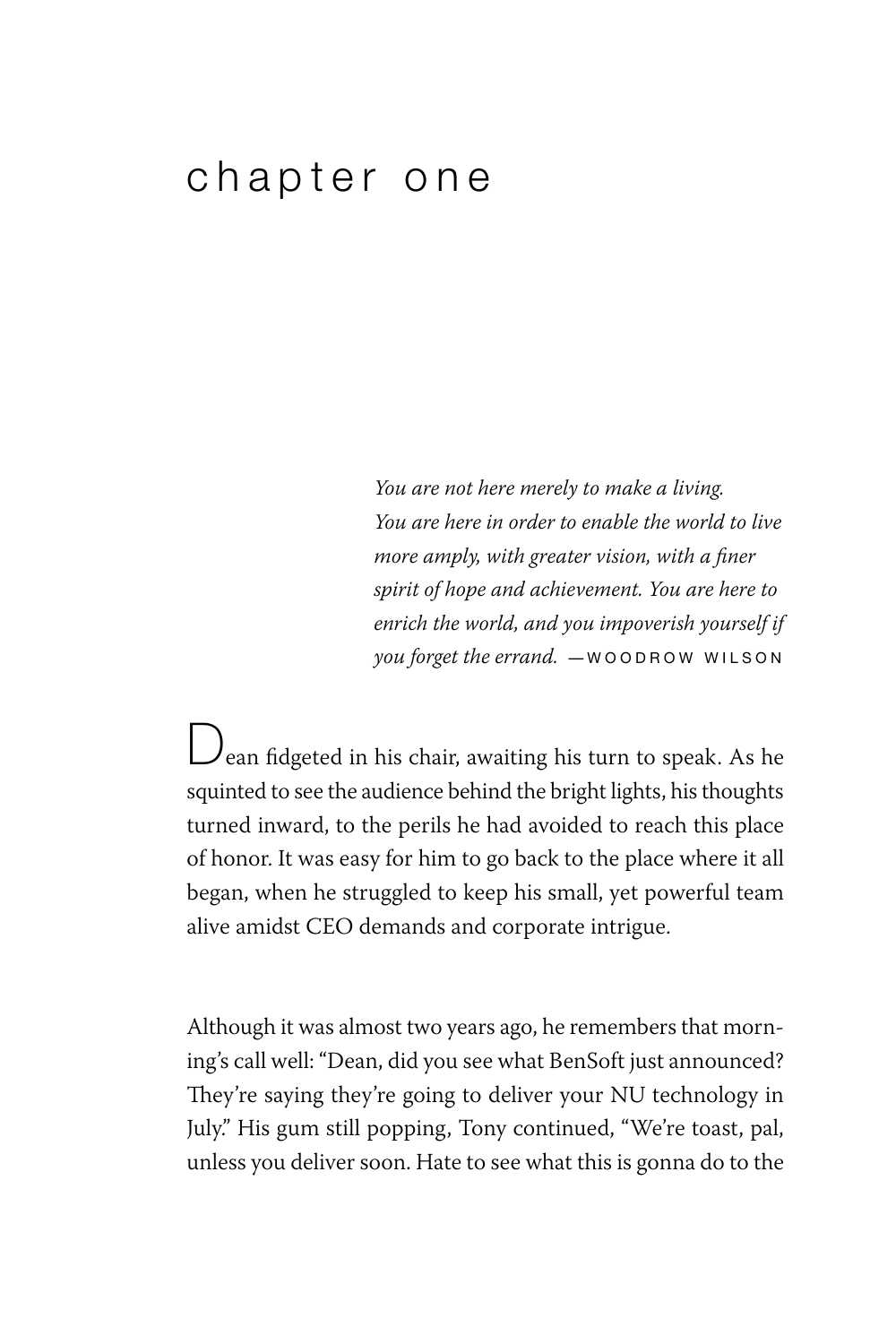#### chapter one

*You are not here merely to make a living. You are here in order to enable the world to live more amply, with greater vision, with a finer spirit of hope and achievement. You are here to enrich the world, and you impoverish yourself if you forget the errand.* - WOODROW WILSON

 $\bigcup$ ean fidgeted in his chair, awaiting his turn to speak. As he squinted to see the audience behind the bright lights, his thoughts turned inward, to the perils he had avoided to reach this place of honor. It was easy for him to go back to the place where it all began, when he struggled to keep his small, yet powerful team alive amidst CEO demands and corporate intrigue.

Although it was almost two years ago, he remembers that morning's call well: "Dean, did you see what BenSoft just announced? They're saying they're going to deliver your NU technology in July." His gum still popping, Tony continued, "We're toast, pal, unless you deliver soon. Hate to see what this is gonna do to the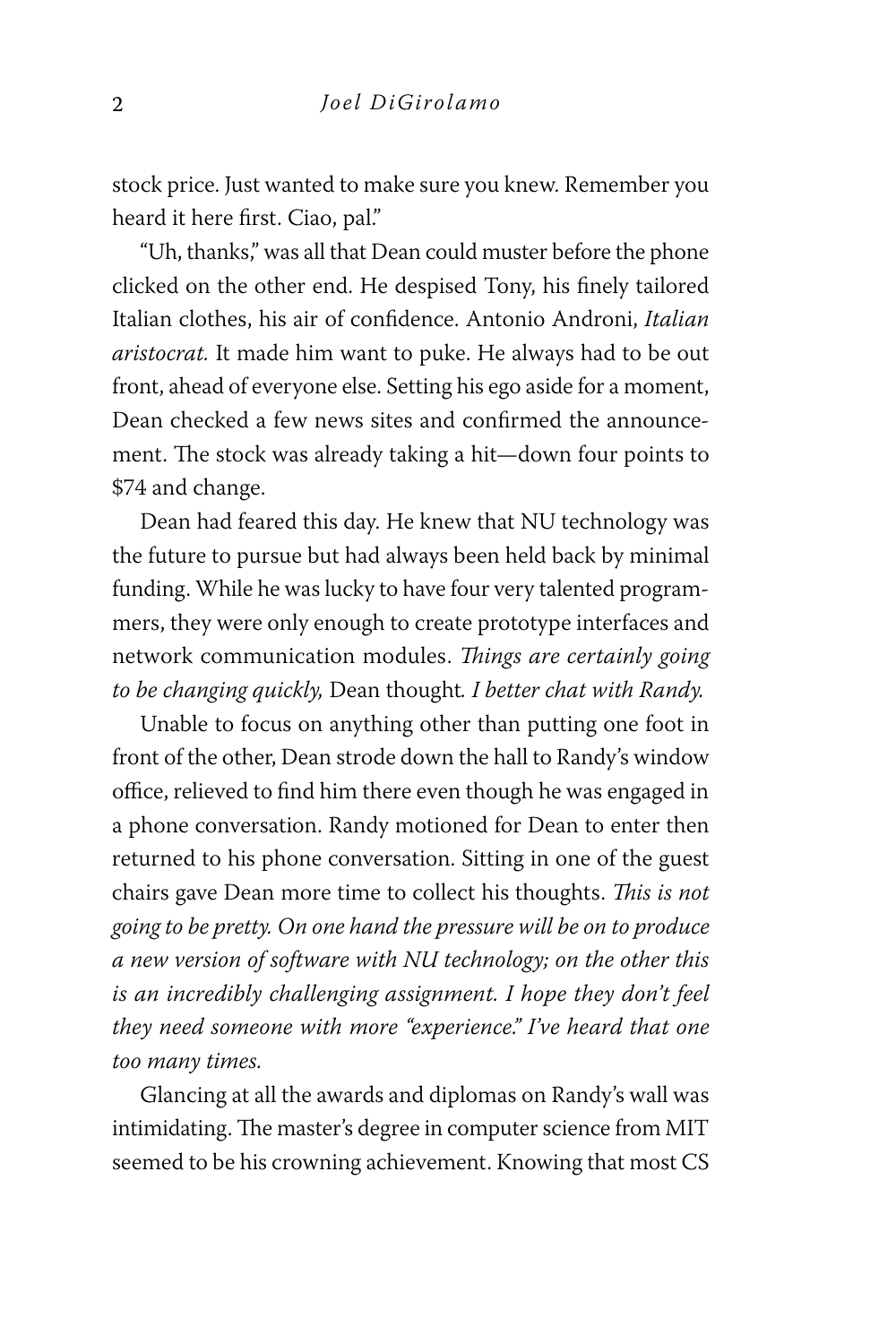stock price. Just wanted to make sure you knew. Remember you heard it here first. Ciao, pal."

"Uh, thanks," was all that Dean could muster before the phone clicked on the other end. He despised Tony, his finely tailored Italian clothes, his air of confidence. Antonio Androni, *Italian aristocrat.* It made him want to puke. He always had to be out front, ahead of everyone else. Setting his ego aside for a moment, Dean checked a few news sites and confirmed the announcement. The stock was already taking a hit—down four points to \$74 and change.

Dean had feared this day. He knew that NU technology was the future to pursue but had always been held back by minimal funding. While he was lucky to have four very talented programmers, they were only enough to create prototype interfaces and network communication modules. *Things are certainly going to be changing quickly,* Dean thought*. I better chat with Randy.*

Unable to focus on anything other than putting one foot in front of the other, Dean strode down the hall to Randy's window office, relieved to find him there even though he was engaged in a phone conversation. Randy motioned for Dean to enter then returned to his phone conversation. Sitting in one of the guest chairs gave Dean more time to collect his thoughts. *This is not going to be pretty. On one hand the pressure will be on to produce a new version of software with NU technology; on the other this is an incredibly challenging assignment. I hope they don't feel they need someone with more "experience." I've heard that one too many times.*

Glancing at all the awards and diplomas on Randy's wall was intimidating. The master's degree in computer science from MIT seemed to be his crowning achievement. Knowing that most CS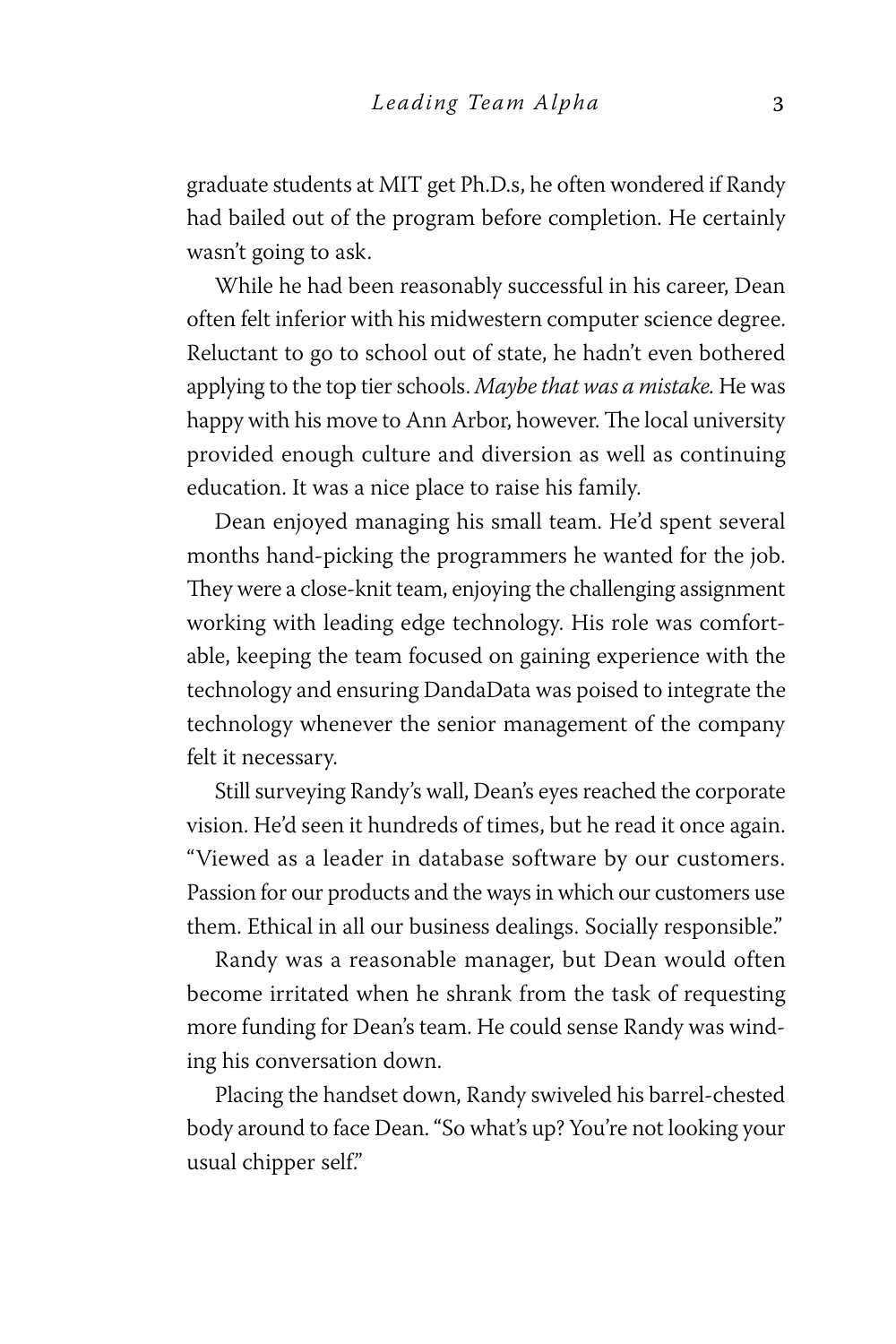graduate students at MIT get Ph.D.s, he often wondered if Randy had bailed out of the program before completion. He certainly wasn't going to ask.

While he had been reasonably successful in his career, Dean often felt inferior with his midwestern computer science degree. Reluctant to go to school out of state, he hadn't even bothered applying to the top tier schools. *Maybe that was a mistake.* He was happy with his move to Ann Arbor, however. The local university provided enough culture and diversion as well as continuing education. It was a nice place to raise his family.

Dean enjoyed managing his small team. He'd spent several months hand-picking the programmers he wanted for the job. They were a close-knit team, enjoying the challenging assignment working with leading edge technology. His role was comfortable, keeping the team focused on gaining experience with the technology and ensuring DandaData was poised to integrate the technology whenever the senior management of the company felt it necessary.

Still surveying Randy's wall, Dean's eyes reached the corporate vision. He'd seen it hundreds of times, but he read it once again. "Viewed as a leader in database software by our customers. Passion for our products and the ways in which our customers use them. Ethical in all our business dealings. Socially responsible."

Randy was a reasonable manager, but Dean would often become irritated when he shrank from the task of requesting more funding for Dean's team. He could sense Randy was winding his conversation down.

Placing the handset down, Randy swiveled his barrel-chested body around to face Dean. "So what's up? You're not looking your usual chipper self."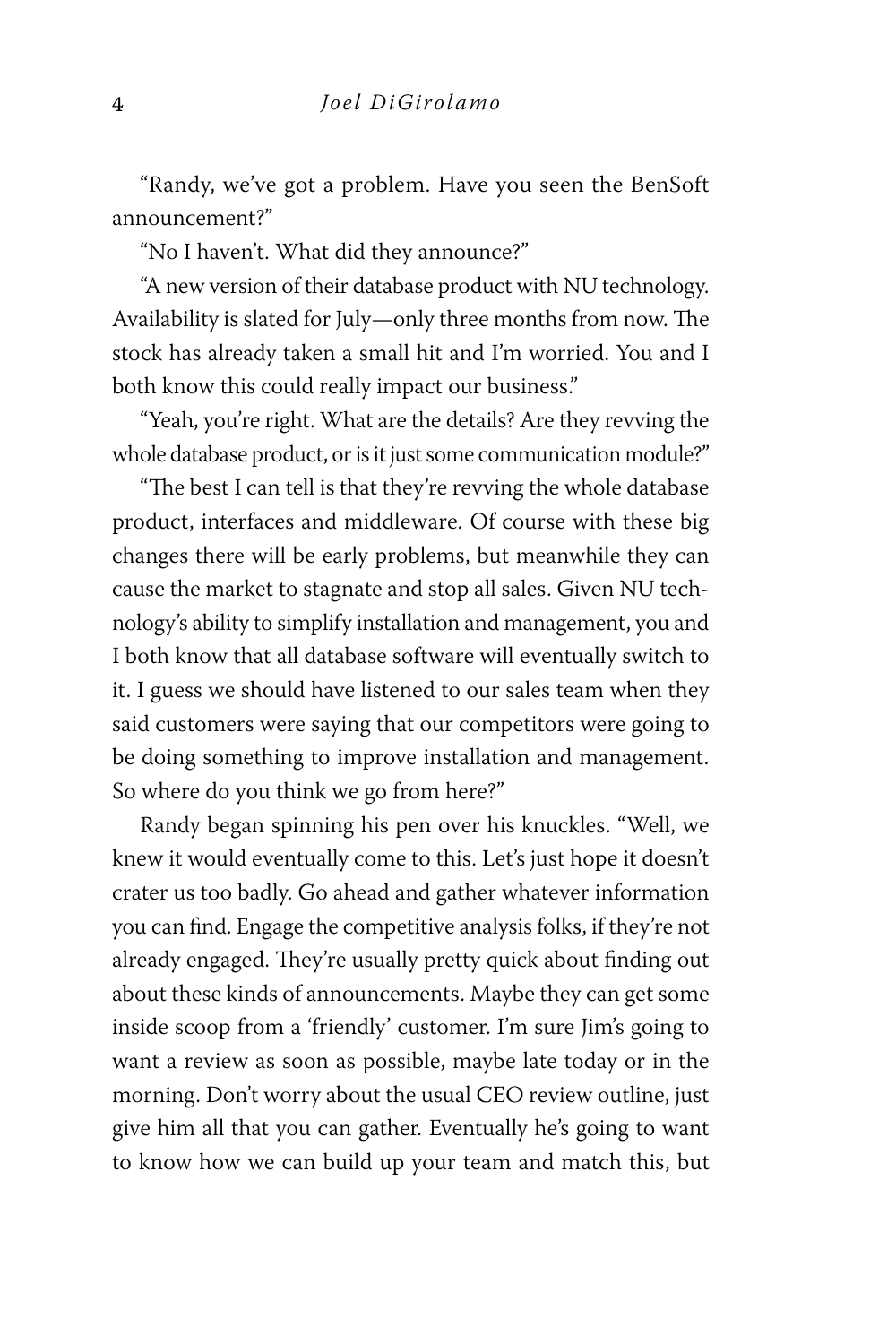"Randy, we've got a problem. Have you seen the BenSoft announcement?"

"No I haven't. What did they announce?"

"A new version of their database product with NU technology. Availability is slated for July—only three months from now. The stock has already taken a small hit and I'm worried. You and I both know this could really impact our business."

"Yeah, you're right. What are the details? Are they revving the whole database product, or is it just some communication module?"

"The best I can tell is that they're revving the whole database product, interfaces and middleware. Of course with these big changes there will be early problems, but meanwhile they can cause the market to stagnate and stop all sales. Given NU technology's ability to simplify installation and management, you and I both know that all database software will eventually switch to it. I guess we should have listened to our sales team when they said customers were saying that our competitors were going to be doing something to improve installation and management. So where do you think we go from here?"

Randy began spinning his pen over his knuckles. "Well, we knew it would eventually come to this. Let's just hope it doesn't crater us too badly. Go ahead and gather whatever information you can find. Engage the competitive analysis folks, if they're not already engaged. They're usually pretty quick about finding out about these kinds of announcements. Maybe they can get some inside scoop from a 'friendly' customer. I'm sure Jim's going to want a review as soon as possible, maybe late today or in the morning. Don't worry about the usual CEO review outline, just give him all that you can gather. Eventually he's going to want to know how we can build up your team and match this, but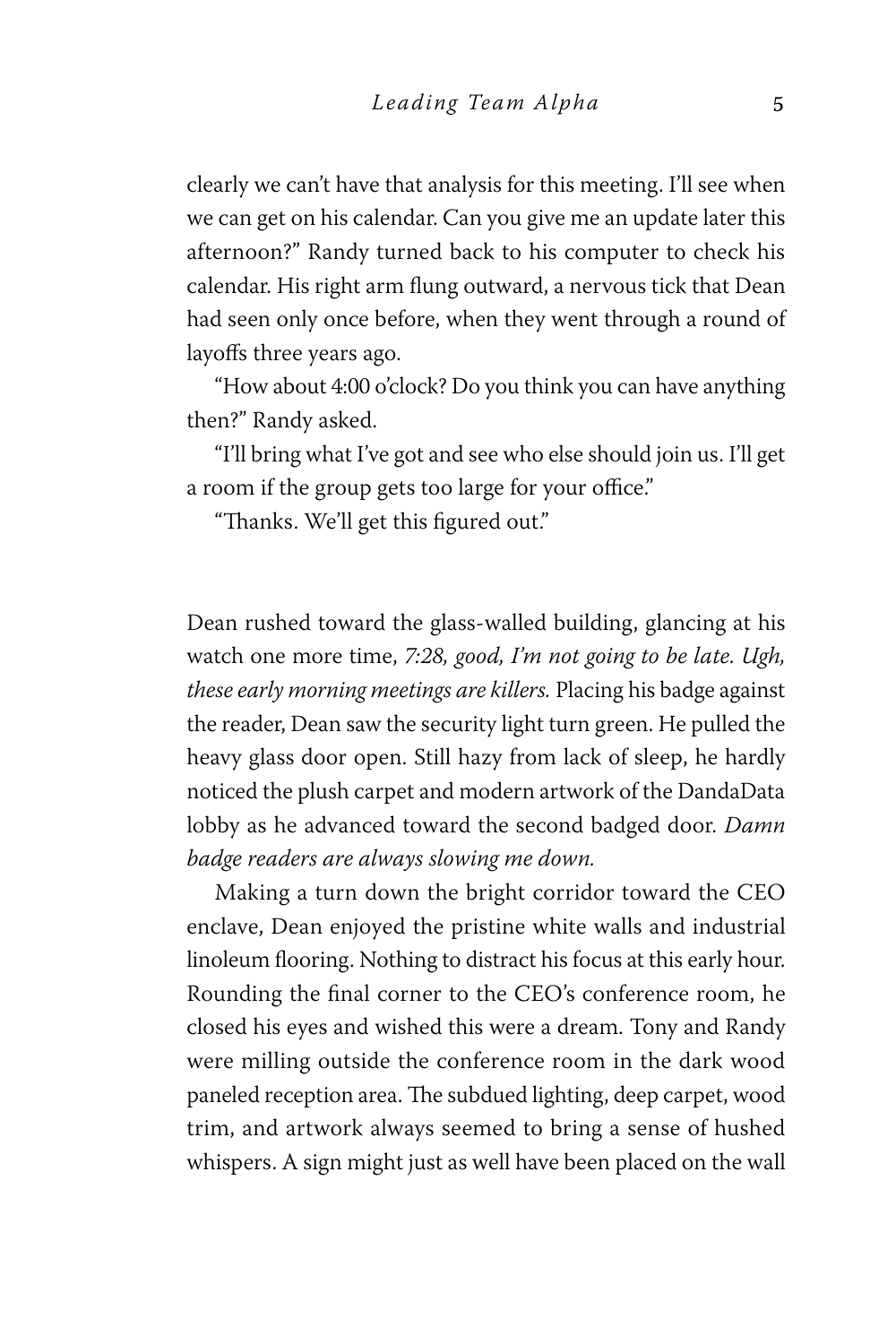clearly we can't have that analysis for this meeting. I'll see when we can get on his calendar. Can you give me an update later this afternoon?" Randy turned back to his computer to check his calendar. His right arm flung outward, a nervous tick that Dean had seen only once before, when they went through a round of layoffs three years ago.

"How about 4:00 o'clock? Do you think you can have anything then?" Randy asked.

"I'll bring what I've got and see who else should join us. I'll get a room if the group gets too large for your office."

"Thanks. We'll get this figured out."

Dean rushed toward the glass-walled building, glancing at his watch one more time, *7:28, good, I'm not going to be late. Ugh, these early morning meetings are killers.* Placing his badge against the reader, Dean saw the security light turn green. He pulled the heavy glass door open. Still hazy from lack of sleep, he hardly noticed the plush carpet and modern artwork of the DandaData lobby as he advanced toward the second badged door. *Damn badge readers are always slowing me down.*

Making a turn down the bright corridor toward the CEO enclave, Dean enjoyed the pristine white walls and industrial linoleum flooring. Nothing to distract his focus at this early hour. Rounding the final corner to the CEO's conference room, he closed his eyes and wished this were a dream. Tony and Randy were milling outside the conference room in the dark wood paneled reception area. The subdued lighting, deep carpet, wood trim, and artwork always seemed to bring a sense of hushed whispers. A sign might just as well have been placed on the wall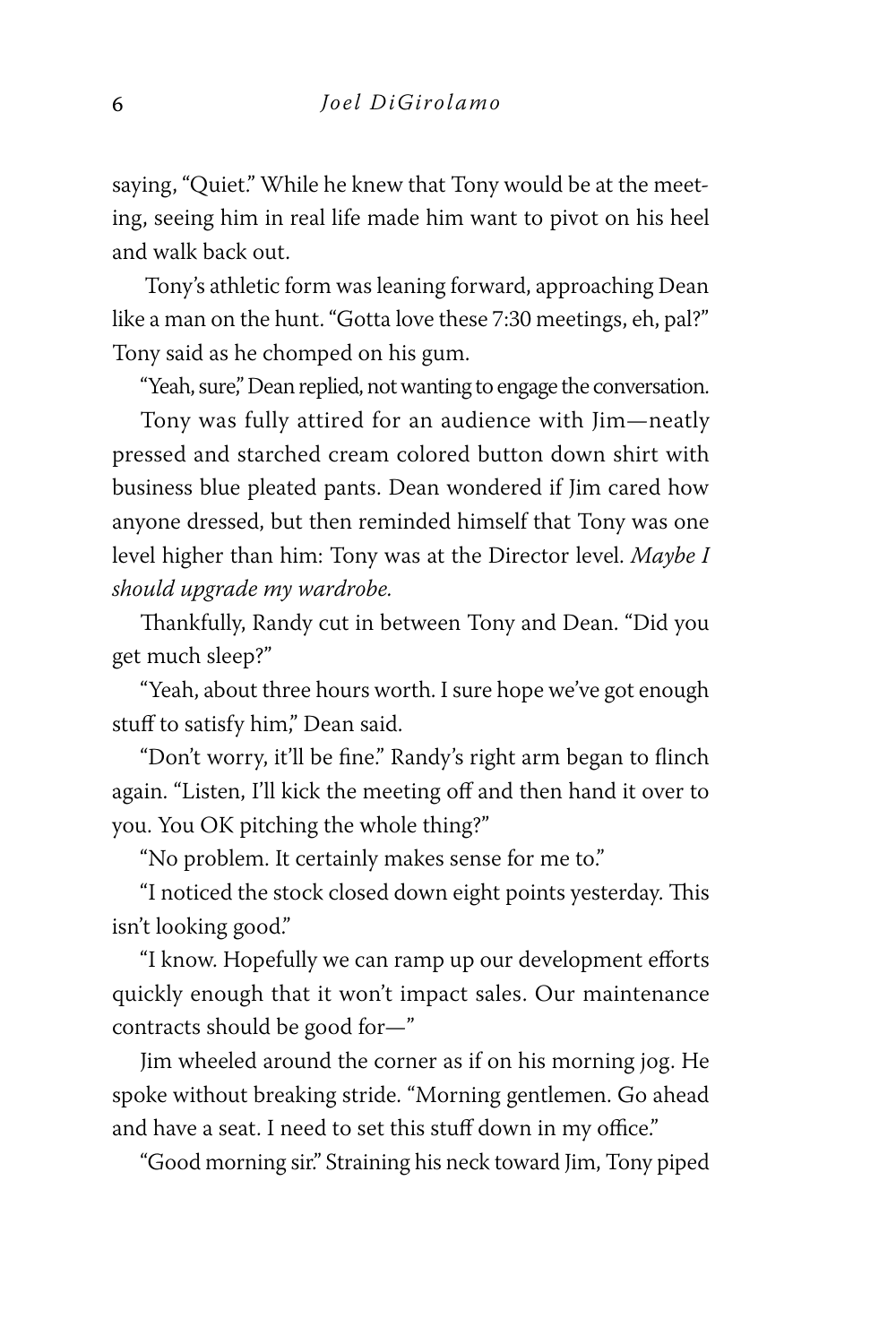saying, "Quiet." While he knew that Tony would be at the meeting, seeing him in real life made him want to pivot on his heel and walk back out.

 Tony's athletic form was leaning forward, approaching Dean like a man on the hunt. "Gotta love these 7:30 meetings, eh, pal?" Tony said as he chomped on his gum.

"Yeah, sure," Dean replied, not wanting to engage the conversation.

Tony was fully attired for an audience with Jim—neatly pressed and starched cream colored button down shirt with business blue pleated pants. Dean wondered if Jim cared how anyone dressed, but then reminded himself that Tony was one level higher than him: Tony was at the Director level. *Maybe I should upgrade my wardrobe.*

Thankfully, Randy cut in between Tony and Dean. "Did you get much sleep?"

"Yeah, about three hours worth. I sure hope we've got enough stuff to satisfy him," Dean said.

"Don't worry, it'll be fine." Randy's right arm began to flinch again. "Listen, I'll kick the meeting off and then hand it over to you. You OK pitching the whole thing?"

"No problem. It certainly makes sense for me to."

"I noticed the stock closed down eight points yesterday. This isn't looking good."

"I know. Hopefully we can ramp up our development efforts quickly enough that it won't impact sales. Our maintenance contracts should be good for—"

Jim wheeled around the corner as if on his morning jog. He spoke without breaking stride. "Morning gentlemen. Go ahead and have a seat. I need to set this stuff down in my office."

"Good morning sir." Straining his neck toward Jim, Tony piped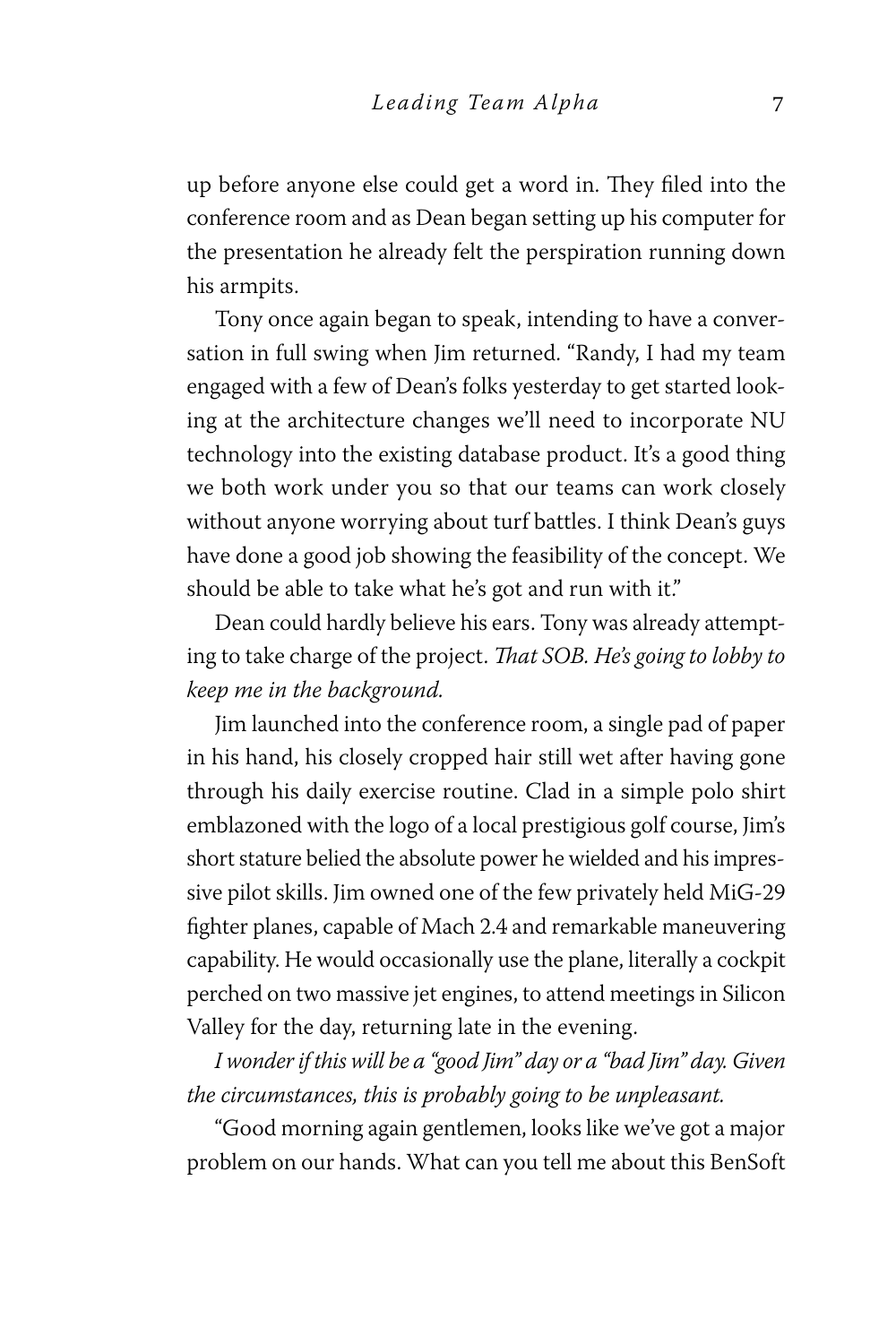up before anyone else could get a word in. They filed into the conference room and as Dean began setting up his computer for the presentation he already felt the perspiration running down his armpits.

Tony once again began to speak, intending to have a conversation in full swing when Jim returned. "Randy, I had my team engaged with a few of Dean's folks yesterday to get started looking at the architecture changes we'll need to incorporate NU technology into the existing database product. It's a good thing we both work under you so that our teams can work closely without anyone worrying about turf battles. I think Dean's guys have done a good job showing the feasibility of the concept. We should be able to take what he's got and run with it."

Dean could hardly believe his ears. Tony was already attempting to take charge of the project. *That SOB. He's going to lobby to keep me in the background.*

Jim launched into the conference room, a single pad of paper in his hand, his closely cropped hair still wet after having gone through his daily exercise routine. Clad in a simple polo shirt emblazoned with the logo of a local prestigious golf course, Jim's short stature belied the absolute power he wielded and his impressive pilot skills. Jim owned one of the few privately held MiG-29 fighter planes, capable of Mach 2.4 and remarkable maneuvering capability. He would occasionally use the plane, literally a cockpit perched on two massive jet engines, to attend meetings in Silicon Valley for the day, returning late in the evening.

*I wonder if this will be a "good Jim" day or a "bad Jim" day. Given the circumstances, this is probably going to be unpleasant.*

"Good morning again gentlemen, looks like we've got a major problem on our hands. What can you tell me about this BenSoft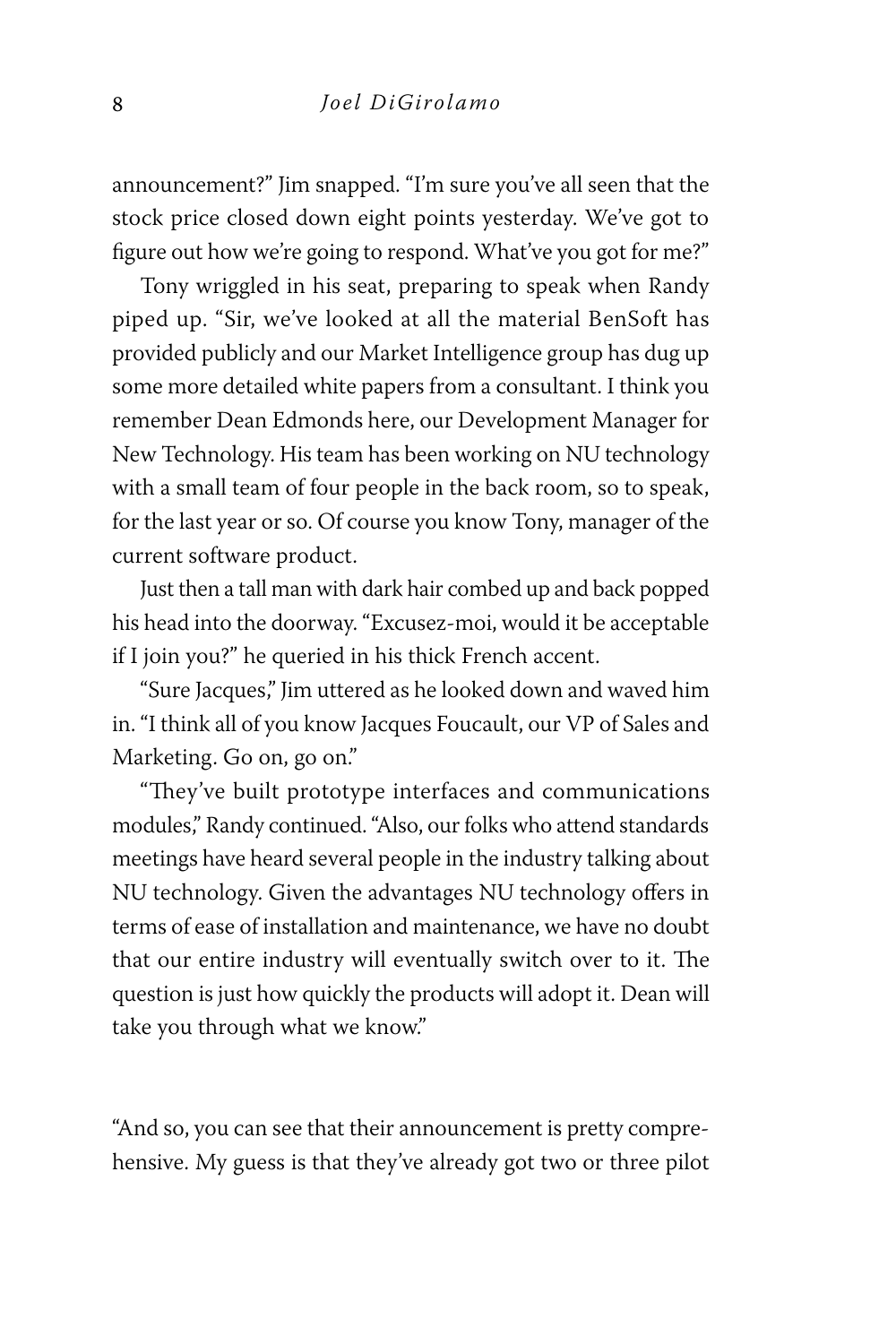announcement?" Jim snapped. "I'm sure you've all seen that the stock price closed down eight points yesterday. We've got to figure out how we're going to respond. What've you got for me?"

Tony wriggled in his seat, preparing to speak when Randy piped up. "Sir, we've looked at all the material BenSoft has provided publicly and our Market Intelligence group has dug up some more detailed white papers from a consultant. I think you remember Dean Edmonds here, our Development Manager for New Technology. His team has been working on NU technology with a small team of four people in the back room, so to speak, for the last year or so. Of course you know Tony, manager of the current software product.

Just then a tall man with dark hair combed up and back popped his head into the doorway. "Excusez-moi, would it be acceptable if I join you?" he queried in his thick French accent.

"Sure Jacques," Jim uttered as he looked down and waved him in. "I think all of you know Jacques Foucault, our VP of Sales and Marketing. Go on, go on."

"They've built prototype interfaces and communications modules," Randy continued. "Also, our folks who attend standards meetings have heard several people in the industry talking about NU technology. Given the advantages NU technology offers in terms of ease of installation and maintenance, we have no doubt that our entire industry will eventually switch over to it. The question is just how quickly the products will adopt it. Dean will take you through what we know."

"And so, you can see that their announcement is pretty comprehensive. My guess is that they've already got two or three pilot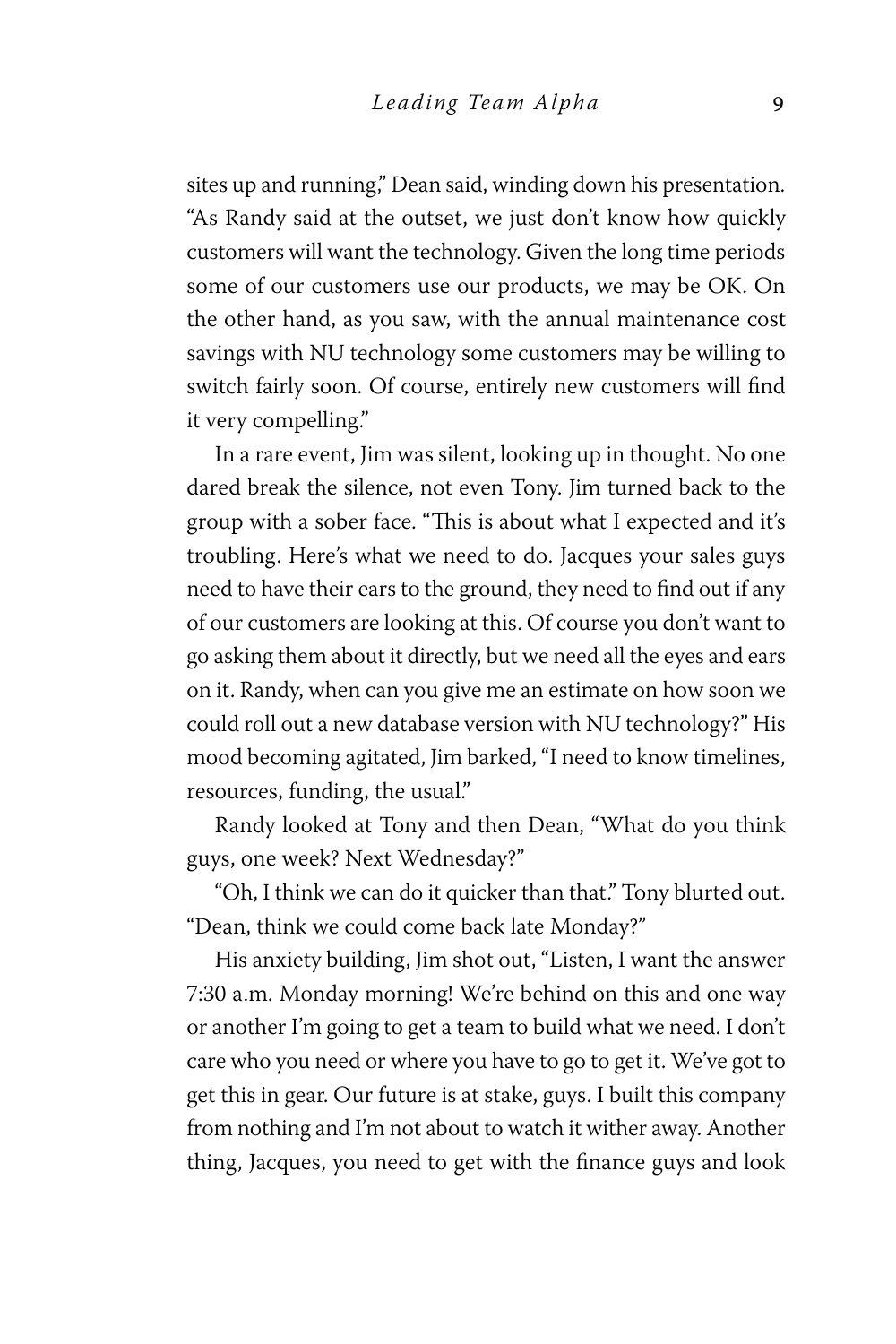sites up and running," Dean said, winding down his presentation. "As Randy said at the outset, we just don't know how quickly customers will want the technology. Given the long time periods some of our customers use our products, we may be OK. On the other hand, as you saw, with the annual maintenance cost savings with NU technology some customers may be willing to switch fairly soon. Of course, entirely new customers will find it very compelling."

In a rare event, Jim was silent, looking up in thought. No one dared break the silence, not even Tony. Jim turned back to the group with a sober face. "This is about what I expected and it's troubling. Here's what we need to do. Jacques your sales guys need to have their ears to the ground, they need to find out if any of our customers are looking at this. Of course you don't want to go asking them about it directly, but we need all the eyes and ears on it. Randy, when can you give me an estimate on how soon we could roll out a new database version with NU technology?" His mood becoming agitated, Jim barked, "I need to know timelines, resources, funding, the usual."

Randy looked at Tony and then Dean, "What do you think guys, one week? Next Wednesday?"

"Oh, I think we can do it quicker than that." Tony blurted out. "Dean, think we could come back late Monday?"

His anxiety building, Jim shot out, "Listen, I want the answer 7:30 a.m. Monday morning! We're behind on this and one way or another I'm going to get a team to build what we need. I don't care who you need or where you have to go to get it. We've got to get this in gear. Our future is at stake, guys. I built this company from nothing and I'm not about to watch it wither away. Another thing, Jacques, you need to get with the finance guys and look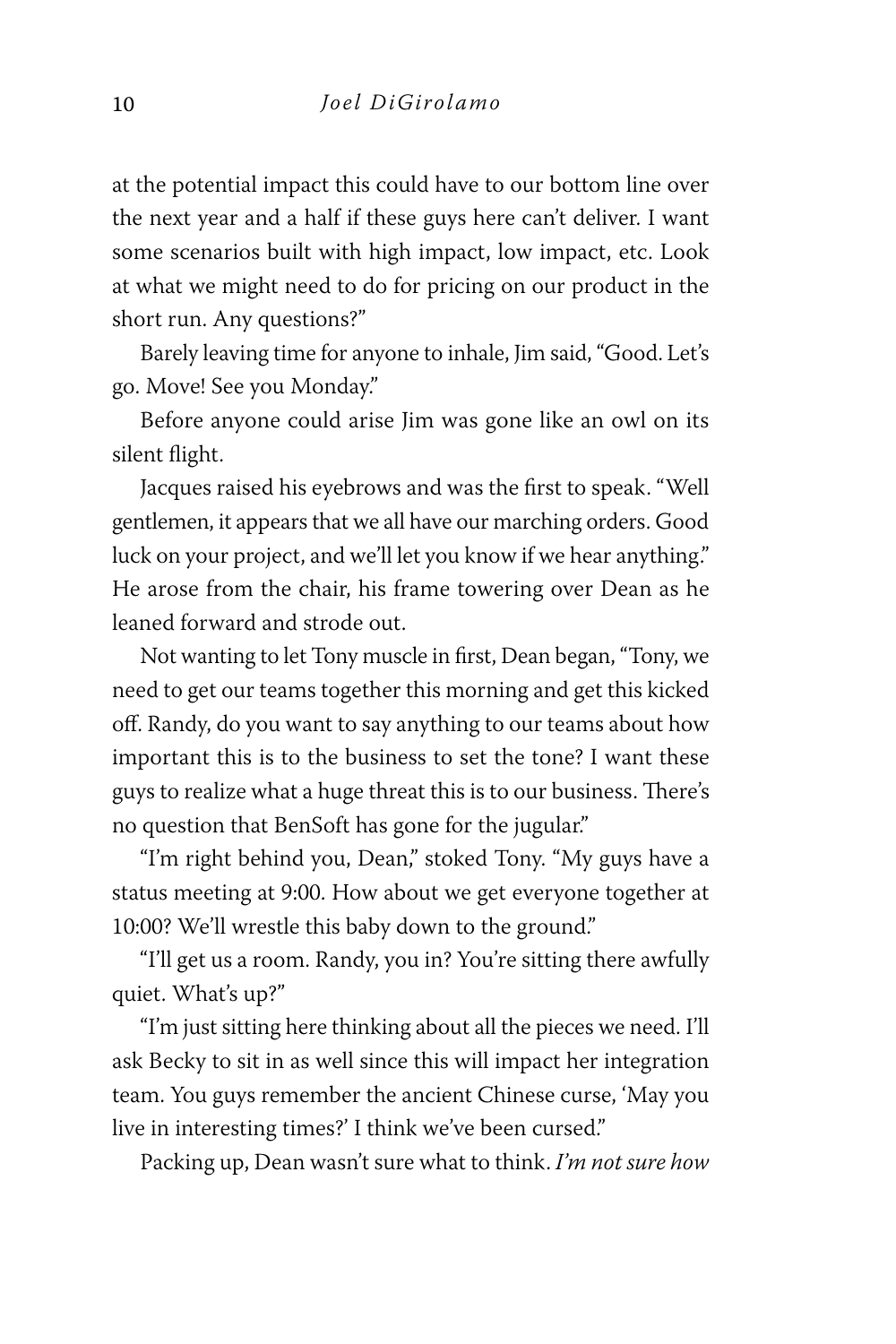at the potential impact this could have to our bottom line over the next year and a half if these guys here can't deliver. I want some scenarios built with high impact, low impact, etc. Look at what we might need to do for pricing on our product in the short run. Any questions?"

Barely leaving time for anyone to inhale, Jim said, "Good. Let's go. Move! See you Monday."

Before anyone could arise Jim was gone like an owl on its silent flight.

Jacques raised his eyebrows and was the first to speak. "Well gentlemen, it appears that we all have our marching orders. Good luck on your project, and we'll let you know if we hear anything." He arose from the chair, his frame towering over Dean as he leaned forward and strode out.

Not wanting to let Tony muscle in first, Dean began, "Tony, we need to get our teams together this morning and get this kicked off. Randy, do you want to say anything to our teams about how important this is to the business to set the tone? I want these guys to realize what a huge threat this is to our business. There's no question that BenSoft has gone for the jugular."

"I'm right behind you, Dean," stoked Tony. "My guys have a status meeting at 9:00. How about we get everyone together at 10:00? We'll wrestle this baby down to the ground."

"I'll get us a room. Randy, you in? You're sitting there awfully quiet. What's up?"

"I'm just sitting here thinking about all the pieces we need. I'll ask Becky to sit in as well since this will impact her integration team. You guys remember the ancient Chinese curse, 'May you live in interesting times?' I think we've been cursed."

Packing up, Dean wasn't sure what to think. *I'm not sure how*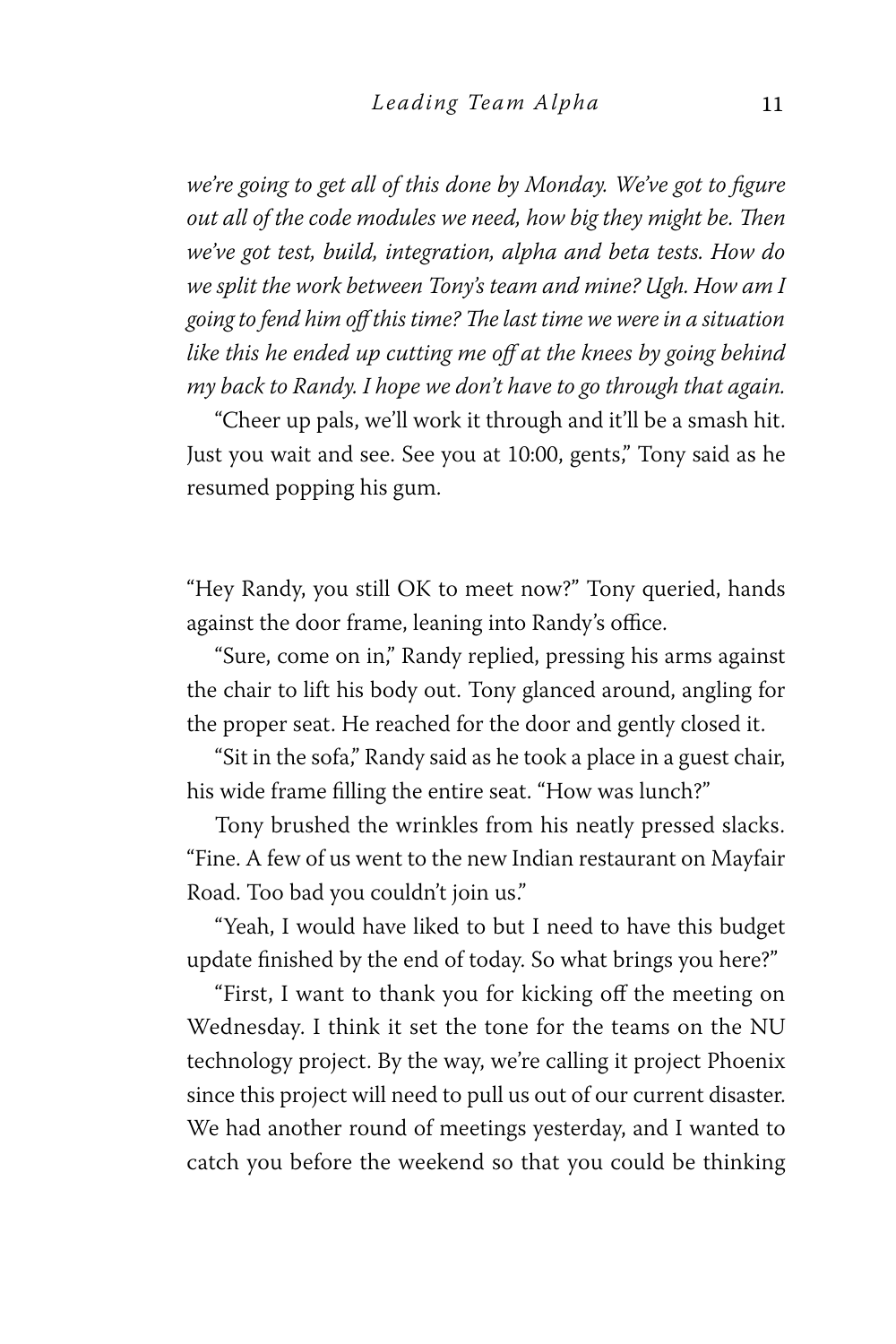*we're going to get all of this done by Monday. We've got to figure out all of the code modules we need, how big they might be. Then we've got test, build, integration, alpha and beta tests. How do we split the work between Tony's team and mine? Ugh. How am I going to fend him off this time? The last time we were in a situation like this he ended up cutting me off at the knees by going behind my back to Randy. I hope we don't have to go through that again.*

"Cheer up pals, we'll work it through and it'll be a smash hit. Just you wait and see. See you at 10:00, gents," Tony said as he resumed popping his gum.

"Hey Randy, you still OK to meet now?" Tony queried, hands against the door frame, leaning into Randy's office.

"Sure, come on in," Randy replied, pressing his arms against the chair to lift his body out. Tony glanced around, angling for the proper seat. He reached for the door and gently closed it.

"Sit in the sofa," Randy said as he took a place in a guest chair, his wide frame filling the entire seat. "How was lunch?"

Tony brushed the wrinkles from his neatly pressed slacks. "Fine. A few of us went to the new Indian restaurant on Mayfair Road. Too bad you couldn't join us."

"Yeah, I would have liked to but I need to have this budget update finished by the end of today. So what brings you here?"

"First, I want to thank you for kicking off the meeting on Wednesday. I think it set the tone for the teams on the NU technology project. By the way, we're calling it project Phoenix since this project will need to pull us out of our current disaster. We had another round of meetings yesterday, and I wanted to catch you before the weekend so that you could be thinking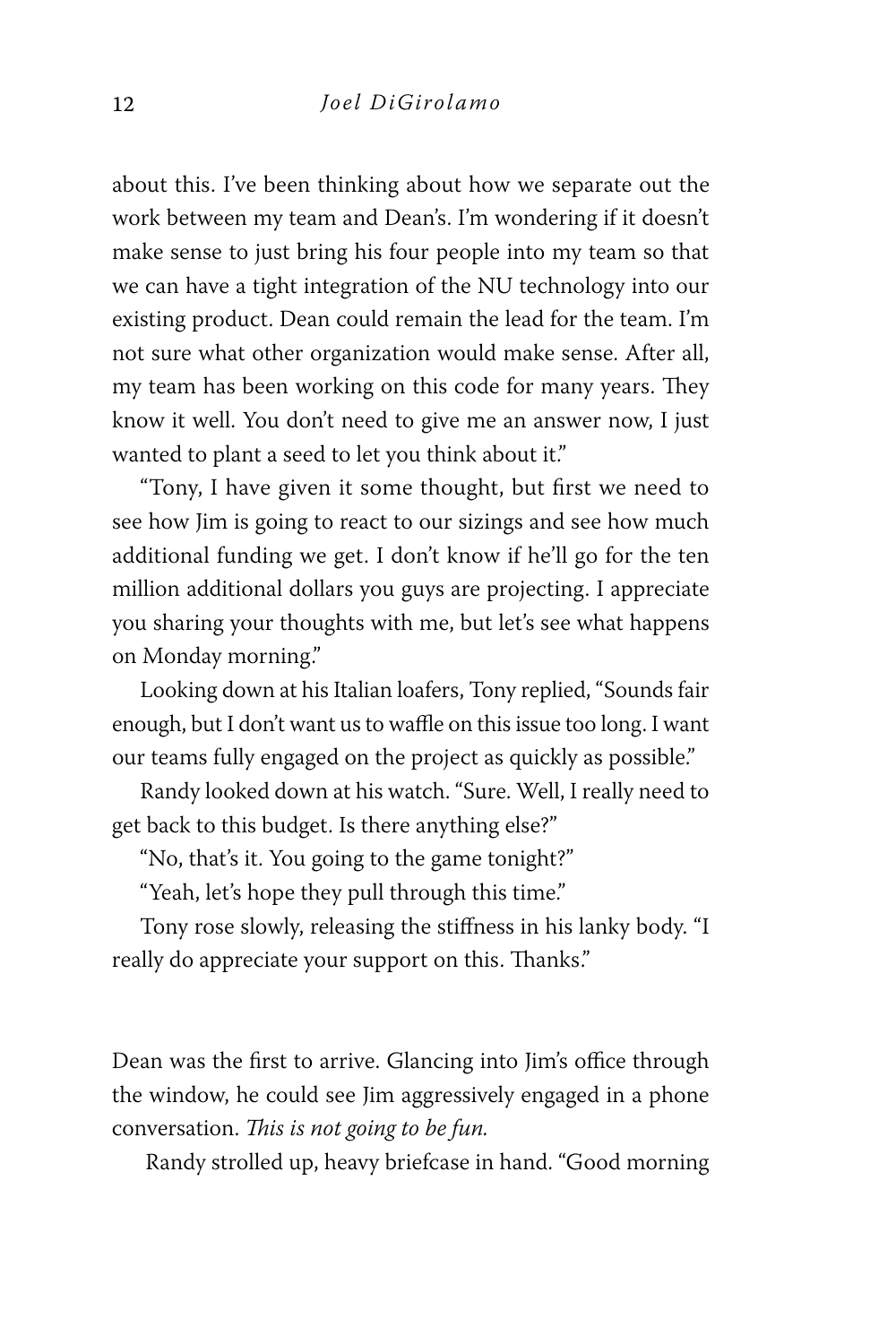about this. I've been thinking about how we separate out the work between my team and Dean's. I'm wondering if it doesn't make sense to just bring his four people into my team so that we can have a tight integration of the NU technology into our existing product. Dean could remain the lead for the team. I'm not sure what other organization would make sense. After all, my team has been working on this code for many years. They know it well. You don't need to give me an answer now, I just wanted to plant a seed to let you think about it."

"Tony, I have given it some thought, but first we need to see how Jim is going to react to our sizings and see how much additional funding we get. I don't know if he'll go for the ten million additional dollars you guys are projecting. I appreciate you sharing your thoughts with me, but let's see what happens on Monday morning."

Looking down at his Italian loafers, Tony replied, "Sounds fair enough, but I don't want us to waffle on this issue too long. I want our teams fully engaged on the project as quickly as possible."

Randy looked down at his watch. "Sure. Well, I really need to get back to this budget. Is there anything else?"

"No, that's it. You going to the game tonight?"

"Yeah, let's hope they pull through this time."

Tony rose slowly, releasing the stiffness in his lanky body. "I really do appreciate your support on this. Thanks."

Dean was the first to arrive. Glancing into Jim's office through the window, he could see Jim aggressively engaged in a phone conversation. *This is not going to be fun.*

Randy strolled up, heavy briefcase in hand. "Good morning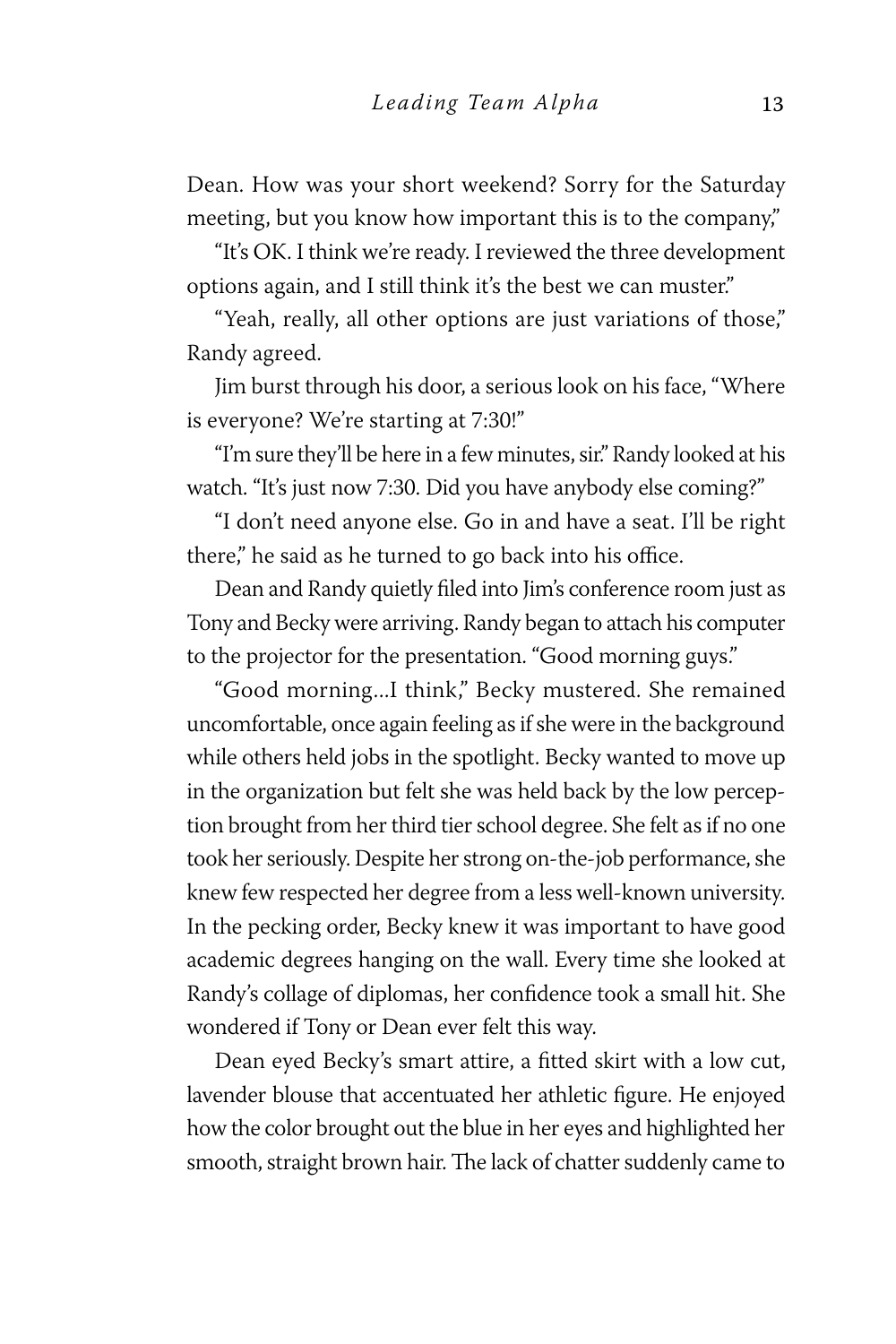Dean. How was your short weekend? Sorry for the Saturday meeting, but you know how important this is to the company,"

"It's OK. I think we're ready. I reviewed the three development options again, and I still think it's the best we can muster."

"Yeah, really, all other options are just variations of those," Randy agreed.

Jim burst through his door, a serious look on his face, "Where is everyone? We're starting at 7:30!"

"I'm sure they'll be here in a few minutes, sir." Randy looked at his watch. "It's just now 7:30. Did you have anybody else coming?"

"I don't need anyone else. Go in and have a seat. I'll be right there," he said as he turned to go back into his office.

Dean and Randy quietly filed into Jim's conference room just as Tony and Becky were arriving. Randy began to attach his computer to the projector for the presentation. "Good morning guys."

"Good morning...I think," Becky mustered. She remained uncomfortable, once again feeling as if she were in the background while others held jobs in the spotlight. Becky wanted to move up in the organization but felt she was held back by the low perception brought from her third tier school degree. She felt as if no one took her seriously. Despite her strong on-the-job performance, she knew few respected her degree from a less well-known university. In the pecking order, Becky knew it was important to have good academic degrees hanging on the wall. Every time she looked at Randy's collage of diplomas, her confidence took a small hit. She wondered if Tony or Dean ever felt this way.

Dean eyed Becky's smart attire, a fitted skirt with a low cut, lavender blouse that accentuated her athletic figure. He enjoyed how the color brought out the blue in her eyes and highlighted her smooth, straight brown hair. The lack of chatter suddenly came to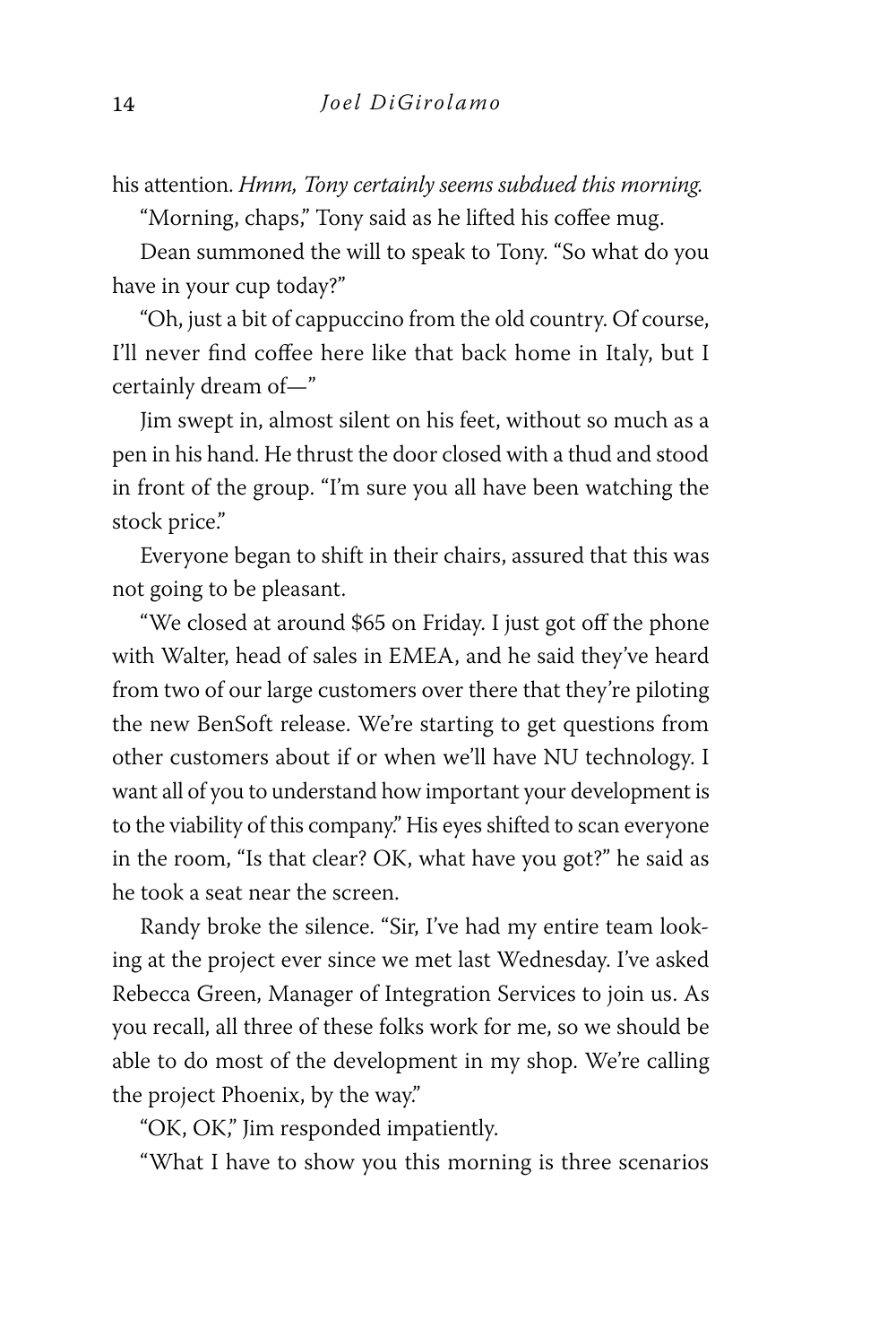his attention. *Hmm, Tony certainly seems subdued this morning.*

"Morning, chaps," Tony said as he lifted his coffee mug.

Dean summoned the will to speak to Tony. "So what do you have in your cup today?"

"Oh, just a bit of cappuccino from the old country. Of course, I'll never find coffee here like that back home in Italy, but I certainly dream of—"

Jim swept in, almost silent on his feet, without so much as a pen in his hand. He thrust the door closed with a thud and stood in front of the group. "I'm sure you all have been watching the stock price."

Everyone began to shift in their chairs, assured that this was not going to be pleasant.

"We closed at around \$65 on Friday. I just got off the phone with Walter, head of sales in EMEA, and he said they've heard from two of our large customers over there that they're piloting the new BenSoft release. We're starting to get questions from other customers about if or when we'll have NU technology. I want all of you to understand how important your development is to the viability of this company." His eyes shifted to scan everyone in the room, "Is that clear? OK, what have you got?" he said as he took a seat near the screen.

Randy broke the silence. "Sir, I've had my entire team looking at the project ever since we met last Wednesday. I've asked Rebecca Green, Manager of Integration Services to join us. As you recall, all three of these folks work for me, so we should be able to do most of the development in my shop. We're calling the project Phoenix, by the way."

"OK, OK," Jim responded impatiently.

"What I have to show you this morning is three scenarios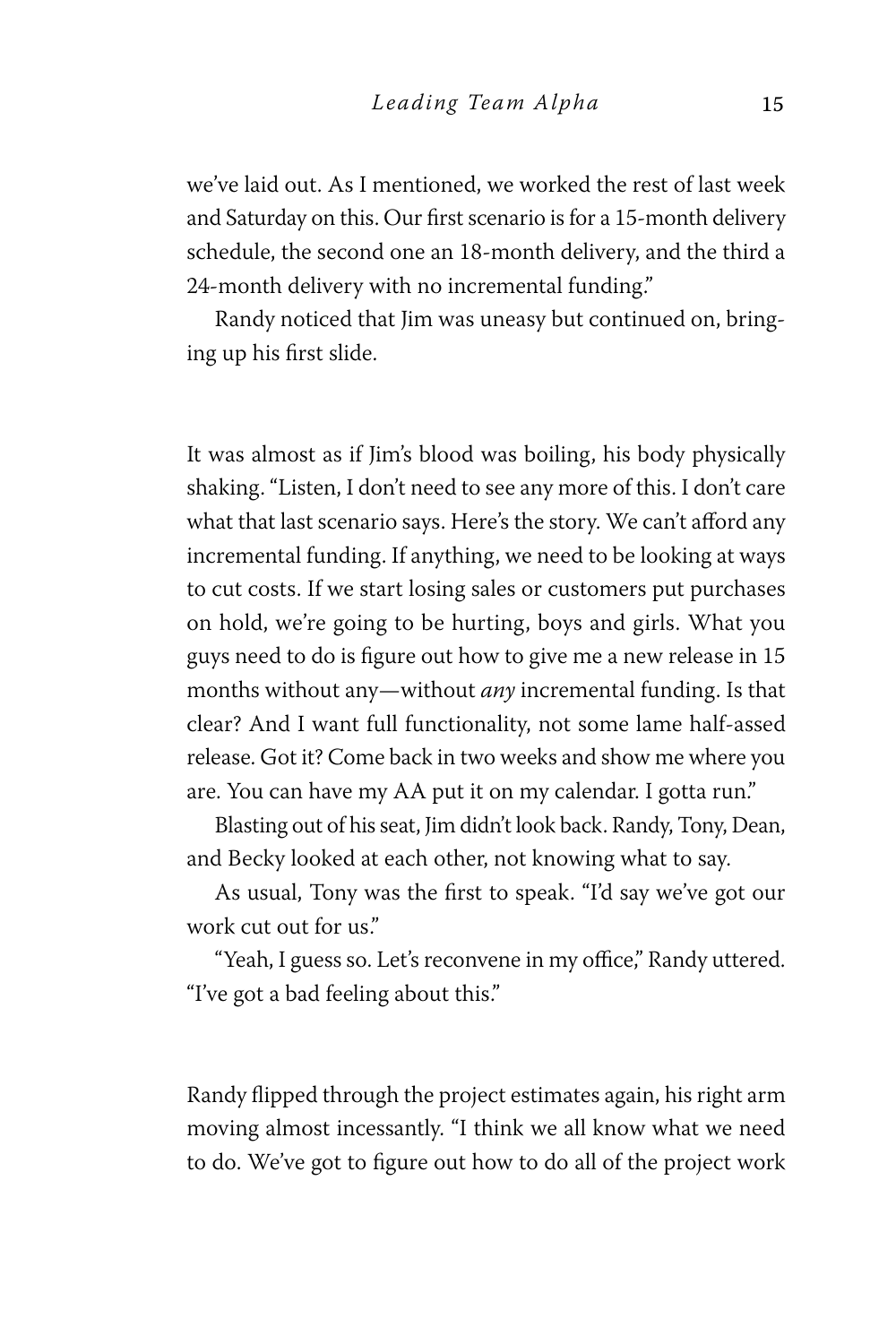we've laid out. As I mentioned, we worked the rest of last week and Saturday on this. Our first scenario is for a 15-month delivery schedule, the second one an 18-month delivery, and the third a 24-month delivery with no incremental funding."

Randy noticed that Jim was uneasy but continued on, bringing up his first slide.

It was almost as if Jim's blood was boiling, his body physically shaking. "Listen, I don't need to see any more of this. I don't care what that last scenario says. Here's the story. We can't afford any incremental funding. If anything, we need to be looking at ways to cut costs. If we start losing sales or customers put purchases on hold, we're going to be hurting, boys and girls. What you guys need to do is figure out how to give me a new release in 15 months without any—without *any* incremental funding. Is that clear? And I want full functionality, not some lame half-assed release. Got it? Come back in two weeks and show me where you are. You can have my AA put it on my calendar. I gotta run."

Blasting out of his seat, Jim didn't look back. Randy, Tony, Dean, and Becky looked at each other, not knowing what to say.

As usual, Tony was the first to speak. "I'd say we've got our work cut out for us."

"Yeah, I guess so. Let's reconvene in my office," Randy uttered. "I've got a bad feeling about this."

Randy flipped through the project estimates again, his right arm moving almost incessantly. "I think we all know what we need to do. We've got to figure out how to do all of the project work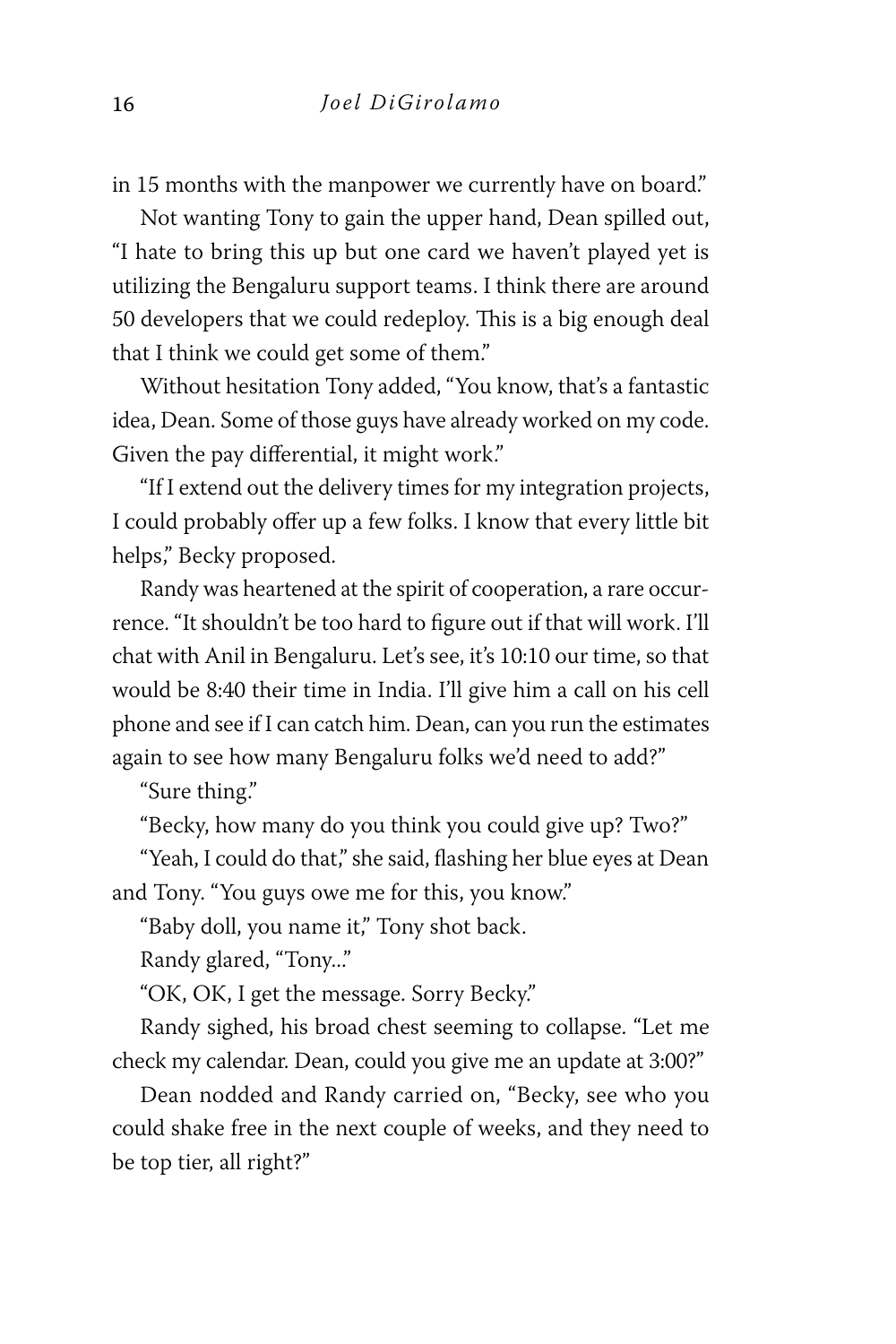in 15 months with the manpower we currently have on board."

Not wanting Tony to gain the upper hand, Dean spilled out, "I hate to bring this up but one card we haven't played yet is utilizing the Bengaluru support teams. I think there are around 50 developers that we could redeploy. This is a big enough deal that I think we could get some of them."

Without hesitation Tony added, "You know, that's a fantastic idea, Dean. Some of those guys have already worked on my code. Given the pay differential, it might work."

"If I extend out the delivery times for my integration projects, I could probably offer up a few folks. I know that every little bit helps," Becky proposed.

Randy was heartened at the spirit of cooperation, a rare occurrence. "It shouldn't be too hard to figure out if that will work. I'll chat with Anil in Bengaluru. Let's see, it's 10:10 our time, so that would be 8:40 their time in India. I'll give him a call on his cell phone and see if I can catch him. Dean, can you run the estimates again to see how many Bengaluru folks we'd need to add?"

"Sure thing."

"Becky, how many do you think you could give up? Two?"

"Yeah, I could do that," she said, flashing her blue eyes at Dean and Tony. "You guys owe me for this, you know."

"Baby doll, you name it," Tony shot back.

Randy glared, "Tony..."

"OK, OK, I get the message. Sorry Becky."

Randy sighed, his broad chest seeming to collapse. "Let me check my calendar. Dean, could you give me an update at 3:00?"

Dean nodded and Randy carried on, "Becky, see who you could shake free in the next couple of weeks, and they need to be top tier, all right?"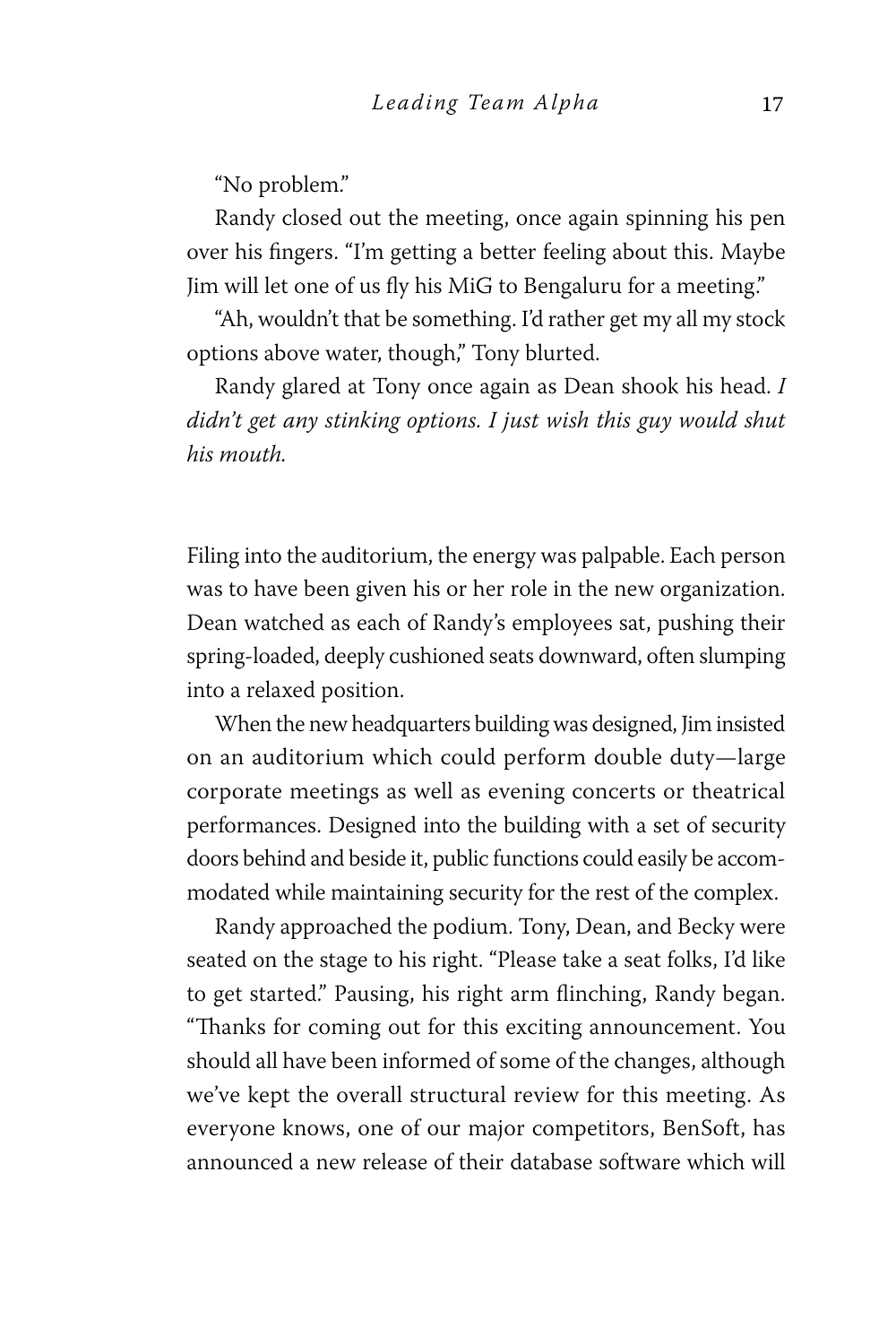"No problem."

Randy closed out the meeting, once again spinning his pen over his fingers. "I'm getting a better feeling about this. Maybe Jim will let one of us fly his MiG to Bengaluru for a meeting."

"Ah, wouldn't that be something. I'd rather get my all my stock options above water, though," Tony blurted.

Randy glared at Tony once again as Dean shook his head. *I didn't get any stinking options. I just wish this guy would shut his mouth.*

Filing into the auditorium, the energy was palpable. Each person was to have been given his or her role in the new organization. Dean watched as each of Randy's employees sat, pushing their spring-loaded, deeply cushioned seats downward, often slumping into a relaxed position.

When the new headquarters building was designed, Jim insisted on an auditorium which could perform double duty—large corporate meetings as well as evening concerts or theatrical performances. Designed into the building with a set of security doors behind and beside it, public functions could easily be accommodated while maintaining security for the rest of the complex.

Randy approached the podium. Tony, Dean, and Becky were seated on the stage to his right. "Please take a seat folks, I'd like to get started." Pausing, his right arm flinching, Randy began. "Thanks for coming out for this exciting announcement. You should all have been informed of some of the changes, although we've kept the overall structural review for this meeting. As everyone knows, one of our major competitors, BenSoft, has announced a new release of their database software which will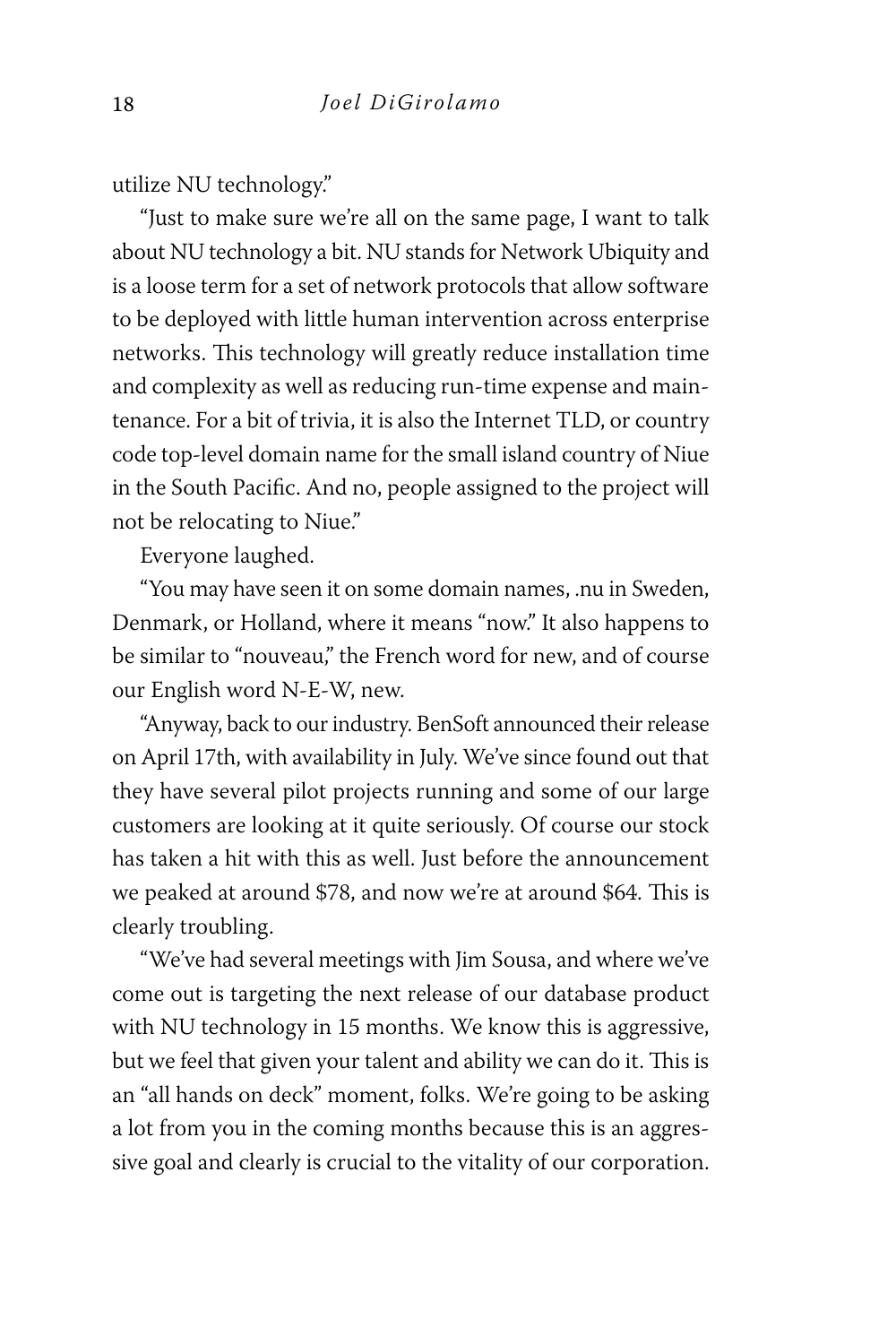utilize NU technology."

"Just to make sure we're all on the same page, I want to talk about NU technology a bit. NU stands for Network Ubiquity and is a loose term for a set of network protocols that allow software to be deployed with little human intervention across enterprise networks. This technology will greatly reduce installation time and complexity as well as reducing run-time expense and maintenance. For a bit of trivia, it is also the Internet TLD, or country code top-level domain name for the small island country of Niue in the South Pacific. And no, people assigned to the project will not be relocating to Niue."

Everyone laughed.

"You may have seen it on some domain names, .nu in Sweden, Denmark, or Holland, where it means "now." It also happens to be similar to "nouveau," the French word for new, and of course our English word N-E-W, new.

"Anyway, back to our industry. BenSoft announced their release on April 17th, with availability in July. We've since found out that they have several pilot projects running and some of our large customers are looking at it quite seriously. Of course our stock has taken a hit with this as well. Just before the announcement we peaked at around \$78, and now we're at around \$64. This is clearly troubling.

"We've had several meetings with Jim Sousa, and where we've come out is targeting the next release of our database product with NU technology in 15 months. We know this is aggressive, but we feel that given your talent and ability we can do it. This is an "all hands on deck" moment, folks. We're going to be asking a lot from you in the coming months because this is an aggressive goal and clearly is crucial to the vitality of our corporation.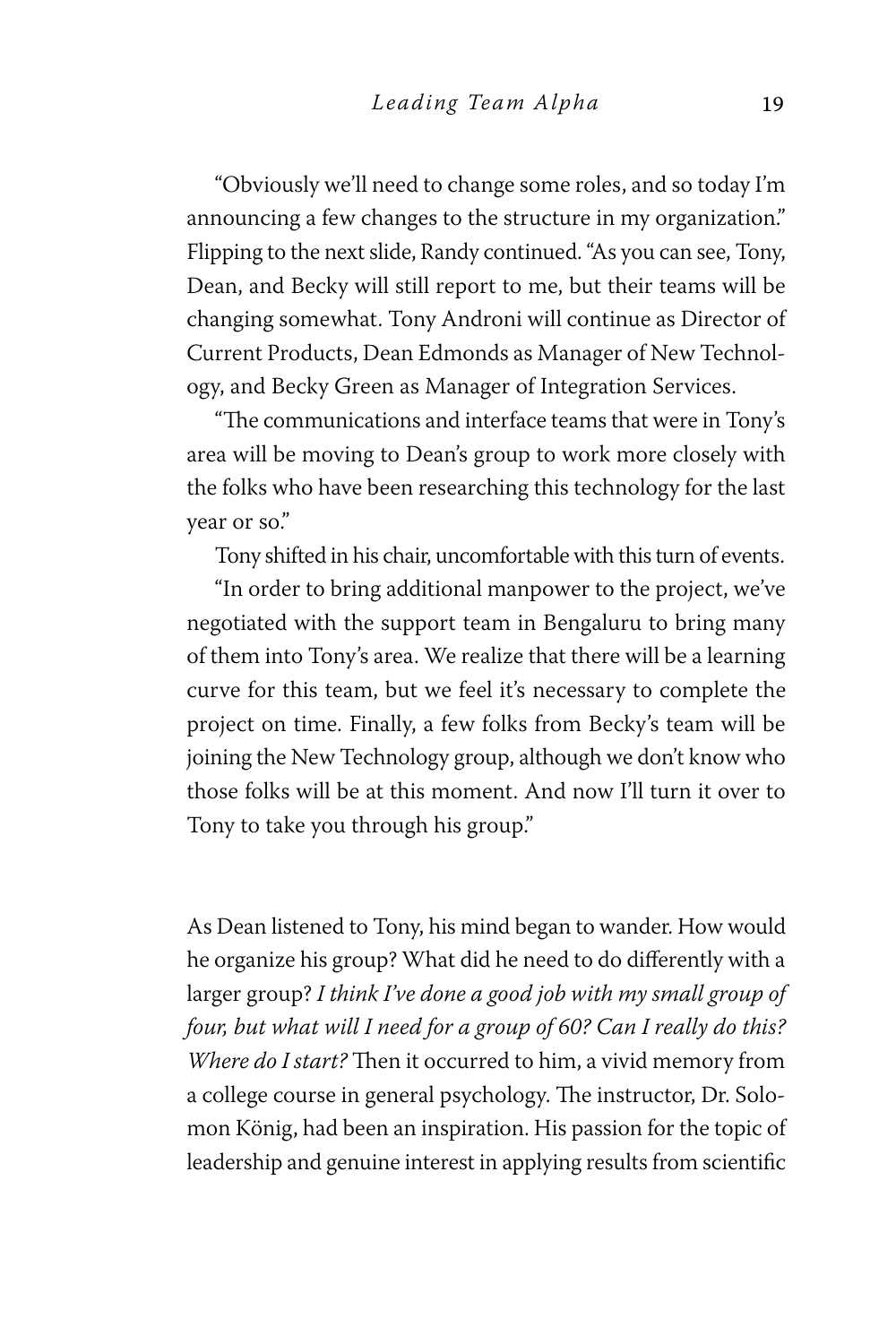"Obviously we'll need to change some roles, and so today I'm announcing a few changes to the structure in my organization." Flipping to the next slide, Randy continued. "As you can see, Tony, Dean, and Becky will still report to me, but their teams will be changing somewhat. Tony Androni will continue as Director of Current Products, Dean Edmonds as Manager of New Technology, and Becky Green as Manager of Integration Services.

"The communications and interface teams that were in Tony's area will be moving to Dean's group to work more closely with the folks who have been researching this technology for the last year or so."

Tony shifted in his chair, uncomfortable with this turn of events.

"In order to bring additional manpower to the project, we've negotiated with the support team in Bengaluru to bring many of them into Tony's area. We realize that there will be a learning curve for this team, but we feel it's necessary to complete the project on time. Finally, a few folks from Becky's team will be joining the New Technology group, although we don't know who those folks will be at this moment. And now I'll turn it over to Tony to take you through his group."

As Dean listened to Tony, his mind began to wander. How would he organize his group? What did he need to do differently with a larger group? *I think I've done a good job with my small group of four, but what will I need for a group of 60? Can I really do this? Where do I start?* Then it occurred to him, a vivid memory from a college course in general psychology. The instructor, Dr. Solomon König, had been an inspiration. His passion for the topic of leadership and genuine interest in applying results from scientific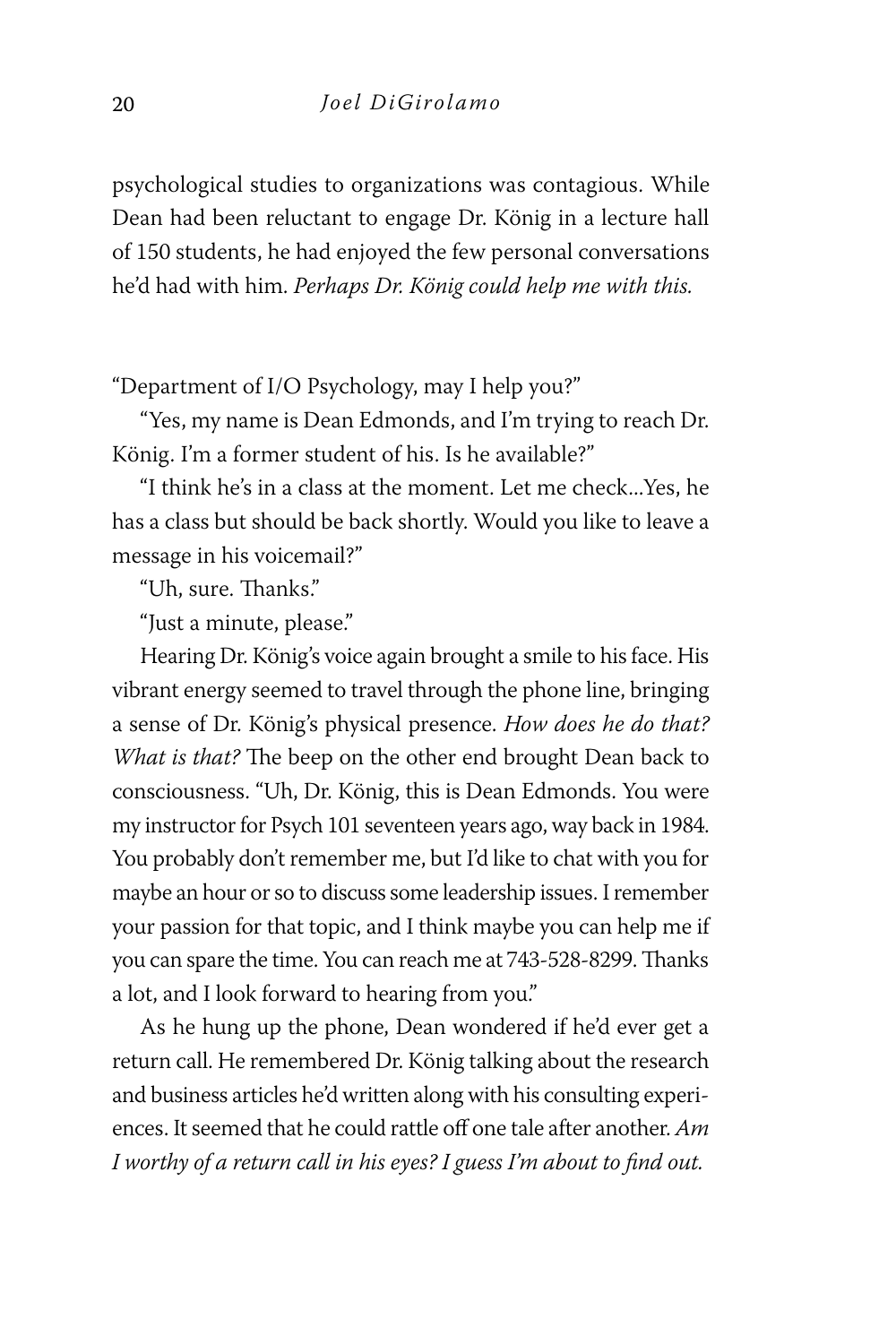psychological studies to organizations was contagious. While Dean had been reluctant to engage Dr. König in a lecture hall of 150 students, he had enjoyed the few personal conversations he'd had with him. *Perhaps Dr. König could help me with this.* 

"Department of I/O Psychology, may I help you?"

"Yes, my name is Dean Edmonds, and I'm trying to reach Dr. König. I'm a former student of his. Is he available?"

"I think he's in a class at the moment. Let me check...Yes, he has a class but should be back shortly. Would you like to leave a message in his voicemail?"

"Uh, sure. Thanks."

"Just a minute, please."

Hearing Dr. König's voice again brought a smile to his face. His vibrant energy seemed to travel through the phone line, bringing a sense of Dr. König's physical presence. *How does he do that? What is that?* The beep on the other end brought Dean back to consciousness. "Uh, Dr. König, this is Dean Edmonds. You were my instructor for Psych 101 seventeen years ago, way back in 1984. You probably don't remember me, but I'd like to chat with you for maybe an hour or so to discuss some leadership issues. I remember your passion for that topic, and I think maybe you can help me if you can spare the time. You can reach me at 743-528-8299. Thanks a lot, and I look forward to hearing from you."

As he hung up the phone, Dean wondered if he'd ever get a return call. He remembered Dr. König talking about the research and business articles he'd written along with his consulting experiences. It seemed that he could rattle off one tale after another. *Am I worthy of a return call in his eyes? I guess I'm about to find out.*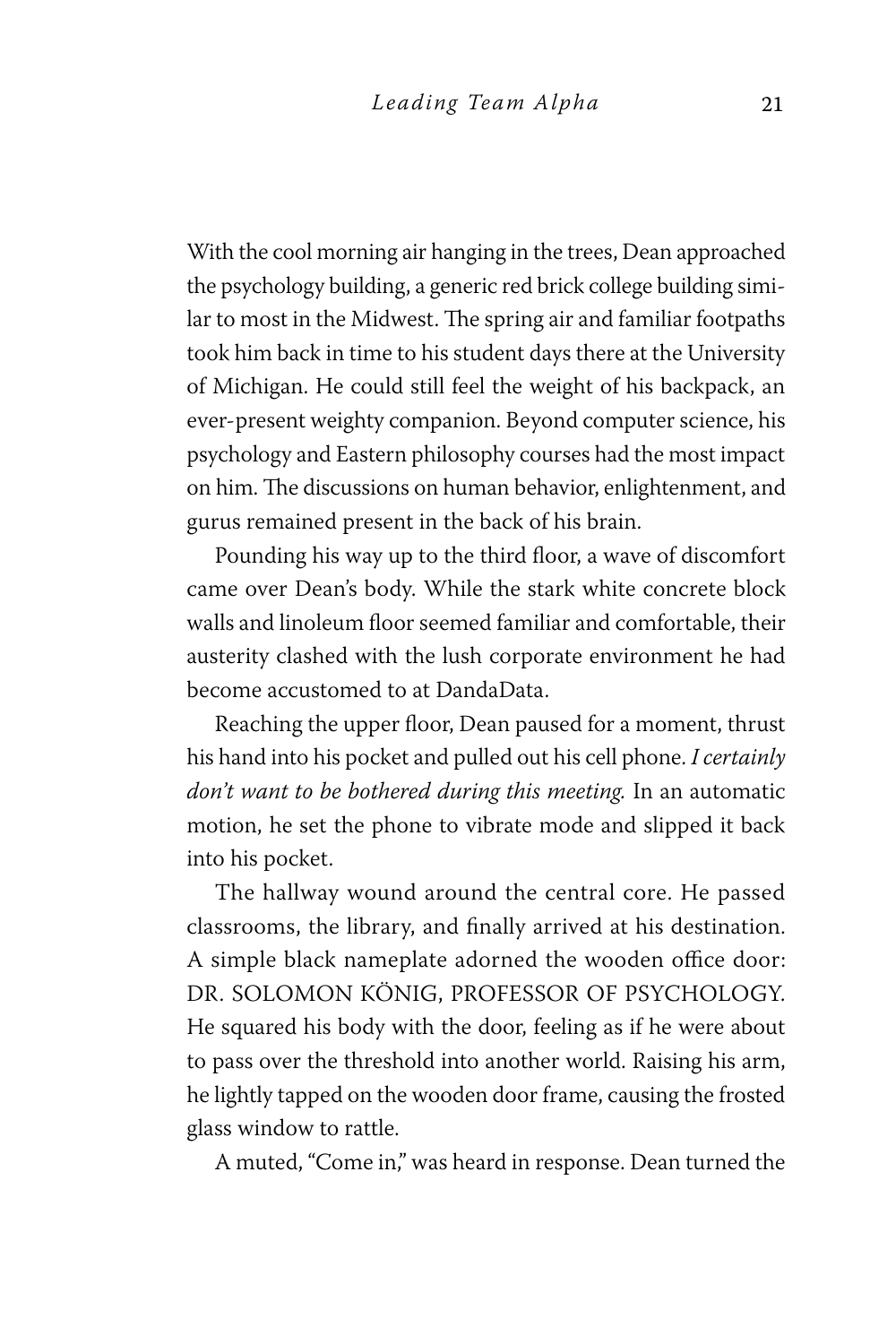With the cool morning air hanging in the trees, Dean approached the psychology building, a generic red brick college building similar to most in the Midwest. The spring air and familiar footpaths took him back in time to his student days there at the University of Michigan. He could still feel the weight of his backpack, an ever-present weighty companion. Beyond computer science, his psychology and Eastern philosophy courses had the most impact on him. The discussions on human behavior, enlightenment, and gurus remained present in the back of his brain.

Pounding his way up to the third floor, a wave of discomfort came over Dean's body. While the stark white concrete block walls and linoleum floor seemed familiar and comfortable, their austerity clashed with the lush corporate environment he had become accustomed to at DandaData.

Reaching the upper floor, Dean paused for a moment, thrust his hand into his pocket and pulled out his cell phone. *I certainly don't want to be bothered during this meeting.* In an automatic motion, he set the phone to vibrate mode and slipped it back into his pocket.

The hallway wound around the central core. He passed classrooms, the library, and finally arrived at his destination. A simple black nameplate adorned the wooden office door: DR. SOLOMON KÖNIG, PROFESSOR OF PSYCHOLOGY. He squared his body with the door, feeling as if he were about to pass over the threshold into another world. Raising his arm, he lightly tapped on the wooden door frame, causing the frosted glass window to rattle.

A muted, "Come in," was heard in response. Dean turned the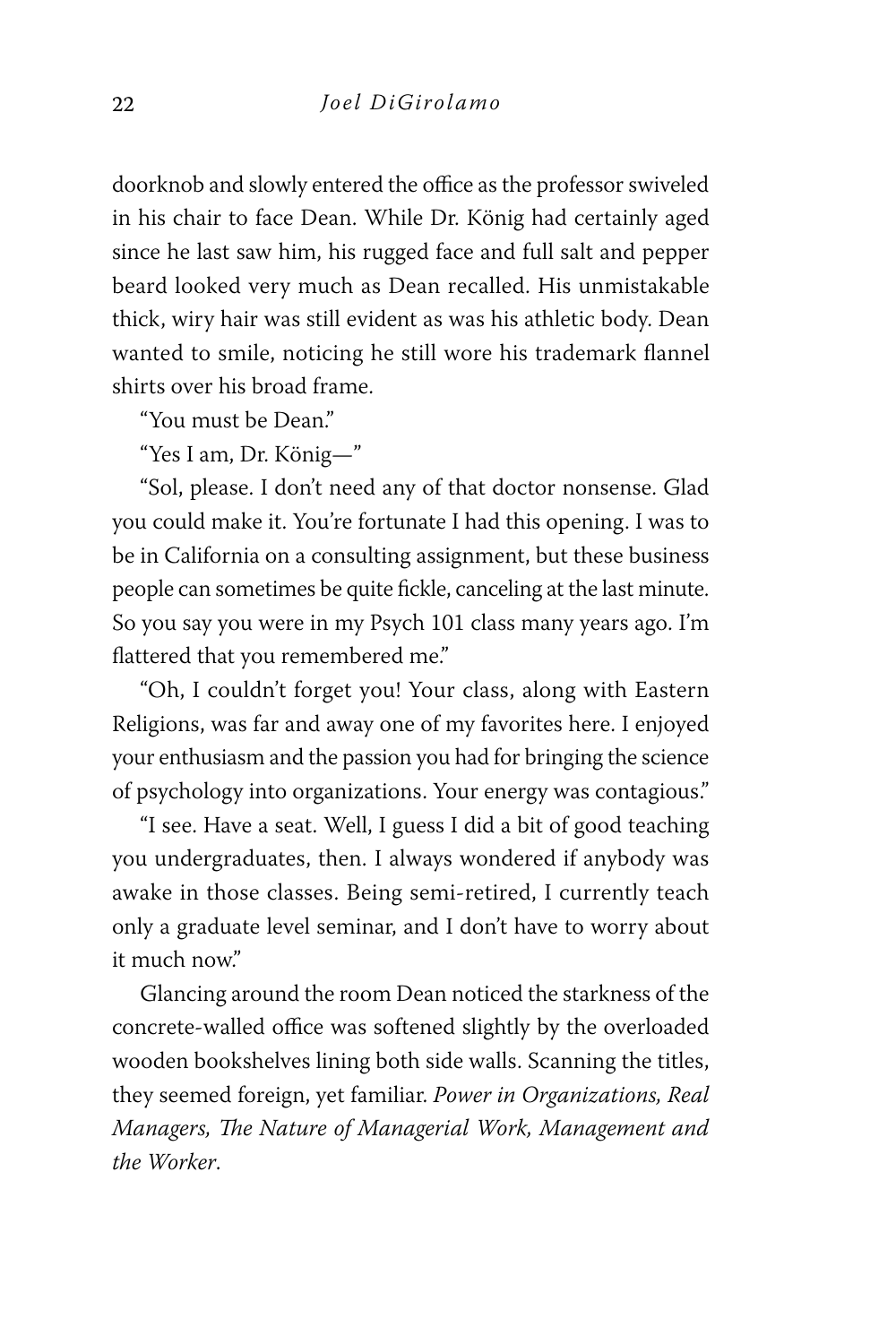doorknob and slowly entered the office as the professor swiveled in his chair to face Dean. While Dr. König had certainly aged since he last saw him, his rugged face and full salt and pepper beard looked very much as Dean recalled. His unmistakable thick, wiry hair was still evident as was his athletic body. Dean wanted to smile, noticing he still wore his trademark flannel shirts over his broad frame.

"You must be Dean."

"Yes I am, Dr. König—"

"Sol, please. I don't need any of that doctor nonsense. Glad you could make it. You're fortunate I had this opening. I was to be in California on a consulting assignment, but these business people can sometimes be quite fickle, canceling at the last minute. So you say you were in my Psych 101 class many years ago. I'm flattered that you remembered me."

"Oh, I couldn't forget you! Your class, along with Eastern Religions, was far and away one of my favorites here. I enjoyed your enthusiasm and the passion you had for bringing the science of psychology into organizations. Your energy was contagious."

"I see. Have a seat. Well, I guess I did a bit of good teaching you undergraduates, then. I always wondered if anybody was awake in those classes. Being semi-retired, I currently teach only a graduate level seminar, and I don't have to worry about it much now."

Glancing around the room Dean noticed the starkness of the concrete-walled office was softened slightly by the overloaded wooden bookshelves lining both side walls. Scanning the titles, they seemed foreign, yet familiar. *Power in Organizations, Real Managers, The Nature of Managerial Work, Management and the Worker*.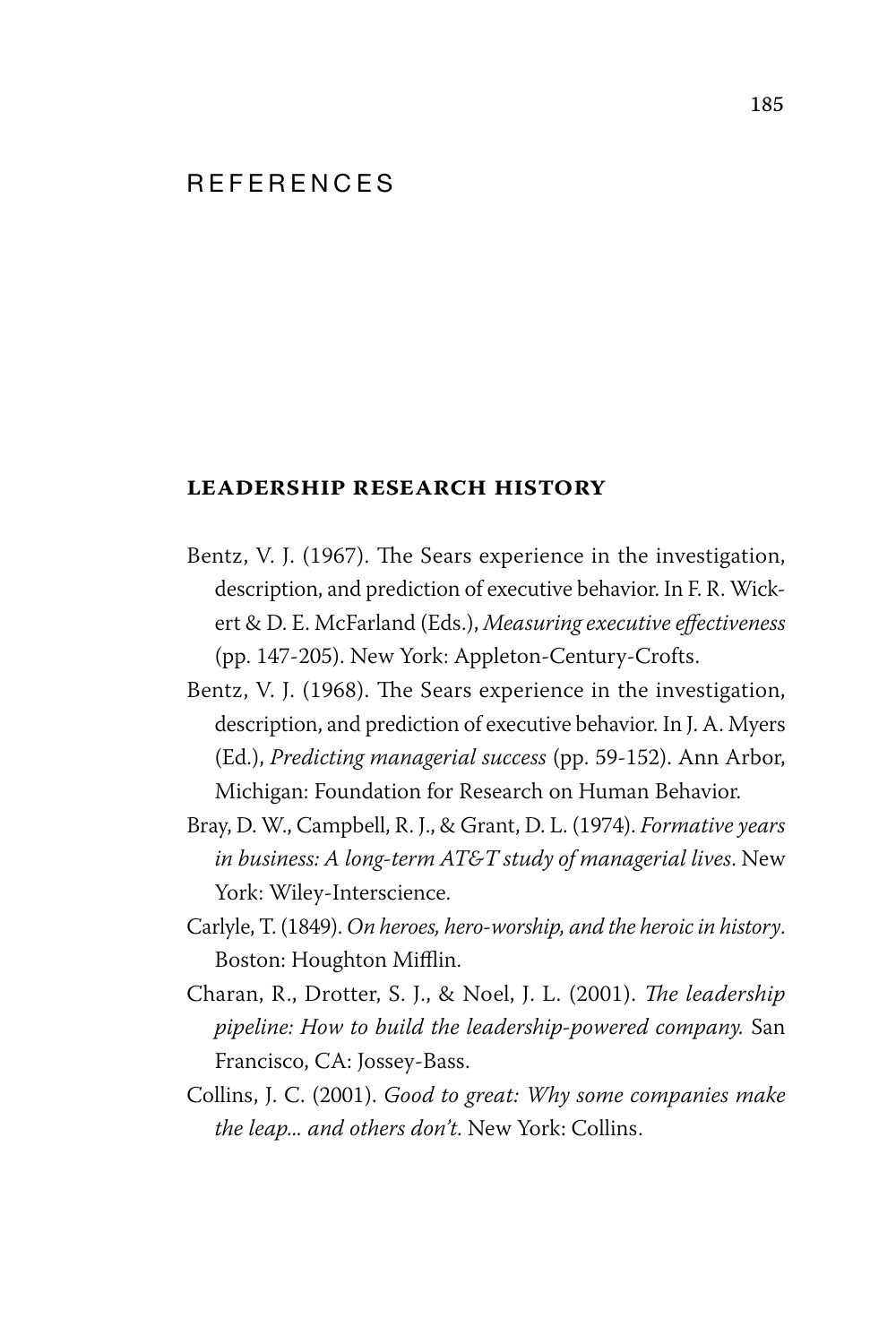#### R F F F R F N C F S

#### **leadership research history**

- Bentz, V. J. (1967). The Sears experience in the investigation, description, and prediction of executive behavior. In F. R. Wickert & D. E. McFarland (Eds.), *Measuring executive effectiveness* (pp. 147-205). New York: Appleton-Century-Crofts.
- Bentz, V. J. (1968). The Sears experience in the investigation, description, and prediction of executive behavior. In J. A. Myers (Ed.), *Predicting managerial success* (pp. 59-152). Ann Arbor, Michigan: Foundation for Research on Human Behavior.
- Bray, D. W., Campbell, R. J., & Grant, D. L. (1974). *Formative years in business: A long-term AT&T study of managerial lives*. New York: Wiley-Interscience.
- Carlyle, T. (1849). *On heroes, hero-worship, and the heroic in history*. Boston: Houghton Mifflin.
- Charan, R., Drotter, S. J., & Noel, J. L. (2001). *The leadership pipeline: How to build the leadership-powered company.* San Francisco, CA: Jossey-Bass.
- Collins, J. C. (2001). *Good to great: Why some companies make the leap... and others don't*. New York: Collins.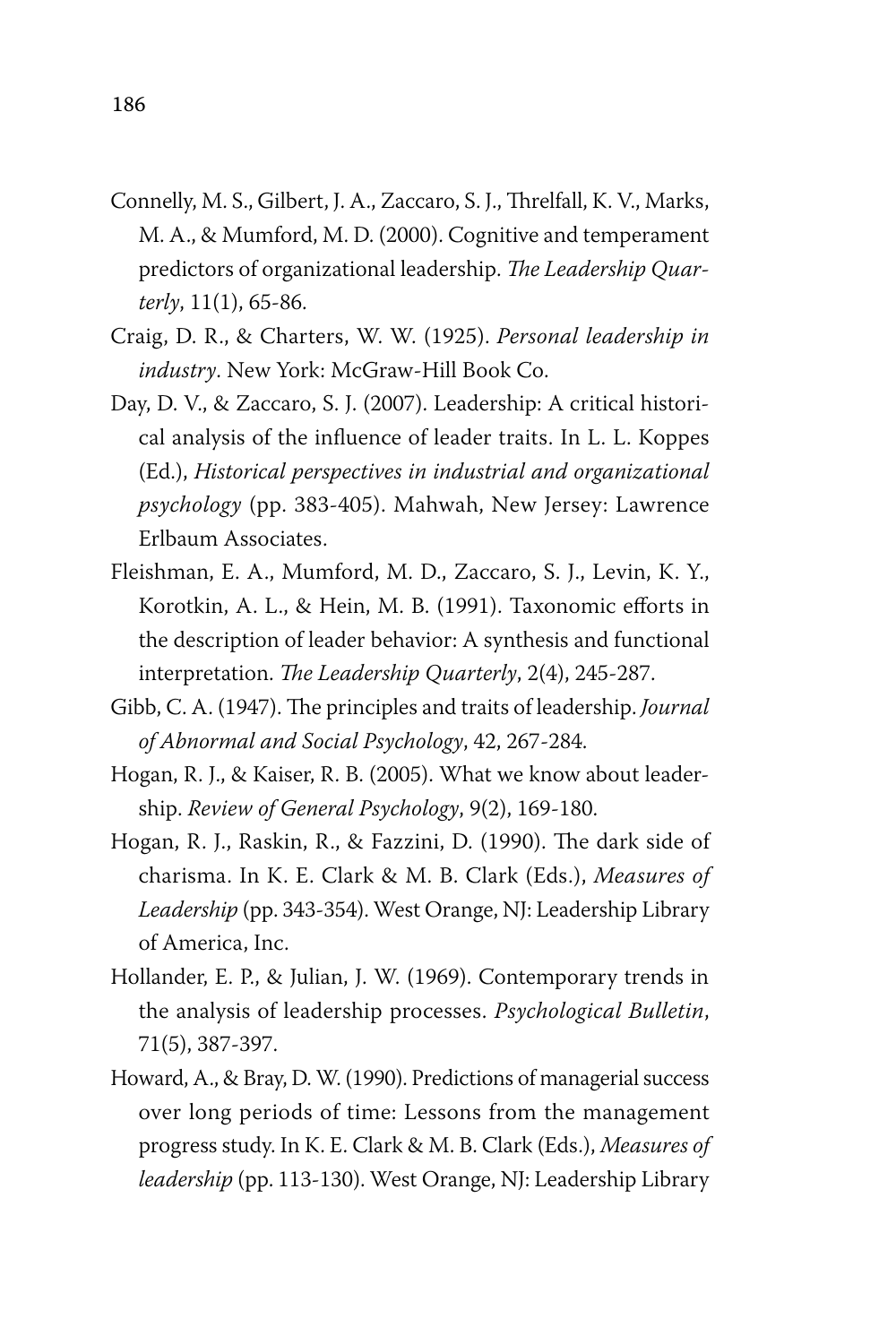- Connelly, M. S., Gilbert, J. A., Zaccaro, S. J., Threlfall, K. V., Marks, M. A., & Mumford, M. D. (2000). Cognitive and temperament predictors of organizational leadership. *The Leadership Quarterly*, 11(1), 65-86.
- Craig, D. R., & Charters, W. W. (1925). *Personal leadership in industry*. New York: McGraw-Hill Book Co.
- Day, D. V., & Zaccaro, S. J. (2007). Leadership: A critical historical analysis of the influence of leader traits. In L. L. Koppes (Ed.), *Historical perspectives in industrial and organizational psychology* (pp. 383-405). Mahwah, New Jersey: Lawrence Erlbaum Associates.
- Fleishman, E. A., Mumford, M. D., Zaccaro, S. J., Levin, K. Y., Korotkin, A. L., & Hein, M. B. (1991). Taxonomic efforts in the description of leader behavior: A synthesis and functional interpretation. *The Leadership Quarterly*, 2(4), 245-287.
- Gibb, C. A. (1947). The principles and traits of leadership. *Journal of Abnormal and Social Psychology*, 42, 267-284.
- Hogan, R. J., & Kaiser, R. B. (2005). What we know about leadership. *Review of General Psychology*, 9(2), 169-180.
- Hogan, R. J., Raskin, R., & Fazzini, D. (1990). The dark side of charisma. In K. E. Clark & M. B. Clark (Eds.), *Measures of Leadership* (pp. 343-354). West Orange, NJ: Leadership Library of America, Inc.
- Hollander, E. P., & Julian, J. W. (1969). Contemporary trends in the analysis of leadership processes. *Psychological Bulletin*, 71(5), 387-397.
- Howard, A., & Bray, D. W. (1990). Predictions of managerial success over long periods of time: Lessons from the management progress study. In K. E. Clark & M. B. Clark (Eds.), *Measures of leadership* (pp. 113-130). West Orange, NJ: Leadership Library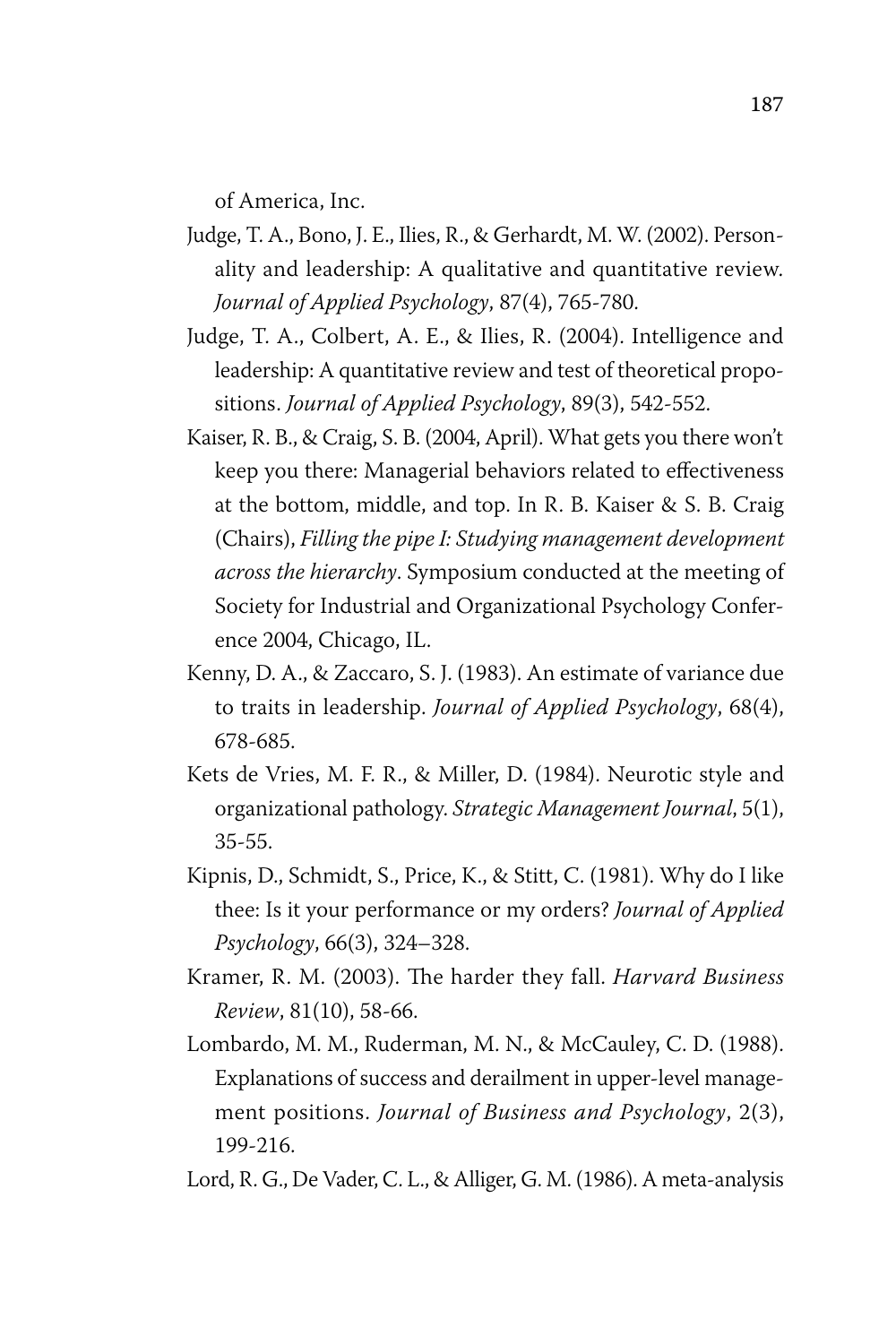of America, Inc.

- Judge, T. A., Bono, J. E., Ilies, R., & Gerhardt, M. W. (2002). Personality and leadership: A qualitative and quantitative review. *Journal of Applied Psychology*, 87(4), 765-780.
- Judge, T. A., Colbert, A. E., & Ilies, R. (2004). Intelligence and leadership: A quantitative review and test of theoretical propositions. *Journal of Applied Psychology*, 89(3), 542-552.
- Kaiser, R. B., & Craig, S. B. (2004, April). What gets you there won't keep you there: Managerial behaviors related to effectiveness at the bottom, middle, and top. In R. B. Kaiser & S. B. Craig (Chairs), *Filling the pipe I: Studying management development across the hierarchy*. Symposium conducted at the meeting of Society for Industrial and Organizational Psychology Conference 2004, Chicago, IL.
- Kenny, D. A., & Zaccaro, S. J. (1983). An estimate of variance due to traits in leadership. *Journal of Applied Psychology*, 68(4), 678-685.
- Kets de Vries, M. F. R., & Miller, D. (1984). Neurotic style and organizational pathology. *Strategic Management Journal*, 5(1), 35-55.
- Kipnis, D., Schmidt, S., Price, K., & Stitt, C. (1981). Why do I like thee: Is it your performance or my orders? *Journal of Applied Psychology*, 66(3), 324–328.
- Kramer, R. M. (2003). The harder they fall. *Harvard Business Review*, 81(10), 58-66.
- Lombardo, M. M., Ruderman, M. N., & McCauley, C. D. (1988). Explanations of success and derailment in upper-level management positions. *Journal of Business and Psychology*, 2(3), 199-216.
- Lord, R. G., De Vader, C. L., & Alliger, G. M. (1986). A meta-analysis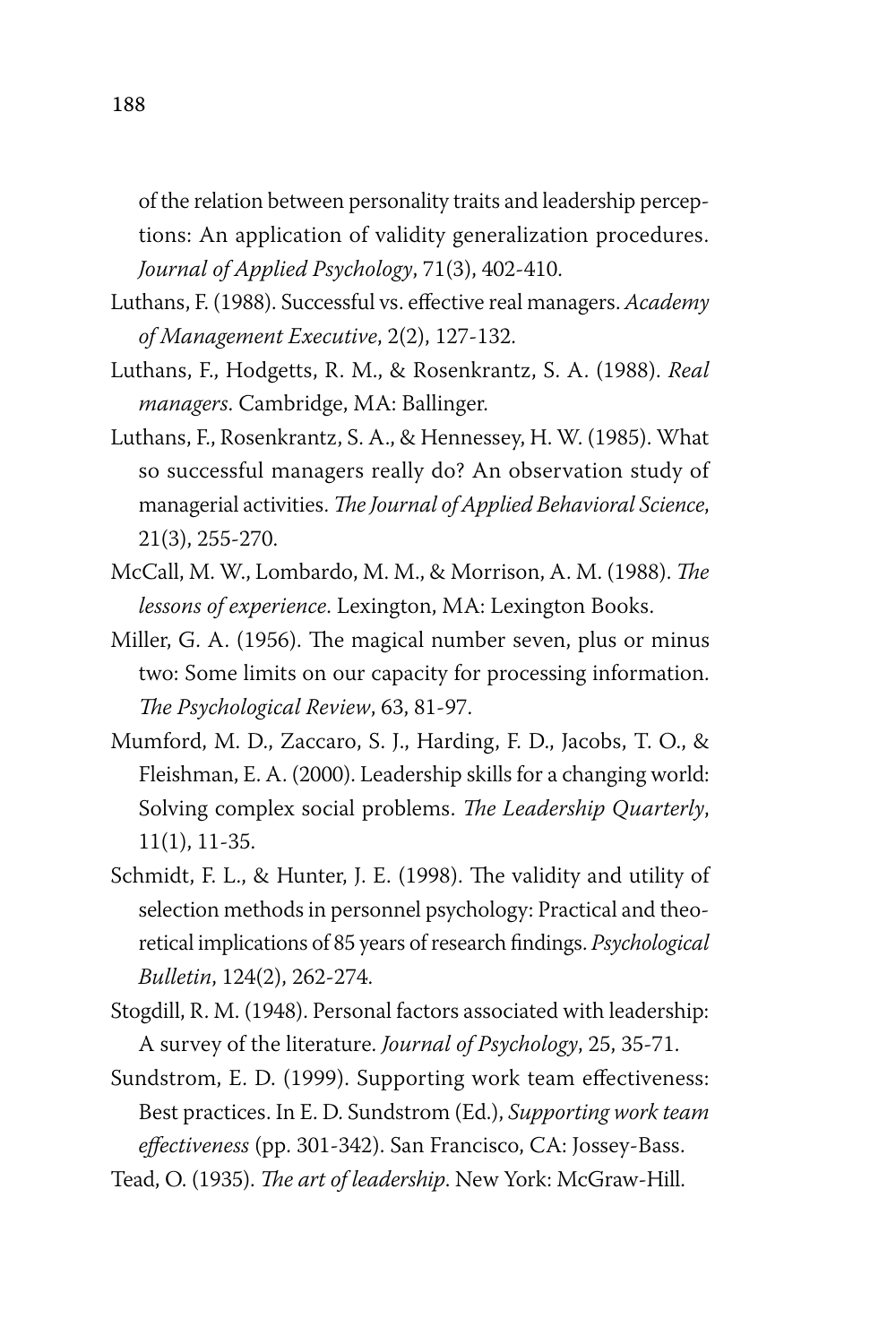of the relation between personality traits and leadership perceptions: An application of validity generalization procedures. *Journal of Applied Psychology*, 71(3), 402-410.

- Luthans, F. (1988). Successful vs. effective real managers. *Academy of Management Executive*, 2(2), 127-132.
- Luthans, F., Hodgetts, R. M., & Rosenkrantz, S. A. (1988). *Real managers*. Cambridge, MA: Ballinger.
- Luthans, F., Rosenkrantz, S. A., & Hennessey, H. W. (1985). What so successful managers really do? An observation study of managerial activities. *The Journal of Applied Behavioral Science*, 21(3), 255-270.
- McCall, M. W., Lombardo, M. M., & Morrison, A. M. (1988). *The lessons of experience*. Lexington, MA: Lexington Books.
- Miller, G. A. (1956). The magical number seven, plus or minus two: Some limits on our capacity for processing information. *The Psychological Review*, 63, 81-97.
- Mumford, M. D., Zaccaro, S. J., Harding, F. D., Jacobs, T. O., & Fleishman, E. A. (2000). Leadership skills for a changing world: Solving complex social problems. *The Leadership Quarterly*, 11(1), 11-35.
- Schmidt, F. L., & Hunter, J. E. (1998). The validity and utility of selection methods in personnel psychology: Practical and theoretical implications of 85 years of research findings. *Psychological Bulletin*, 124(2), 262-274.
- Stogdill, R. M. (1948). Personal factors associated with leadership: A survey of the literature. *Journal of Psychology*, 25, 35-71.
- Sundstrom, E. D. (1999). Supporting work team effectiveness: Best practices. In E. D. Sundstrom (Ed.), *Supporting work team effectiveness* (pp. 301-342). San Francisco, CA: Jossey-Bass.
- Tead, O. (1935). *The art of leadership*. New York: McGraw-Hill.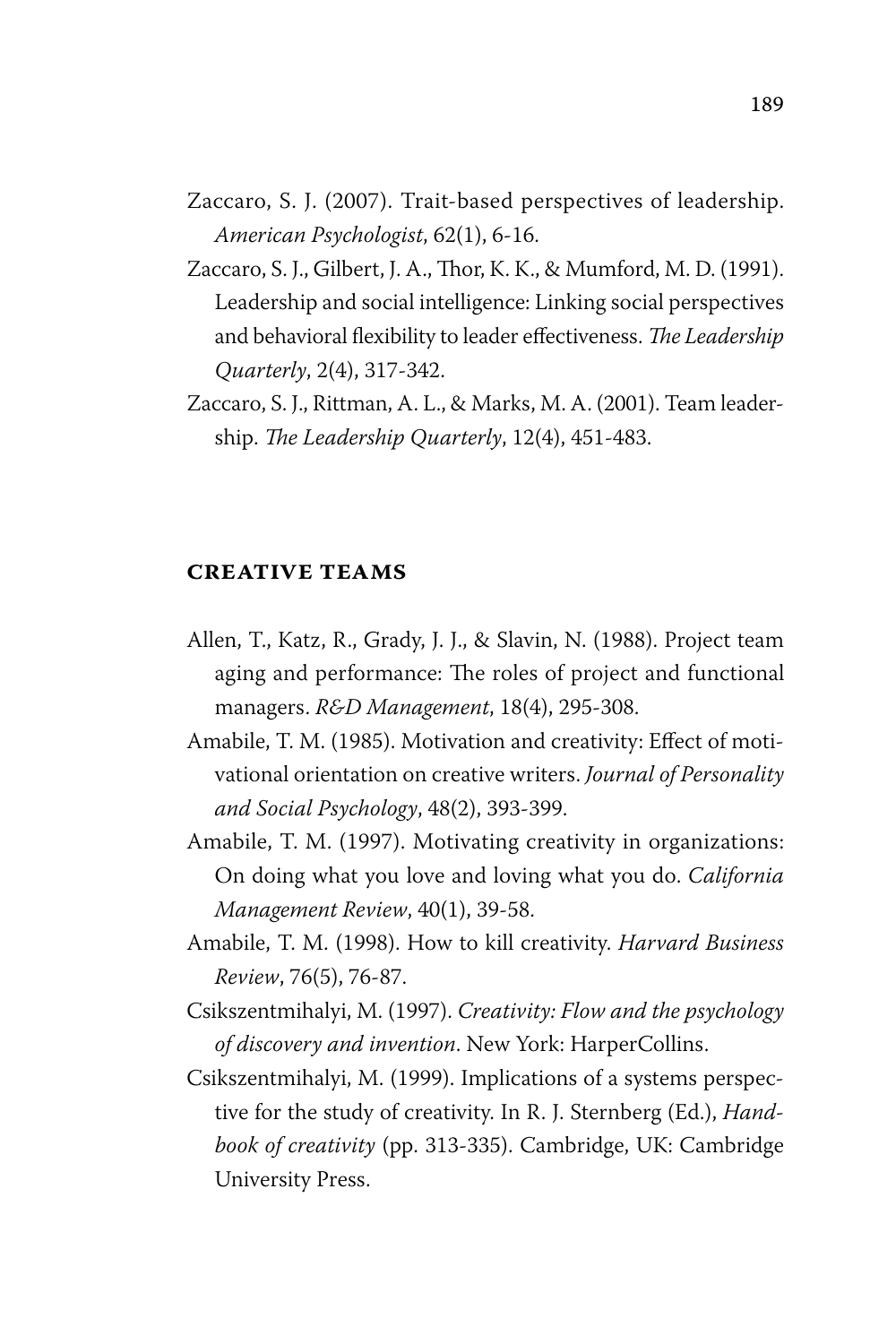- Zaccaro, S. J. (2007). Trait-based perspectives of leadership. *American Psychologist*, 62(1), 6-16.
- Zaccaro, S. J., Gilbert, J. A., Thor, K. K., & Mumford, M. D. (1991). Leadership and social intelligence: Linking social perspectives and behavioral flexibility to leader effectiveness. *The Leadership Quarterly*, 2(4), 317-342.
- Zaccaro, S. J., Rittman, A. L., & Marks, M. A. (2001). Team leadership. *The Leadership Quarterly*, 12(4), 451-483.

#### **creative teams**

- Allen, T., Katz, R., Grady, J. J., & Slavin, N. (1988). Project team aging and performance: The roles of project and functional managers. *R&D Management*, 18(4), 295-308.
- Amabile, T. M. (1985). Motivation and creativity: Effect of motivational orientation on creative writers. *Journal of Personality and Social Psychology*, 48(2), 393-399.
- Amabile, T. M. (1997). Motivating creativity in organizations: On doing what you love and loving what you do. *California Management Review*, 40(1), 39-58.
- Amabile, T. M. (1998). How to kill creativity. *Harvard Business Review*, 76(5), 76-87.
- Csikszentmihalyi, M. (1997). *Creativity: Flow and the psychology of discovery and invention*. New York: HarperCollins.
- Csikszentmihalyi, M. (1999). Implications of a systems perspective for the study of creativity. In R. J. Sternberg (Ed.), *Handbook of creativity* (pp. 313-335). Cambridge, UK: Cambridge University Press.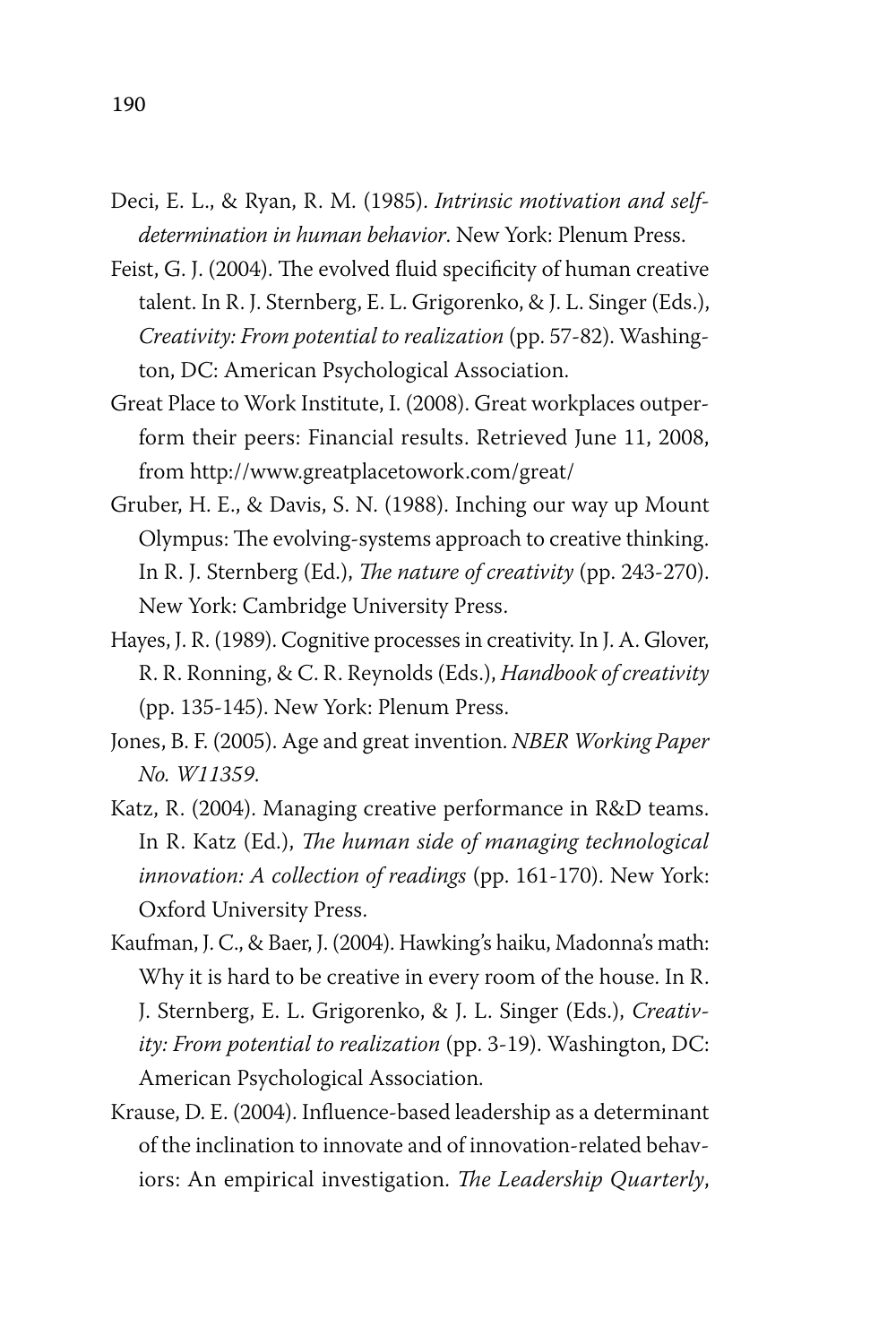- Deci, E. L., & Ryan, R. M. (1985). *Intrinsic motivation and selfdetermination in human behavior*. New York: Plenum Press.
- Feist, G. J. (2004). The evolved fluid specificity of human creative talent. In R. J. Sternberg, E. L. Grigorenko, & J. L. Singer (Eds.), *Creativity: From potential to realization* (pp. 57-82). Washington, DC: American Psychological Association.
- Great Place to Work Institute, I. (2008). Great workplaces outperform their peers: Financial results. Retrieved June 11, 2008, from http://www.greatplacetowork.com/great/
- Gruber, H. E., & Davis, S. N. (1988). Inching our way up Mount Olympus: The evolving-systems approach to creative thinking. In R. J. Sternberg (Ed.), *The nature of creativity* (pp. 243-270). New York: Cambridge University Press.
- Hayes, J. R. (1989). Cognitive processes in creativity. In J. A. Glover, R. R. Ronning, & C. R. Reynolds (Eds.), *Handbook of creativity* (pp. 135-145). New York: Plenum Press.
- Jones, B. F. (2005). Age and great invention. *NBER Working Paper No. W11359*.
- Katz, R. (2004). Managing creative performance in R&D teams. In R. Katz (Ed.), *The human side of managing technological innovation: A collection of readings* (pp. 161-170). New York: Oxford University Press.
- Kaufman, J. C., & Baer, J. (2004). Hawking's haiku, Madonna's math: Why it is hard to be creative in every room of the house. In R. J. Sternberg, E. L. Grigorenko, & J. L. Singer (Eds.), *Creativity: From potential to realization* (pp. 3-19). Washington, DC: American Psychological Association.
- Krause, D. E. (2004). Influence-based leadership as a determinant of the inclination to innovate and of innovation-related behaviors: An empirical investigation. *The Leadership Quarterly*,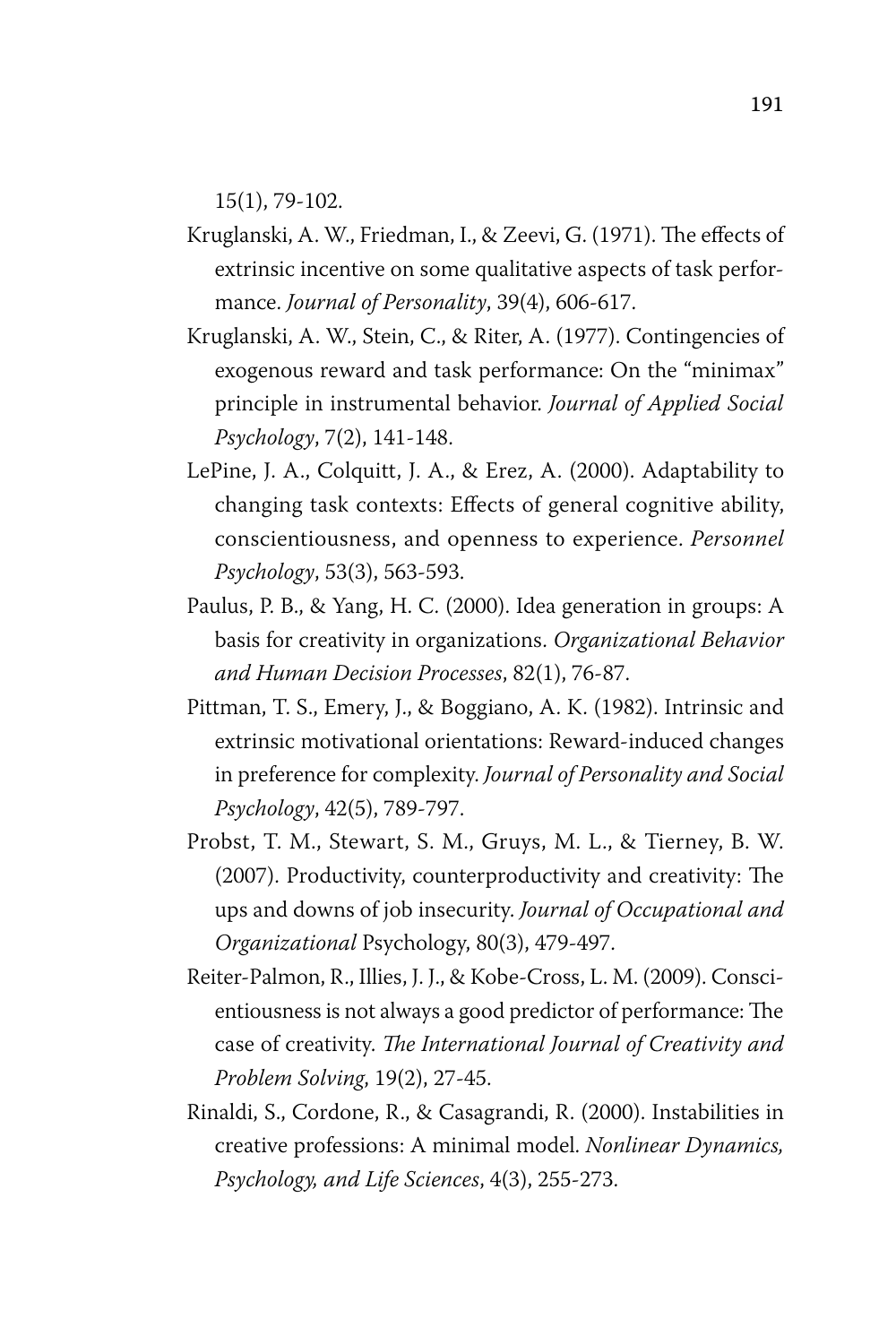15(1), 79-102.

- Kruglanski, A. W., Friedman, I., & Zeevi, G. (1971). The effects of extrinsic incentive on some qualitative aspects of task performance. *Journal of Personality*, 39(4), 606-617.
- Kruglanski, A. W., Stein, C., & Riter, A. (1977). Contingencies of exogenous reward and task performance: On the "minimax" principle in instrumental behavior. *Journal of Applied Social Psychology*, 7(2), 141-148.
- LePine, J. A., Colquitt, J. A., & Erez, A. (2000). Adaptability to changing task contexts: Effects of general cognitive ability, conscientiousness, and openness to experience. *Personnel Psychology*, 53(3), 563-593.
- Paulus, P. B., & Yang, H. C. (2000). Idea generation in groups: A basis for creativity in organizations. *Organizational Behavior and Human Decision Processes*, 82(1), 76-87.
- Pittman, T. S., Emery, J., & Boggiano, A. K. (1982). Intrinsic and extrinsic motivational orientations: Reward-induced changes in preference for complexity. *Journal of Personality and Social Psychology*, 42(5), 789-797.
- Probst, T. M., Stewart, S. M., Gruys, M. L., & Tierney, B. W. (2007). Productivity, counterproductivity and creativity: The ups and downs of job insecurity. *Journal of Occupational and Organizational* Psychology, 80(3), 479-497.
- Reiter-Palmon, R., Illies, J. J., & Kobe-Cross, L. M. (2009). Conscientiousness is not always a good predictor of performance: The case of creativity. *The International Journal of Creativity and Problem Solving*, 19(2), 27-45.
- Rinaldi, S., Cordone, R., & Casagrandi, R. (2000). Instabilities in creative professions: A minimal model. *Nonlinear Dynamics, Psychology, and Life Sciences*, 4(3), 255-273.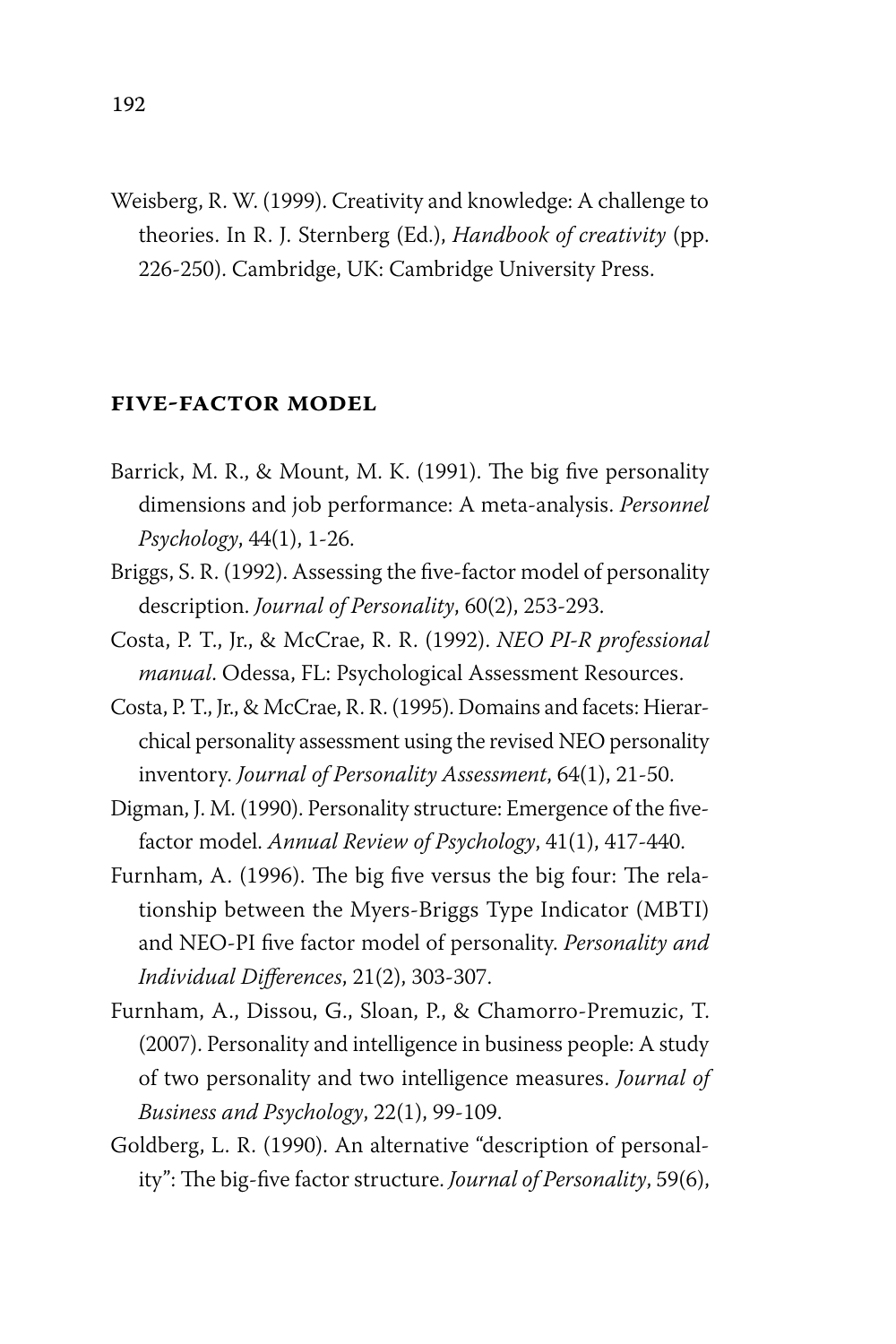Weisberg, R. W. (1999). Creativity and knowledge: A challenge to theories. In R. J. Sternberg (Ed.), *Handbook of creativity* (pp. 226-250). Cambridge, UK: Cambridge University Press.

#### **five-factor model**

- Barrick, M. R., & Mount, M. K. (1991). The big five personality dimensions and job performance: A meta-analysis. *Personnel Psychology*, 44(1), 1-26.
- Briggs, S. R. (1992). Assessing the five-factor model of personality description. *Journal of Personality*, 60(2), 253-293.
- Costa, P. T., Jr., & McCrae, R. R. (1992). *NEO PI-R professional manual*. Odessa, FL: Psychological Assessment Resources.
- Costa, P. T., Jr., & McCrae, R. R. (1995). Domains and facets: Hierarchical personality assessment using the revised NEO personality inventory. *Journal of Personality Assessment*, 64(1), 21-50.
- Digman, J. M. (1990). Personality structure: Emergence of the fivefactor model. *Annual Review of Psychology*, 41(1), 417-440.
- Furnham, A. (1996). The big five versus the big four: The relationship between the Myers-Briggs Type Indicator (MBTI) and NEO-PI five factor model of personality. *Personality and Individual Differences*, 21(2), 303-307.
- Furnham, A., Dissou, G., Sloan, P., & Chamorro-Premuzic, T. (2007). Personality and intelligence in business people: A study of two personality and two intelligence measures. *Journal of Business and Psychology*, 22(1), 99-109.
- Goldberg, L. R. (1990). An alternative "description of personality": The big-five factor structure. *Journal of Personality*, 59(6),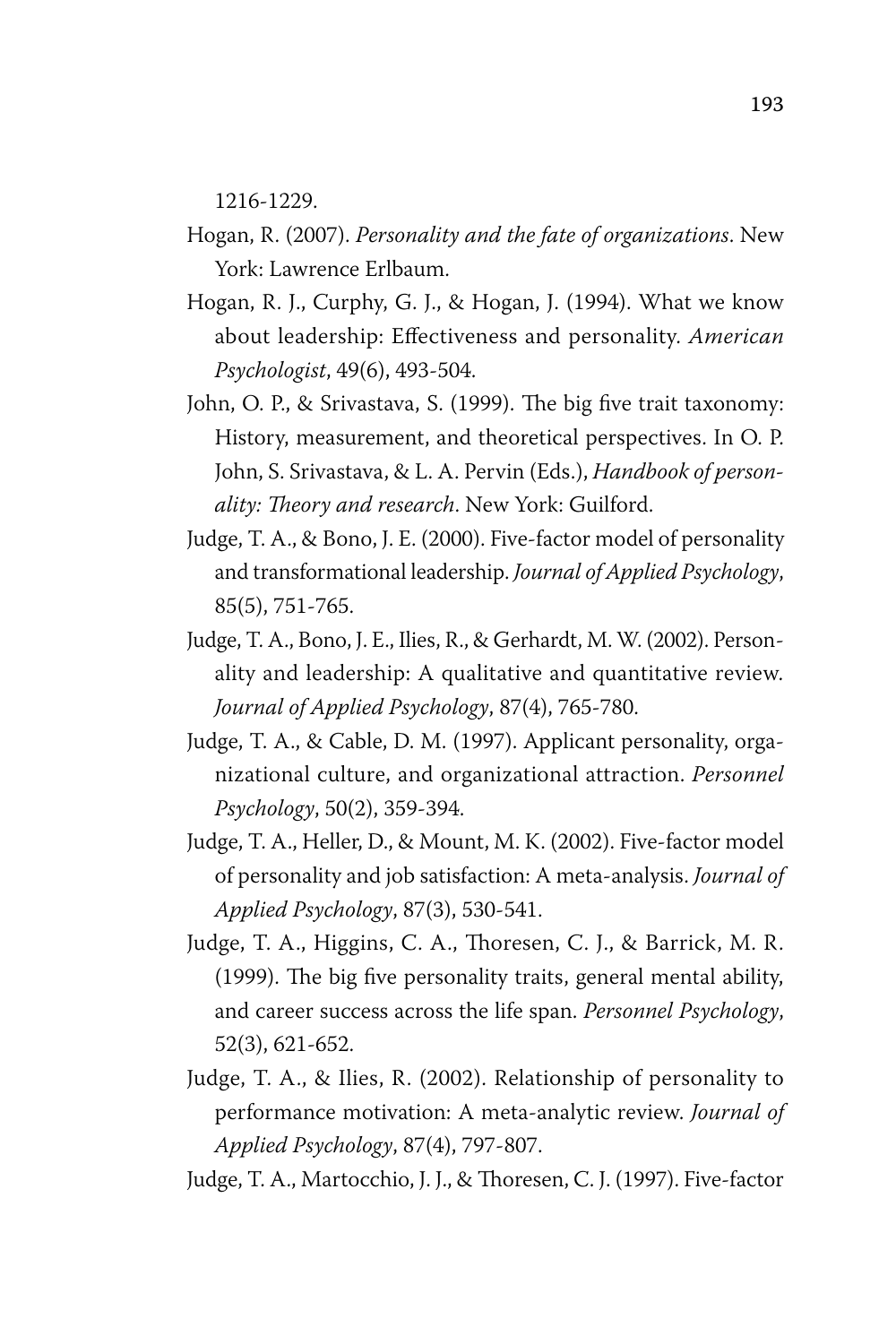1216-1229.

- Hogan, R. (2007). *Personality and the fate of organizations*. New York: Lawrence Erlbaum.
- Hogan, R. J., Curphy, G. J., & Hogan, J. (1994). What we know about leadership: Effectiveness and personality. *American Psychologist*, 49(6), 493-504.
- John, O. P., & Srivastava, S. (1999). The big five trait taxonomy: History, measurement, and theoretical perspectives. In O. P. John, S. Srivastava, & L. A. Pervin (Eds.), *Handbook of personality: Theory and research*. New York: Guilford.
- Judge, T. A., & Bono, J. E. (2000). Five-factor model of personality and transformational leadership. *Journal of Applied Psychology*, 85(5), 751-765.
- Judge, T. A., Bono, J. E., Ilies, R., & Gerhardt, M. W. (2002). Personality and leadership: A qualitative and quantitative review. *Journal of Applied Psychology*, 87(4), 765-780.
- Judge, T. A., & Cable, D. M. (1997). Applicant personality, organizational culture, and organizational attraction. *Personnel Psychology*, 50(2), 359-394.
- Judge, T. A., Heller, D., & Mount, M. K. (2002). Five-factor model of personality and job satisfaction: A meta-analysis. *Journal of Applied Psychology*, 87(3), 530-541.
- Judge, T. A., Higgins, C. A., Thoresen, C. J., & Barrick, M. R. (1999). The big five personality traits, general mental ability, and career success across the life span. *Personnel Psychology*, 52(3), 621-652.
- Judge, T. A., & Ilies, R. (2002). Relationship of personality to performance motivation: A meta-analytic review. *Journal of Applied Psychology*, 87(4), 797-807.
- Judge, T. A., Martocchio, J. J., & Thoresen, C. J. (1997). Five-factor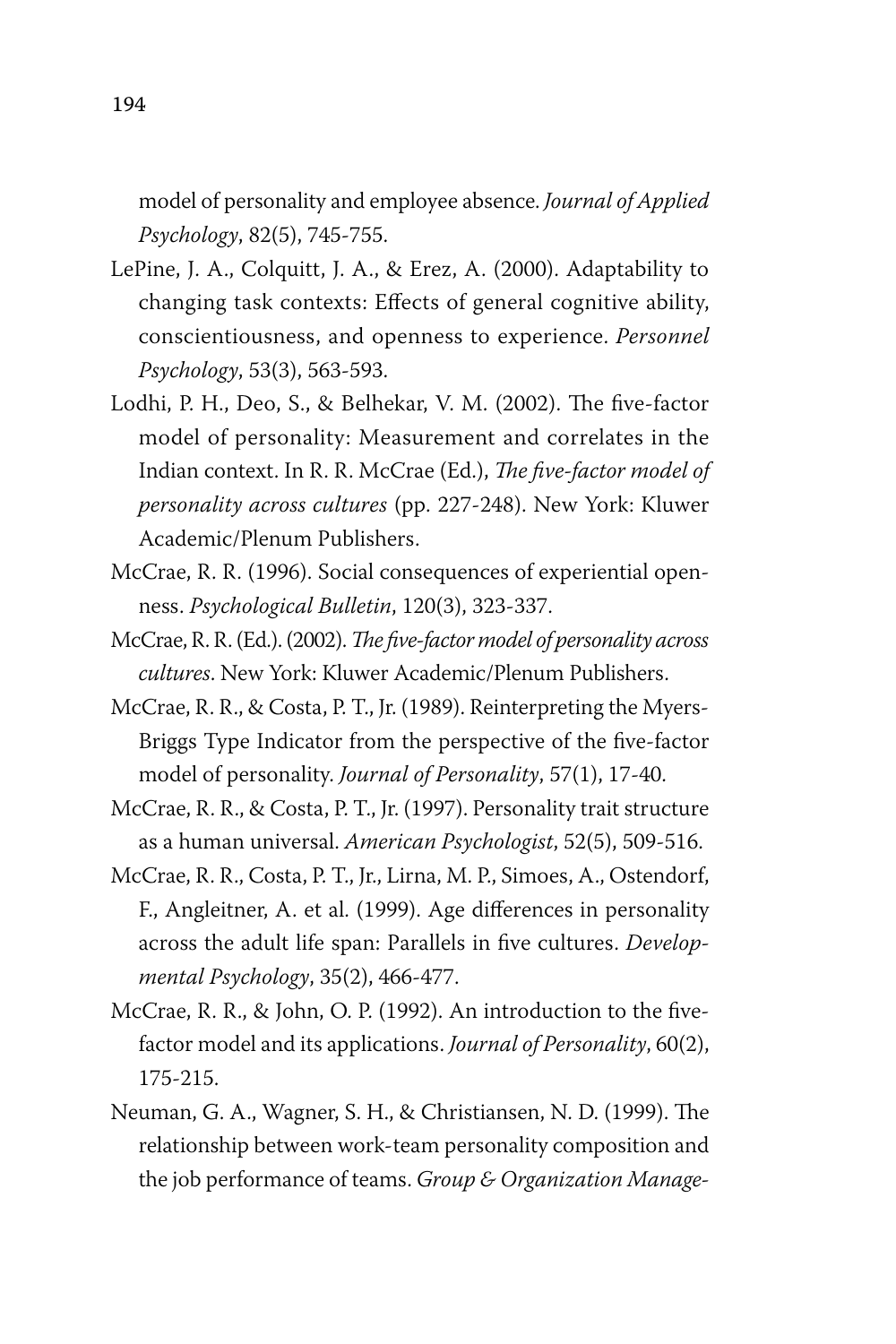model of personality and employee absence. *Journal of Applied Psychology*, 82(5), 745-755.

- LePine, J. A., Colquitt, J. A., & Erez, A. (2000). Adaptability to changing task contexts: Effects of general cognitive ability, conscientiousness, and openness to experience. *Personnel Psychology*, 53(3), 563-593.
- Lodhi, P. H., Deo, S., & Belhekar, V. M. (2002). The five-factor model of personality: Measurement and correlates in the Indian context. In R. R. McCrae (Ed.), *The five-factor model of personality across cultures* (pp. 227-248). New York: Kluwer Academic/Plenum Publishers.
- McCrae, R. R. (1996). Social consequences of experiential openness. *Psychological Bulletin*, 120(3), 323-337.
- McCrae, R. R. (Ed.). (2002). *The five-factor model of personality across cultures*. New York: Kluwer Academic/Plenum Publishers.
- McCrae, R. R., & Costa, P. T., Jr. (1989). Reinterpreting the Myers-Briggs Type Indicator from the perspective of the five-factor model of personality. *Journal of Personality*, 57(1), 17-40.
- McCrae, R. R., & Costa, P. T., Jr. (1997). Personality trait structure as a human universal. *American Psychologist*, 52(5), 509-516.
- McCrae, R. R., Costa, P. T., Jr., Lirna, M. P., Simoes, A., Ostendorf, F., Angleitner, A. et al. (1999). Age differences in personality across the adult life span: Parallels in five cultures. *Developmental Psychology*, 35(2), 466-477.
- McCrae, R. R., & John, O. P. (1992). An introduction to the fivefactor model and its applications. *Journal of Personality*, 60(2), 175-215.
- Neuman, G. A., Wagner, S. H., & Christiansen, N. D. (1999). The relationship between work-team personality composition and the job performance of teams. *Group & Organization Manage-*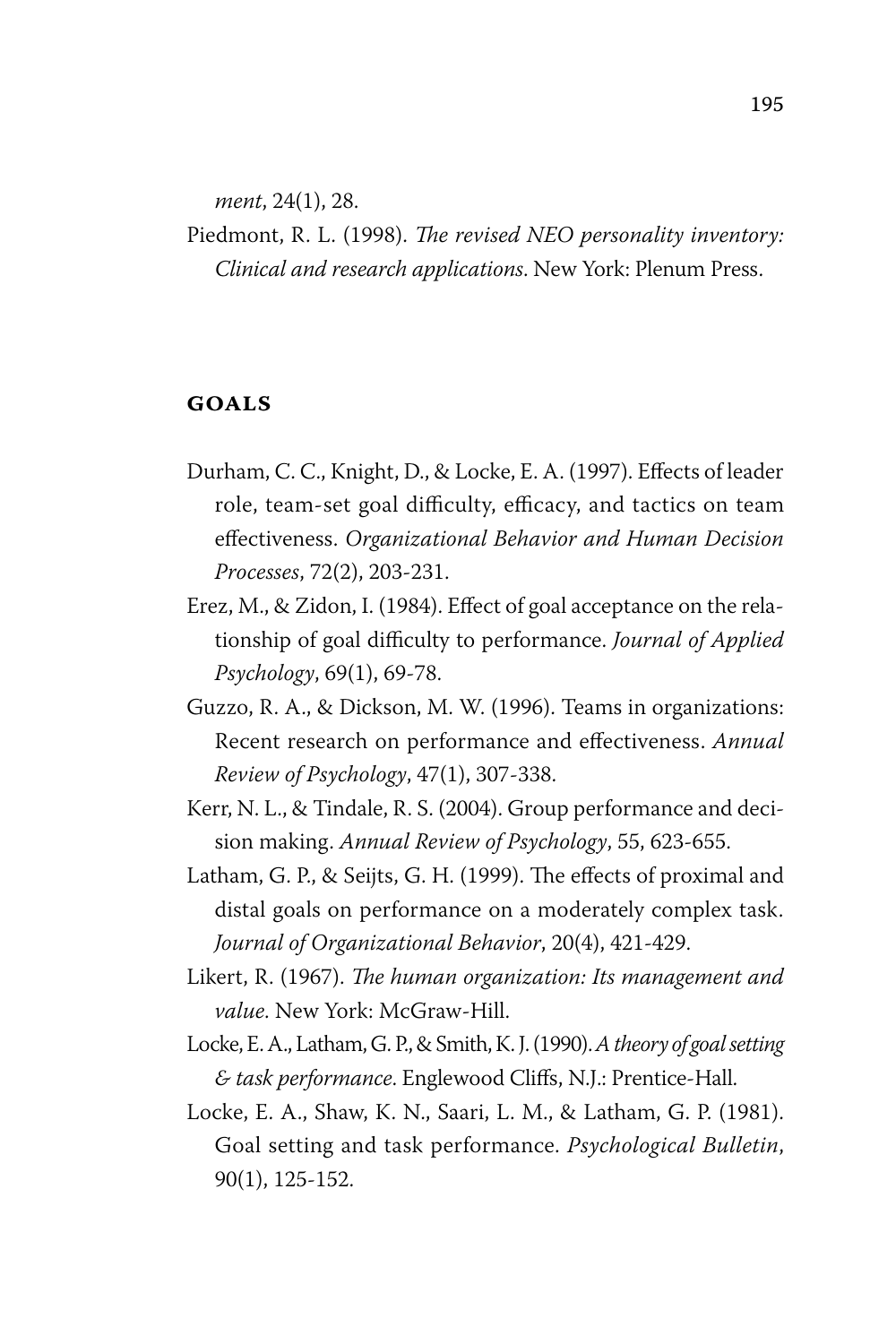*ment*, 24(1), 28.

Piedmont, R. L. (1998). *The revised NEO personality inventory: Clinical and research applications*. New York: Plenum Press.

#### **goals**

- Durham, C. C., Knight, D., & Locke, E. A. (1997). Effects of leader role, team-set goal difficulty, efficacy, and tactics on team effectiveness. *Organizational Behavior and Human Decision Processes*, 72(2), 203-231.
- Erez, M., & Zidon, I. (1984). Effect of goal acceptance on the relationship of goal difficulty to performance. *Journal of Applied Psychology*, 69(1), 69-78.
- Guzzo, R. A., & Dickson, M. W. (1996). Teams in organizations: Recent research on performance and effectiveness. *Annual Review of Psychology*, 47(1), 307-338.
- Kerr, N. L., & Tindale, R. S. (2004). Group performance and decision making. *Annual Review of Psychology*, 55, 623-655.
- Latham, G. P., & Seijts, G. H. (1999). The effects of proximal and distal goals on performance on a moderately complex task. *Journal of Organizational Behavior*, 20(4), 421-429.
- Likert, R. (1967). *The human organization: Its management and value*. New York: McGraw-Hill.
- Locke, E. A., Latham, G. P., & Smith, K. J. (1990). *A theory of goal setting & task performance*. Englewood Cliffs, N.J.: Prentice-Hall.
- Locke, E. A., Shaw, K. N., Saari, L. M., & Latham, G. P. (1981). Goal setting and task performance. *Psychological Bulletin*, 90(1), 125-152.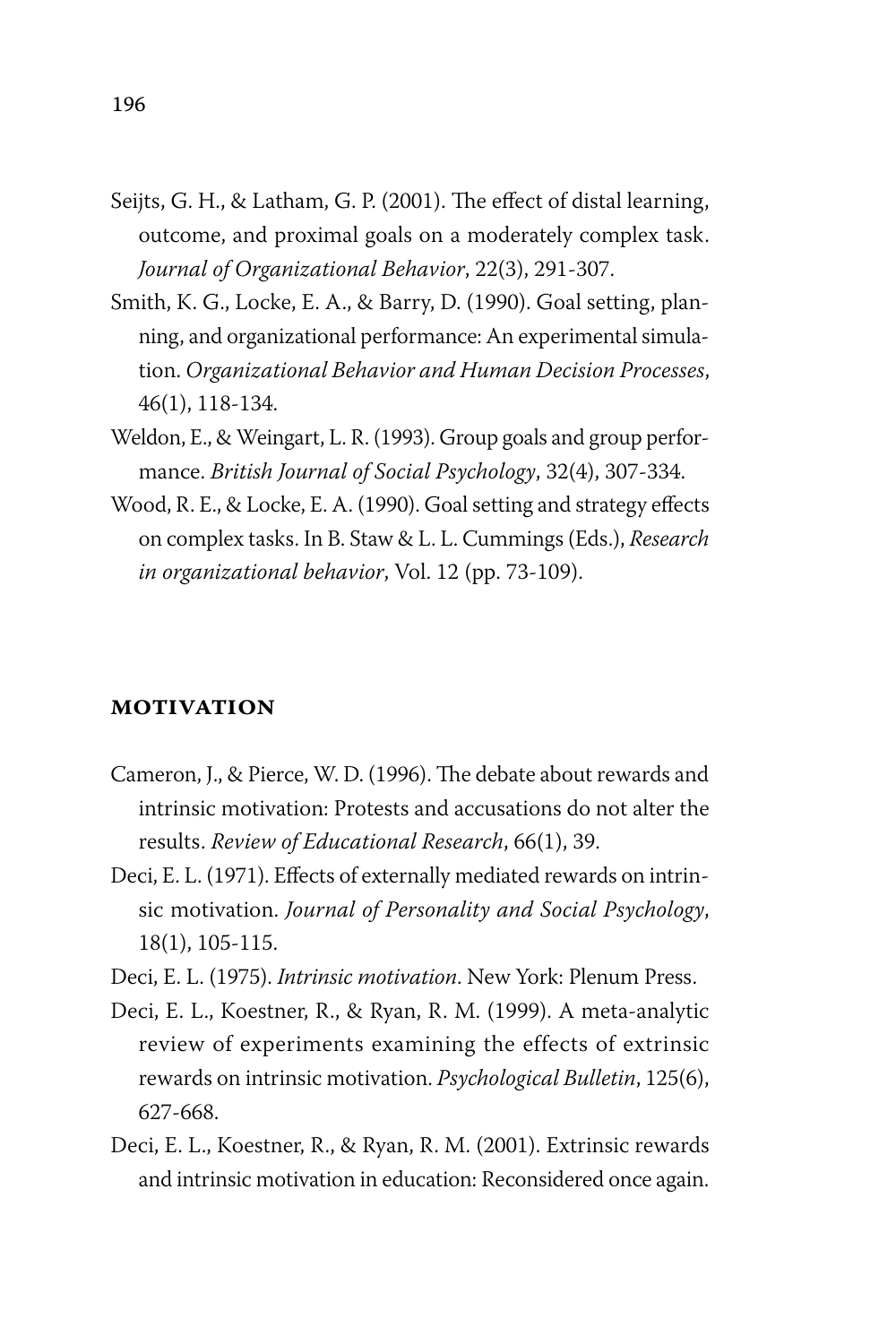- Seijts, G. H., & Latham, G. P. (2001). The effect of distal learning, outcome, and proximal goals on a moderately complex task. *Journal of Organizational Behavior*, 22(3), 291-307.
- Smith, K. G., Locke, E. A., & Barry, D. (1990). Goal setting, planning, and organizational performance: An experimental simulation. *Organizational Behavior and Human Decision Processes*, 46(1), 118-134.
- Weldon, E., & Weingart, L. R. (1993). Group goals and group performance. *British Journal of Social Psychology*, 32(4), 307-334.
- Wood, R. E., & Locke, E. A. (1990). Goal setting and strategy effects on complex tasks. In B. Staw & L. L. Cummings (Eds.), *Research in organizational behavior*, Vol. 12 (pp. 73-109).

#### **motivation**

- Cameron, J., & Pierce, W. D. (1996). The debate about rewards and intrinsic motivation: Protests and accusations do not alter the results. *Review of Educational Research*, 66(1), 39.
- Deci, E. L. (1971). Effects of externally mediated rewards on intrinsic motivation. *Journal of Personality and Social Psychology*, 18(1), 105-115.
- Deci, E. L. (1975). *Intrinsic motivation*. New York: Plenum Press.
- Deci, E. L., Koestner, R., & Ryan, R. M. (1999). A meta-analytic review of experiments examining the effects of extrinsic rewards on intrinsic motivation. *Psychological Bulletin*, 125(6), 627-668.
- Deci, E. L., Koestner, R., & Ryan, R. M. (2001). Extrinsic rewards and intrinsic motivation in education: Reconsidered once again.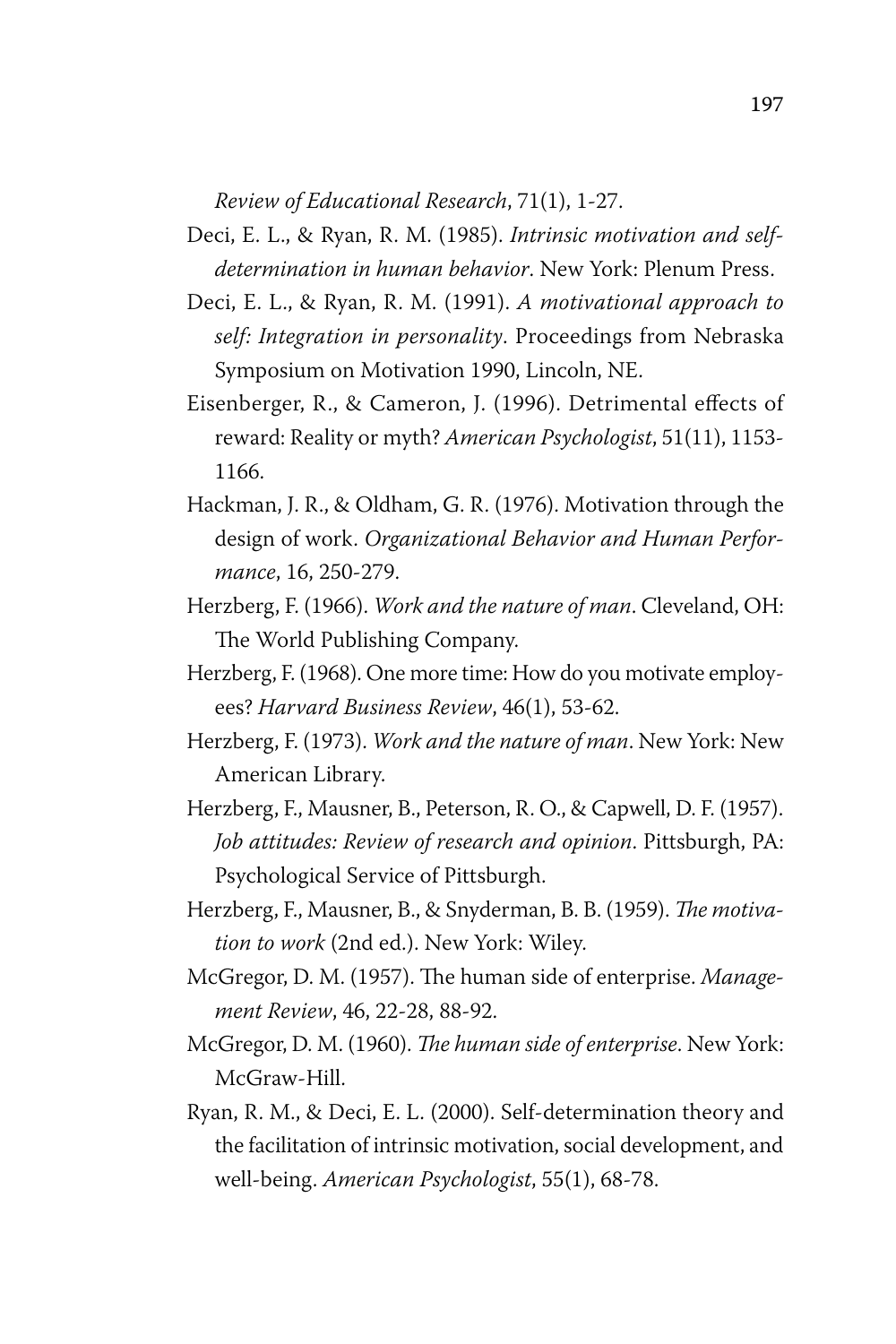*Review of Educational Research*, 71(1), 1-27.

- Deci, E. L., & Ryan, R. M. (1985). *Intrinsic motivation and selfdetermination in human behavior*. New York: Plenum Press.
- Deci, E. L., & Ryan, R. M. (1991). *A motivational approach to self: Integration in personality*. Proceedings from Nebraska Symposium on Motivation 1990, Lincoln, NE.
- Eisenberger, R., & Cameron, J. (1996). Detrimental effects of reward: Reality or myth? *American Psychologist*, 51(11), 1153- 1166.
- Hackman, J. R., & Oldham, G. R. (1976). Motivation through the design of work. *Organizational Behavior and Human Performance*, 16, 250-279.
- Herzberg, F. (1966). *Work and the nature of man*. Cleveland, OH: The World Publishing Company.
- Herzberg, F. (1968). One more time: How do you motivate employees? *Harvard Business Review*, 46(1), 53-62.
- Herzberg, F. (1973). *Work and the nature of man*. New York: New American Library.
- Herzberg, F., Mausner, B., Peterson, R. O., & Capwell, D. F. (1957). *Job attitudes: Review of research and opinion*. Pittsburgh, PA: Psychological Service of Pittsburgh.
- Herzberg, F., Mausner, B., & Snyderman, B. B. (1959). *The motivation to work* (2nd ed.). New York: Wiley.
- McGregor, D. M. (1957). The human side of enterprise. *Management Review*, 46, 22-28, 88-92.
- McGregor, D. M. (1960). *The human side of enterprise*. New York: McGraw-Hill.
- Ryan, R. M., & Deci, E. L. (2000). Self-determination theory and the facilitation of intrinsic motivation, social development, and well-being. *American Psychologist*, 55(1), 68-78.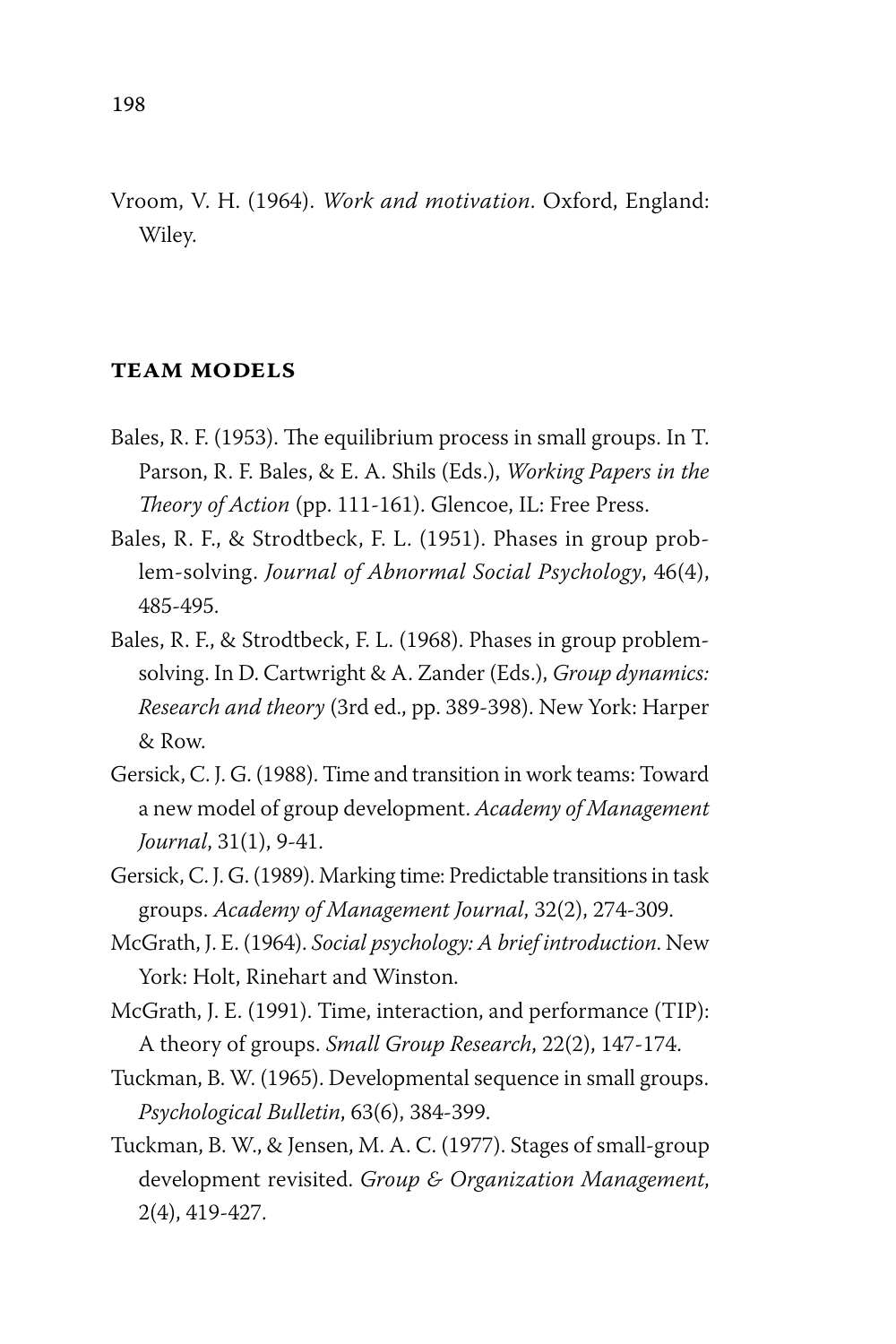Vroom, V. H. (1964). *Work and motivation*. Oxford, England: Wiley.

#### **team models**

- Bales, R. F. (1953). The equilibrium process in small groups. In T. Parson, R. F. Bales, & E. A. Shils (Eds.), *Working Papers in the Theory of Action* (pp. 111-161). Glencoe, IL: Free Press.
- Bales, R. F., & Strodtbeck, F. L. (1951). Phases in group problem-solving. *Journal of Abnormal Social Psychology*, 46(4), 485-495.
- Bales, R. F., & Strodtbeck, F. L. (1968). Phases in group problemsolving. In D. Cartwright & A. Zander (Eds.), *Group dynamics: Research and theory* (3rd ed., pp. 389-398). New York: Harper & Row.
- Gersick, C. J. G. (1988). Time and transition in work teams: Toward a new model of group development. *Academy of Management Journal*, 31(1), 9-41.
- Gersick, C. J. G. (1989). Marking time: Predictable transitions in task groups. *Academy of Management Journal*, 32(2), 274-309.
- McGrath, J. E. (1964). *Social psychology: A brief introduction*. New York: Holt, Rinehart and Winston.
- McGrath, J. E. (1991). Time, interaction, and performance (TIP): A theory of groups. *Small Group Research*, 22(2), 147-174.
- Tuckman, B. W. (1965). Developmental sequence in small groups. *Psychological Bulletin*, 63(6), 384-399.
- Tuckman, B. W., & Jensen, M. A. C. (1977). Stages of small-group development revisited. *Group & Organization Management*, 2(4), 419-427.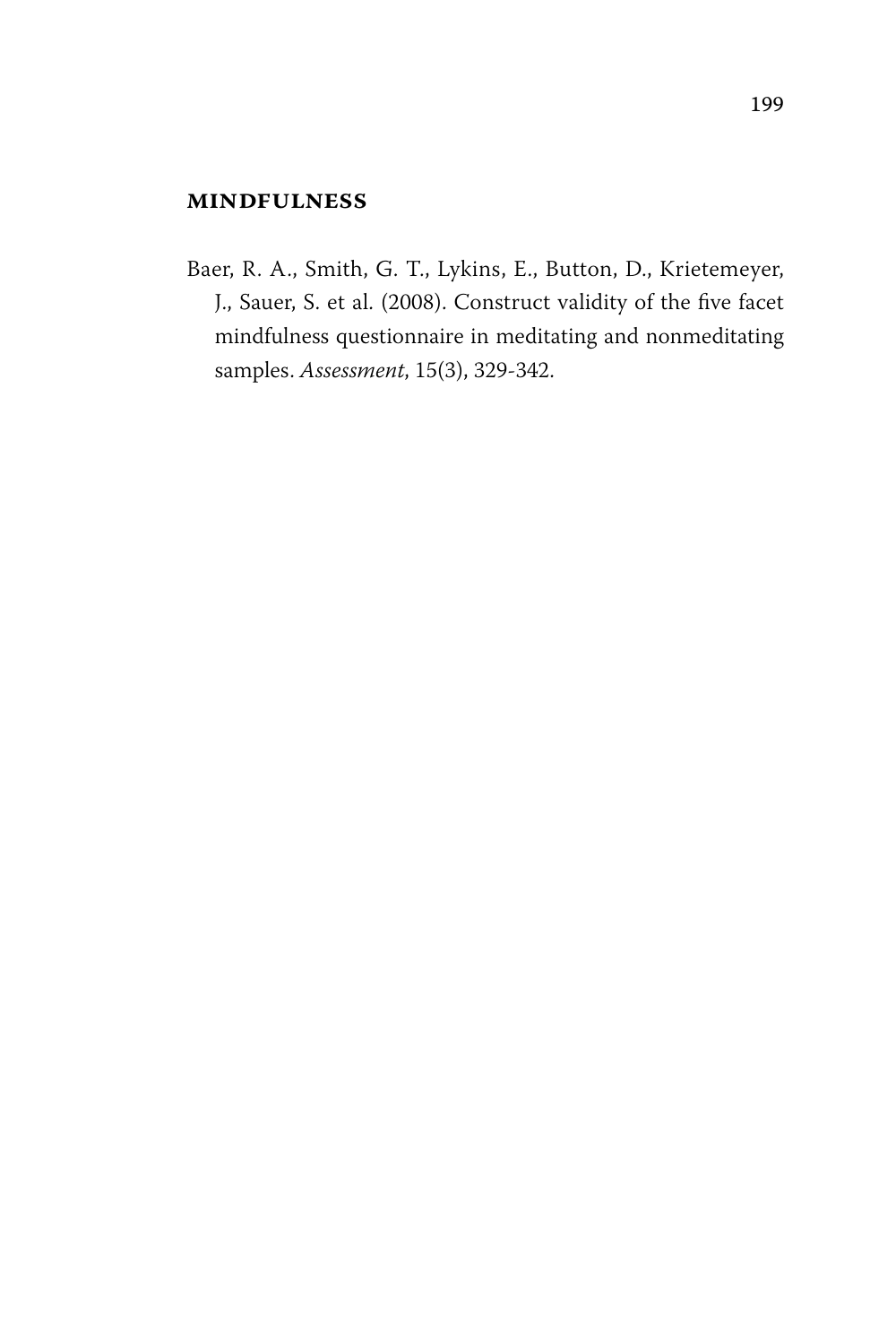#### **mindfulness**

Baer, R. A., Smith, G. T., Lykins, E., Button, D., Krietemeyer, J., Sauer, S. et al. (2008). Construct validity of the five facet mindfulness questionnaire in meditating and nonmeditating samples. *Assessment*, 15(3), 329-342.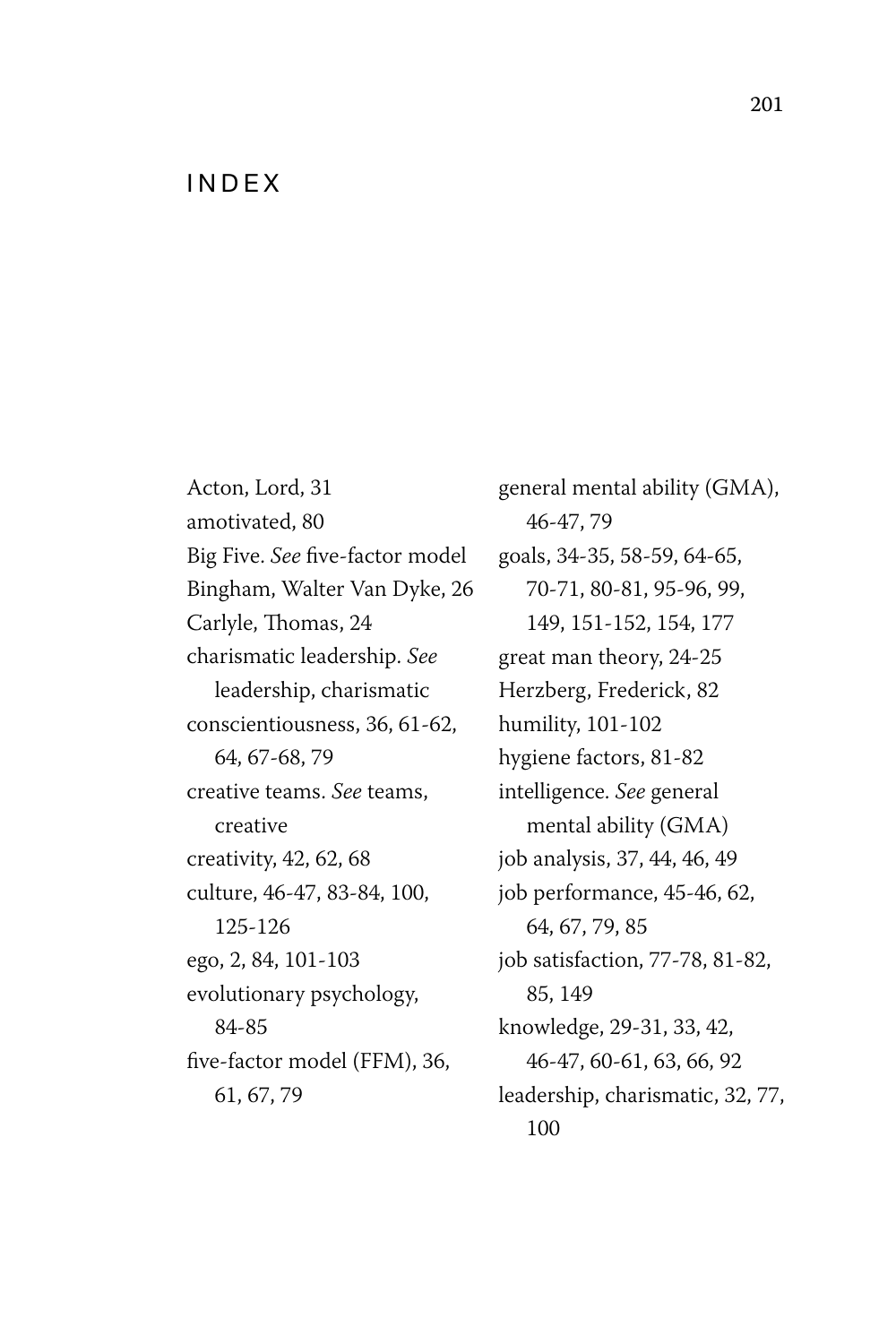#### **INDFX**

Acton, Lord, 31 amotivated, 80 Big Five. *See* five-factor model Bingham, Walter Van Dyke, 26 Carlyle, Thomas, 24 charismatic leadership. *See* leadership, charismatic conscientiousness, 36, 61-62, 64, 67-68, 79 creative teams. *See* teams, creative creativity, 42, 62, 68 culture, 46-47, 83-84, 100, 125-126 ego, 2, 84, 101-103 evolutionary psychology, 84-85 five-factor model (FFM), 36, 61, 67, 79

general mental ability (GMA), 46-47, 79 goals, 34-35, 58-59, 64-65, 70-71, 80-81, 95-96, 99, 149, 151-152, 154, 177 great man theory, 24-25 Herzberg, Frederick, 82 humility, 101-102 hygiene factors, 81-82 intelligence. *See* general mental ability (GMA) job analysis, 37, 44, 46, 49 job performance, 45-46, 62, 64, 67, 79, 85 job satisfaction, 77-78, 81-82, 85, 149 knowledge, 29-31, 33, 42, 46-47, 60-61, 63, 66, 92 leadership, charismatic, 32, 77, 100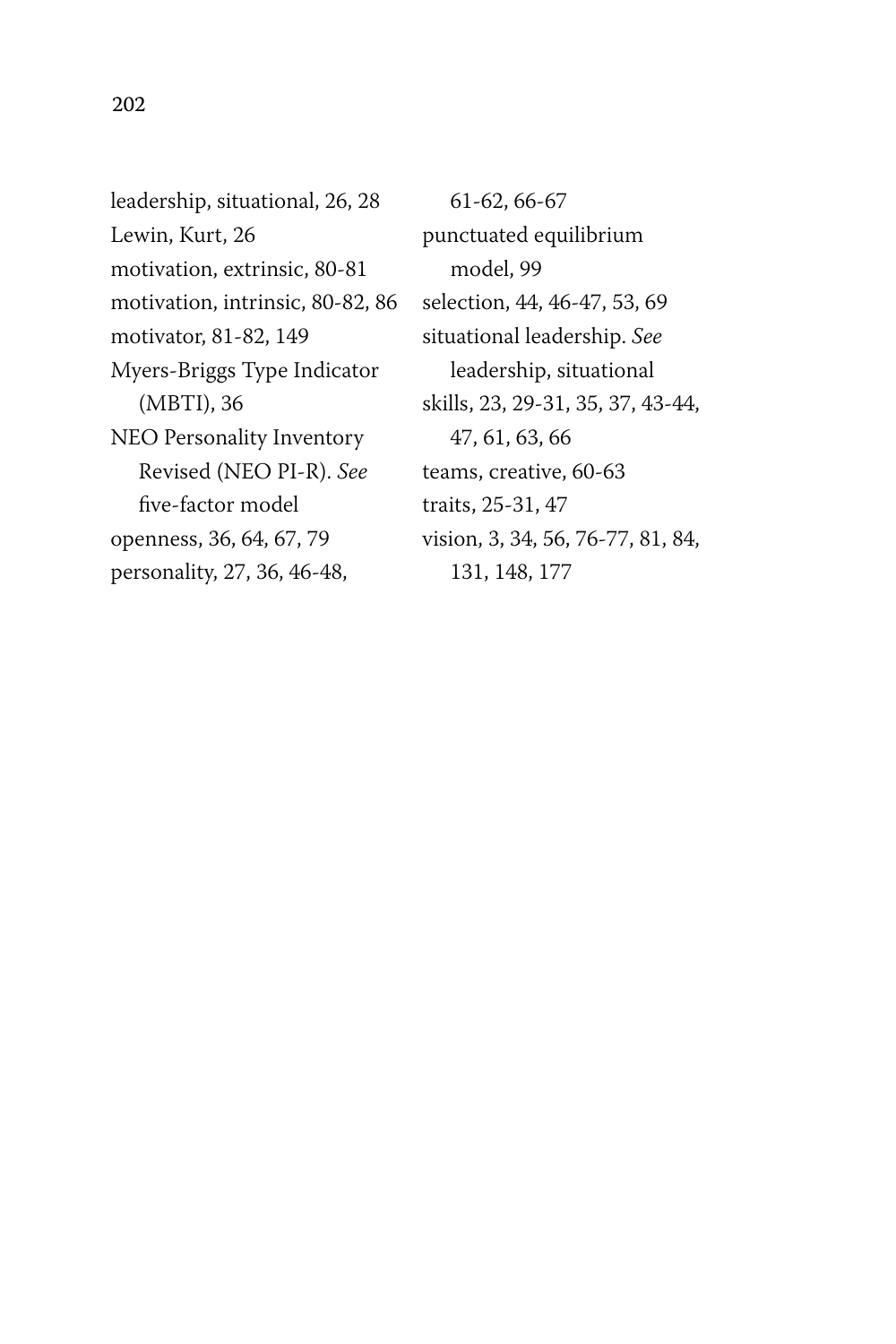leadership, situational, 26, 28 Lewin, Kurt, 26 motivation, extrinsic, 80-81 motivation, intrinsic, 80-82, 86 motivator, 81-82, 149 Myers-Briggs Type Indicator (MBTI), 36 NEO Personality Inventory Revised (NEO PI-R). *See* five-factor model openness, 36, 64, 67, 79 personality, 27, 36, 46-48,

61-62, 66-67 punctuated equilibrium model, 99 selection, 44, 46-47, 53, 69 situational leadership. *See* leadership, situational skills, 23, 29-31, 35, 37, 43-44, 47, 61, 63, 66 teams, creative, 60-63 traits, 25-31, 47 vision, 3, 34, 56, 76-77, 81, 84, 131, 148, 177